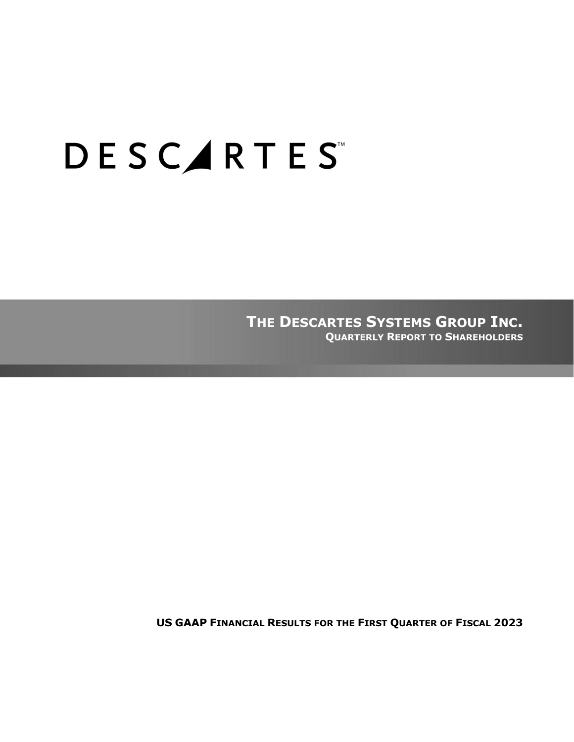# **DESCARTES**

**THE DESCARTES SYSTEMS GROUP INC. QUARTERLY REPORT TO SHAREHOLDERS**

**US GAAP FINANCIAL RESULTS FOR THE FIRST QUARTER OF FISCAL 2023**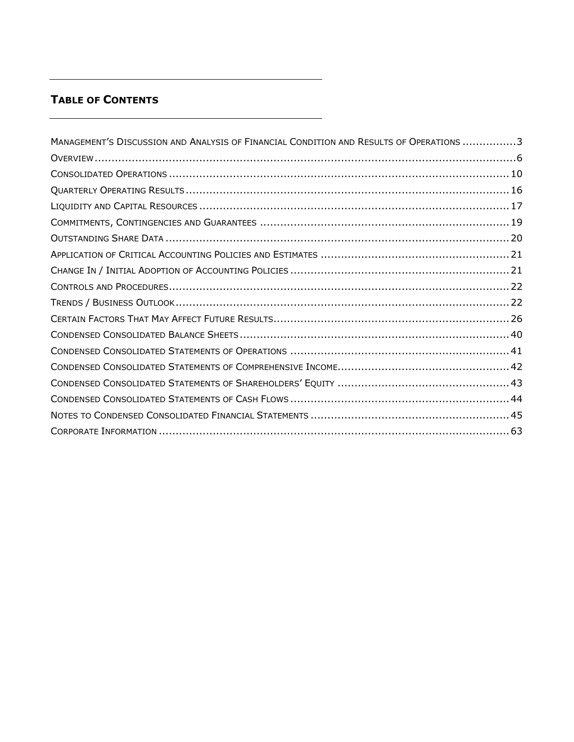# **TABLE OF CONTENTS**

| MANAGEMENT'S DISCUSSION AND ANALYSIS OF FINANCIAL CONDITION AND RESULTS OF OPERATIONS 3 |
|-----------------------------------------------------------------------------------------|
|                                                                                         |
|                                                                                         |
|                                                                                         |
|                                                                                         |
|                                                                                         |
|                                                                                         |
|                                                                                         |
|                                                                                         |
|                                                                                         |
|                                                                                         |
|                                                                                         |
|                                                                                         |
|                                                                                         |
|                                                                                         |
|                                                                                         |
|                                                                                         |
|                                                                                         |
|                                                                                         |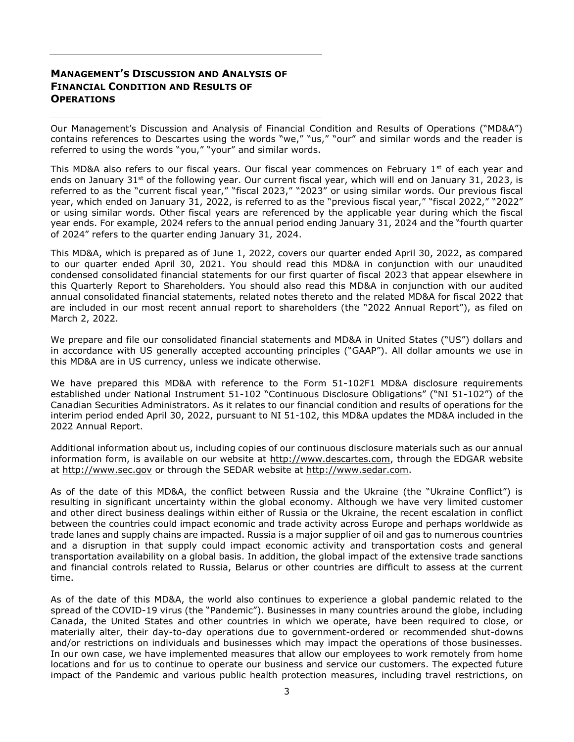# <span id="page-2-0"></span>**MANAGEMENT'S DISCUSSION AND ANALYSIS OF FINANCIAL CONDITION AND RESULTS OF OPERATIONS**

Our Management's Discussion and Analysis of Financial Condition and Results of Operations ("MD&A") contains references to Descartes using the words "we," "us," "our" and similar words and the reader is referred to using the words "you," "your" and similar words.

This MD&A also refers to our fiscal years. Our fiscal year commences on February  $1<sup>st</sup>$  of each year and ends on January 31 $\rm st$  of the following year. Our current fiscal year, which will end on January 31, 2023, is referred to as the "current fiscal year," "fiscal 2023," "2023" or using similar words. Our previous fiscal year, which ended on January 31, 2022, is referred to as the "previous fiscal year," "fiscal 2022," "2022" or using similar words. Other fiscal years are referenced by the applicable year during which the fiscal year ends. For example, 2024 refers to the annual period ending January 31, 2024 and the "fourth quarter of 2024" refers to the quarter ending January 31, 2024.

This MD&A, which is prepared as of June 1, 2022, covers our quarter ended April 30, 2022, as compared to our quarter ended April 30, 2021. You should read this MD&A in conjunction with our unaudited condensed consolidated financial statements for our first quarter of fiscal 2023 that appear elsewhere in this Quarterly Report to Shareholders. You should also read this MD&A in conjunction with our audited annual consolidated financial statements, related notes thereto and the related MD&A for fiscal 2022 that are included in our most recent annual report to shareholders (the "2022 Annual Report"), as filed on March 2, 2022.

We prepare and file our consolidated financial statements and MD&A in United States ("US") dollars and in accordance with US generally accepted accounting principles ("GAAP"). All dollar amounts we use in this MD&A are in US currency, unless we indicate otherwise.

We have prepared this MD&A with reference to the Form 51-102F1 MD&A disclosure requirements established under National Instrument 51-102 "Continuous Disclosure Obligations" ("NI 51-102") of the Canadian Securities Administrators. As it relates to our financial condition and results of operations for the interim period ended April 30, 2022, pursuant to NI 51-102, this MD&A updates the MD&A included in the 2022 Annual Report.

Additional information about us, including copies of our continuous disclosure materials such as our annual information form, is available on our website at [http://www.descartes.com,](http://www.descartes.com/) through the EDGAR website at [http://www.sec.gov](http://www.sec.gov/) or through the SEDAR website at [http://www.sedar.com.](http://www.sedar.com/)

As of the date of this MD&A, the conflict between Russia and the Ukraine (the "Ukraine Conflict") is resulting in significant uncertainty within the global economy. Although we have very limited customer and other direct business dealings within either of Russia or the Ukraine, the recent escalation in conflict between the countries could impact economic and trade activity across Europe and perhaps worldwide as trade lanes and supply chains are impacted. Russia is a major supplier of oil and gas to numerous countries and a disruption in that supply could impact economic activity and transportation costs and general transportation availability on a global basis. In addition, the global impact of the extensive trade sanctions and financial controls related to Russia, Belarus or other countries are difficult to assess at the current time.

As of the date of this MD&A, the world also continues to experience a global pandemic related to the spread of the COVID-19 virus (the "Pandemic"). Businesses in many countries around the globe, including Canada, the United States and other countries in which we operate, have been required to close, or materially alter, their day-to-day operations due to government-ordered or recommended shut-downs and/or restrictions on individuals and businesses which may impact the operations of those businesses. In our own case, we have implemented measures that allow our employees to work remotely from home locations and for us to continue to operate our business and service our customers. The expected future impact of the Pandemic and various public health protection measures, including travel restrictions, on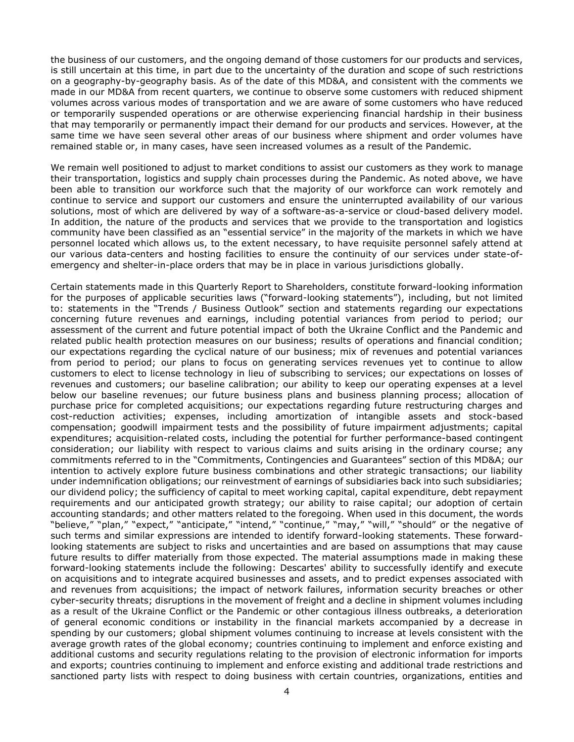the business of our customers, and the ongoing demand of those customers for our products and services, is still uncertain at this time, in part due to the uncertainty of the duration and scope of such restrictions on a geography-by-geography basis. As of the date of this MD&A, and consistent with the comments we made in our MD&A from recent quarters, we continue to observe some customers with reduced shipment volumes across various modes of transportation and we are aware of some customers who have reduced or temporarily suspended operations or are otherwise experiencing financial hardship in their business that may temporarily or permanently impact their demand for our products and services. However, at the same time we have seen several other areas of our business where shipment and order volumes have remained stable or, in many cases, have seen increased volumes as a result of the Pandemic.

We remain well positioned to adjust to market conditions to assist our customers as they work to manage their transportation, logistics and supply chain processes during the Pandemic. As noted above, we have been able to transition our workforce such that the majority of our workforce can work remotely and continue to service and support our customers and ensure the uninterrupted availability of our various solutions, most of which are delivered by way of a software-as-a-service or cloud-based delivery model. In addition, the nature of the products and services that we provide to the transportation and logistics community have been classified as an "essential service" in the majority of the markets in which we have personnel located which allows us, to the extent necessary, to have requisite personnel safely attend at our various data-centers and hosting facilities to ensure the continuity of our services under state-ofemergency and shelter-in-place orders that may be in place in various jurisdictions globally.

Certain statements made in this Quarterly Report to Shareholders, constitute forward-looking information for the purposes of applicable securities laws ("forward-looking statements"), including, but not limited to: statements in the "Trends / Business Outlook" section and statements regarding our expectations concerning future revenues and earnings, including potential variances from period to period; our assessment of the current and future potential impact of both the Ukraine Conflict and the Pandemic and related public health protection measures on our business; results of operations and financial condition; our expectations regarding the cyclical nature of our business; mix of revenues and potential variances from period to period; our plans to focus on generating services revenues yet to continue to allow customers to elect to license technology in lieu of subscribing to services; our expectations on losses of revenues and customers; our baseline calibration; our ability to keep our operating expenses at a level below our baseline revenues; our future business plans and business planning process; allocation of purchase price for completed acquisitions; our expectations regarding future restructuring charges and cost-reduction activities; expenses, including amortization of intangible assets and stock-based compensation; goodwill impairment tests and the possibility of future impairment adjustments; capital expenditures; acquisition-related costs, including the potential for further performance-based contingent consideration; our liability with respect to various claims and suits arising in the ordinary course; any commitments referred to in the "Commitments, Contingencies and Guarantees" section of this MD&A; our intention to actively explore future business combinations and other strategic transactions; our liability under indemnification obligations; our reinvestment of earnings of subsidiaries back into such subsidiaries; our dividend policy; the sufficiency of capital to meet working capital, capital expenditure, debt repayment requirements and our anticipated growth strategy; our ability to raise capital; our adoption of certain accounting standards; and other matters related to the foregoing. When used in this document, the words "believe," "plan," "expect," "anticipate," "intend," "continue," "may," "will," "should" or the negative of such terms and similar expressions are intended to identify forward-looking statements. These forwardlooking statements are subject to risks and uncertainties and are based on assumptions that may cause future results to differ materially from those expected. The material assumptions made in making these forward-looking statements include the following: Descartes' ability to successfully identify and execute on acquisitions and to integrate acquired businesses and assets, and to predict expenses associated with and revenues from acquisitions; the impact of network failures, information security breaches or other cyber-security threats; disruptions in the movement of freight and a decline in shipment volumes including as a result of the Ukraine Conflict or the Pandemic or other contagious illness outbreaks, a deterioration of general economic conditions or instability in the financial markets accompanied by a decrease in spending by our customers; global shipment volumes continuing to increase at levels consistent with the average growth rates of the global economy; countries continuing to implement and enforce existing and additional customs and security regulations relating to the provision of electronic information for imports and exports; countries continuing to implement and enforce existing and additional trade restrictions and sanctioned party lists with respect to doing business with certain countries, organizations, entities and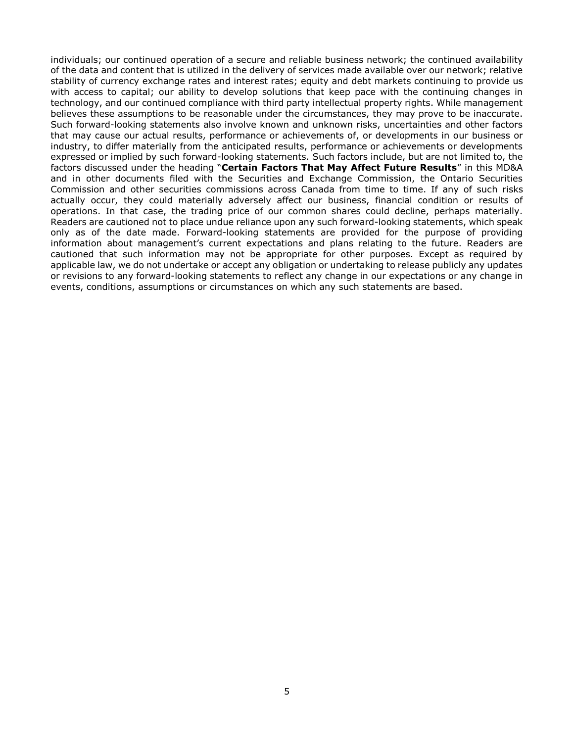individuals; our continued operation of a secure and reliable business network; the continued availability of the data and content that is utilized in the delivery of services made available over our network; relative stability of currency exchange rates and interest rates; equity and debt markets continuing to provide us with access to capital; our ability to develop solutions that keep pace with the continuing changes in technology, and our continued compliance with third party intellectual property rights. While management believes these assumptions to be reasonable under the circumstances, they may prove to be inaccurate. Such forward-looking statements also involve known and unknown risks, uncertainties and other factors that may cause our actual results, performance or achievements of, or developments in our business or industry, to differ materially from the anticipated results, performance or achievements or developments expressed or implied by such forward-looking statements. Such factors include, but are not limited to, the factors discussed under the heading "**Certain Factors That May Affect Future Results**" in this MD&A and in other documents filed with the Securities and Exchange Commission, the Ontario Securities Commission and other securities commissions across Canada from time to time. If any of such risks actually occur, they could materially adversely affect our business, financial condition or results of operations. In that case, the trading price of our common shares could decline, perhaps materially. Readers are cautioned not to place undue reliance upon any such forward-looking statements, which speak only as of the date made. Forward-looking statements are provided for the purpose of providing information about management's current expectations and plans relating to the future. Readers are cautioned that such information may not be appropriate for other purposes. Except as required by applicable law, we do not undertake or accept any obligation or undertaking to release publicly any updates or revisions to any forward-looking statements to reflect any change in our expectations or any change in events, conditions, assumptions or circumstances on which any such statements are based.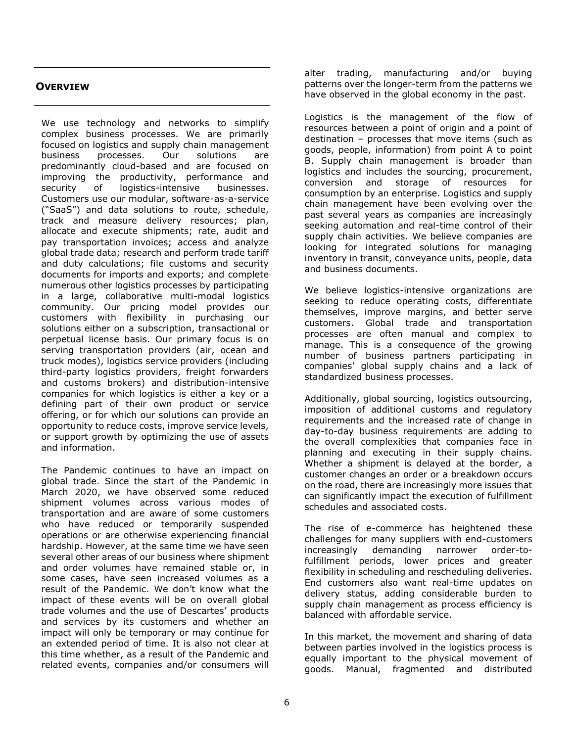# <span id="page-5-0"></span>**OVERVIEW**

We use technology and networks to simplify complex business processes. We are primarily focused on logistics and supply chain management business processes. Our solutions are predominantly cloud-based and are focused on improving the productivity, performance and security of logistics-intensive businesses. Customers use our modular, software-as-a-service ("SaaS") and data solutions to route, schedule, track and measure delivery resources; plan, allocate and execute shipments; rate, audit and pay transportation invoices; access and analyze global trade data; research and perform trade tariff and duty calculations; file customs and security documents for imports and exports; and complete numerous other logistics processes by participating in a large, collaborative multi-modal logistics community. Our pricing model provides our customers with flexibility in purchasing our solutions either on a subscription, transactional or perpetual license basis. Our primary focus is on serving transportation providers (air, ocean and truck modes), logistics service providers (including third-party logistics providers, freight forwarders and customs brokers) and distribution-intensive companies for which logistics is either a key or a defining part of their own product or service offering, or for which our solutions can provide an opportunity to reduce costs, improve service levels, or support growth by optimizing the use of assets and information.

The Pandemic continues to have an impact on global trade. Since the start of the Pandemic in March 2020, we have observed some reduced shipment volumes across various modes of transportation and are aware of some customers who have reduced or temporarily suspended operations or are otherwise experiencing financial hardship. However, at the same time we have seen several other areas of our business where shipment and order volumes have remained stable or, in some cases, have seen increased volumes as a result of the Pandemic. We don't know what the impact of these events will be on overall global trade volumes and the use of Descartes' products and services by its customers and whether an impact will only be temporary or may continue for an extended period of time. It is also not clear at this time whether, as a result of the Pandemic and related events, companies and/or consumers will alter trading, manufacturing and/or buying patterns over the longer-term from the patterns we have observed in the global economy in the past.

Logistics is the management of the flow of resources between a point of origin and a point of destination – processes that move items (such as goods, people, information) from point A to point B. Supply chain management is broader than logistics and includes the sourcing, procurement, conversion and storage of resources for consumption by an enterprise. Logistics and supply chain management have been evolving over the past several years as companies are increasingly seeking automation and real-time control of their supply chain activities. We believe companies are looking for integrated solutions for managing inventory in transit, conveyance units, people, data and business documents.

We believe logistics-intensive organizations are seeking to reduce operating costs, differentiate themselves, improve margins, and better serve customers. Global trade and transportation processes are often manual and complex to manage. This is a consequence of the growing number of business partners participating in companies' global supply chains and a lack of standardized business processes.

Additionally, global sourcing, logistics outsourcing, imposition of additional customs and regulatory requirements and the increased rate of change in day-to-day business requirements are adding to the overall complexities that companies face in planning and executing in their supply chains. Whether a shipment is delayed at the border, a customer changes an order or a breakdown occurs on the road, there are increasingly more issues that can significantly impact the execution of fulfillment schedules and associated costs.

The rise of e-commerce has heightened these challenges for many suppliers with end-customers increasingly demanding narrower order-tofulfillment periods, lower prices and greater flexibility in scheduling and rescheduling deliveries. End customers also want real-time updates on delivery status, adding considerable burden to supply chain management as process efficiency is balanced with affordable service.

In this market, the movement and sharing of data between parties involved in the logistics process is equally important to the physical movement of goods. Manual, fragmented and distributed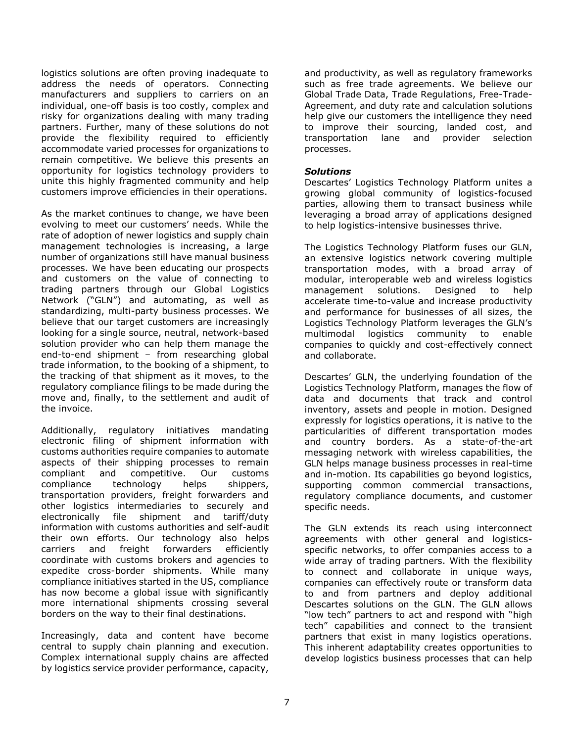logistics solutions are often proving inadequate to address the needs of operators. Connecting manufacturers and suppliers to carriers on an individual, one-off basis is too costly, complex and risky for organizations dealing with many trading partners. Further, many of these solutions do not provide the flexibility required to efficiently accommodate varied processes for organizations to remain competitive. We believe this presents an opportunity for logistics technology providers to unite this highly fragmented community and help customers improve efficiencies in their operations.

As the market continues to change, we have been evolving to meet our customers' needs. While the rate of adoption of newer logistics and supply chain management technologies is increasing, a large number of organizations still have manual business processes. We have been educating our prospects and customers on the value of connecting to trading partners through our Global Logistics Network ("GLN") and automating, as well as standardizing, multi-party business processes. We believe that our target customers are increasingly looking for a single source, neutral, network-based solution provider who can help them manage the end-to-end shipment – from researching global trade information, to the booking of a shipment, to the tracking of that shipment as it moves, to the regulatory compliance filings to be made during the move and, finally, to the settlement and audit of the invoice.

Additionally, regulatory initiatives mandating electronic filing of shipment information with customs authorities require companies to automate aspects of their shipping processes to remain compliant and competitive. Our customs compliance technology helps shippers, transportation providers, freight forwarders and other logistics intermediaries to securely and electronically file shipment and tariff/duty information with customs authorities and self-audit their own efforts. Our technology also helps carriers and freight forwarders efficiently coordinate with customs brokers and agencies to expedite cross-border shipments. While many compliance initiatives started in the US, compliance has now become a global issue with significantly more international shipments crossing several borders on the way to their final destinations.

Increasingly, data and content have become central to supply chain planning and execution. Complex international supply chains are affected by logistics service provider performance, capacity,

and productivity, as well as regulatory frameworks such as free trade agreements. We believe our Global Trade Data, Trade Regulations, Free-Trade-Agreement, and duty rate and calculation solutions help give our customers the intelligence they need to improve their sourcing, landed cost, and transportation lane and provider selection processes.

### *Solutions*

Descartes' Logistics Technology Platform unites a growing global community of logistics-focused parties, allowing them to transact business while leveraging a broad array of applications designed to help logistics-intensive businesses thrive.

The Logistics Technology Platform fuses our GLN, an extensive logistics network covering multiple transportation modes, with a broad array of modular, interoperable web and wireless logistics management solutions. Designed to help accelerate time-to-value and increase productivity and performance for businesses of all sizes, the Logistics Technology Platform leverages the GLN's multimodal logistics community to enable companies to quickly and cost-effectively connect and collaborate.

Descartes' GLN, the underlying foundation of the Logistics Technology Platform, manages the flow of data and documents that track and control inventory, assets and people in motion. Designed expressly for logistics operations, it is native to the particularities of different transportation modes and country borders. As a state-of-the-art messaging network with wireless capabilities, the GLN helps manage business processes in real-time and in-motion. Its capabilities go beyond logistics, supporting common commercial transactions, regulatory compliance documents, and customer specific needs.

The GLN extends its reach using interconnect agreements with other general and logisticsspecific networks, to offer companies access to a wide array of trading partners. With the flexibility to connect and collaborate in unique ways, companies can effectively route or transform data to and from partners and deploy additional Descartes solutions on the GLN. The GLN allows "low tech" partners to act and respond with "high tech" capabilities and connect to the transient partners that exist in many logistics operations. This inherent adaptability creates opportunities to develop logistics business processes that can help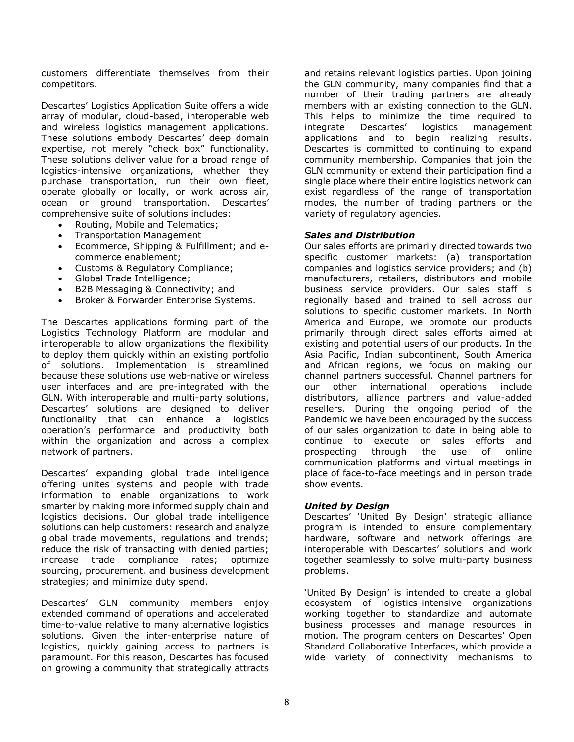customers differentiate themselves from their competitors.

Descartes' Logistics Application Suite offers a wide array of modular, cloud-based, interoperable web and wireless logistics management applications. These solutions embody Descartes' deep domain expertise, not merely "check box" functionality. These solutions deliver value for a broad range of logistics-intensive organizations, whether they purchase transportation, run their own fleet, operate globally or locally, or work across air, ocean or ground transportation. Descartes' comprehensive suite of solutions includes:

- Routing, Mobile and Telematics;
- Transportation Management
- Ecommerce, Shipping & Fulfillment; and ecommerce enablement;
- Customs & Regulatory Compliance;
- Global Trade Intelligence;
- B2B Messaging & Connectivity; and
- Broker & Forwarder Enterprise Systems.

The Descartes applications forming part of the Logistics Technology Platform are modular and interoperable to allow organizations the flexibility to deploy them quickly within an existing portfolio of solutions. Implementation is streamlined because these solutions use web-native or wireless user interfaces and are pre-integrated with the GLN. With interoperable and multi-party solutions, Descartes' solutions are designed to deliver functionality that can enhance a logistics operation's performance and productivity both within the organization and across a complex network of partners.

Descartes' expanding global trade intelligence offering unites systems and people with trade information to enable organizations to work smarter by making more informed supply chain and logistics decisions. Our global trade intelligence solutions can help customers: research and analyze global trade movements, regulations and trends; reduce the risk of transacting with denied parties; increase trade compliance rates; optimize sourcing, procurement, and business development strategies; and minimize duty spend.

Descartes' GLN community members enjoy extended command of operations and accelerated time-to-value relative to many alternative logistics solutions. Given the inter-enterprise nature of logistics, quickly gaining access to partners is paramount. For this reason, Descartes has focused on growing a community that strategically attracts and retains relevant logistics parties. Upon joining the GLN community, many companies find that a number of their trading partners are already members with an existing connection to the GLN. This helps to minimize the time required to integrate Descartes' logistics management applications and to begin realizing results. Descartes is committed to continuing to expand community membership. Companies that join the GLN community or extend their participation find a single place where their entire logistics network can exist regardless of the range of transportation modes, the number of trading partners or the variety of regulatory agencies.

### *Sales and Distribution*

Our sales efforts are primarily directed towards two specific customer markets: (a) transportation companies and logistics service providers; and (b) manufacturers, retailers, distributors and mobile business service providers. Our sales staff is regionally based and trained to sell across our solutions to specific customer markets. In North America and Europe, we promote our products primarily through direct sales efforts aimed at existing and potential users of our products. In the Asia Pacific, Indian subcontinent, South America and African regions, we focus on making our channel partners successful. Channel partners for our other international operations include distributors, alliance partners and value-added resellers. During the ongoing period of the Pandemic we have been encouraged by the success of our sales organization to date in being able to continue to execute on sales efforts and prospecting through the use of online communication platforms and virtual meetings in place of face-to-face meetings and in person trade show events.

### *United by Design*

Descartes' 'United By Design' strategic alliance program is intended to ensure complementary hardware, software and network offerings are interoperable with Descartes' solutions and work together seamlessly to solve multi-party business problems.

'United By Design' is intended to create a global ecosystem of logistics-intensive organizations working together to standardize and automate business processes and manage resources in motion. The program centers on Descartes' Open Standard Collaborative Interfaces, which provide a wide variety of connectivity mechanisms to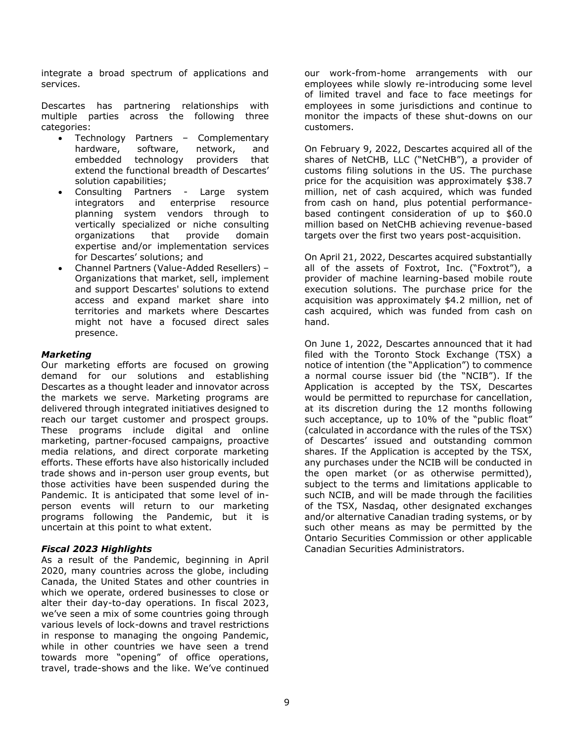integrate a broad spectrum of applications and services.

Descartes has partnering relationships with multiple parties across the following three categories:

- Technology Partners Complementary hardware, software, network, and embedded technology providers that extend the functional breadth of Descartes' solution capabilities;
- Consulting Partners Large system integrators and enterprise resource planning system vendors through to vertically specialized or niche consulting organizations that provide domain expertise and/or implementation services for Descartes' solutions; and
- Channel Partners (Value-Added Resellers) Organizations that market, sell, implement and support Descartes' solutions to extend access and expand market share into territories and markets where Descartes might not have a focused direct sales presence.

### *Marketing*

Our marketing efforts are focused on growing demand for our solutions and establishing Descartes as a thought leader and innovator across the markets we serve. Marketing programs are delivered through integrated initiatives designed to reach our target customer and prospect groups. These programs include digital and online marketing, partner-focused campaigns, proactive media relations, and direct corporate marketing efforts. These efforts have also historically included trade shows and in-person user group events, but those activities have been suspended during the Pandemic. It is anticipated that some level of inperson events will return to our marketing programs following the Pandemic, but it is uncertain at this point to what extent.

### *Fiscal 2023 Highlights*

As a result of the Pandemic, beginning in April 2020, many countries across the globe, including Canada, the United States and other countries in which we operate, ordered businesses to close or alter their day-to-day operations. In fiscal 2023, we've seen a mix of some countries going through various levels of lock-downs and travel restrictions in response to managing the ongoing Pandemic, while in other countries we have seen a trend towards more "opening" of office operations, travel, trade-shows and the like. We've continued our work-from-home arrangements with our employees while slowly re-introducing some level of limited travel and face to face meetings for employees in some jurisdictions and continue to monitor the impacts of these shut-downs on our customers.

On February 9, 2022, Descartes acquired all of the shares of NetCHB, LLC ("NetCHB"), a provider of customs filing solutions in the US. The purchase price for the acquisition was approximately \$38.7 million, net of cash acquired, which was funded from cash on hand, plus potential performancebased contingent consideration of up to \$60.0 million based on NetCHB achieving revenue-based targets over the first two years post-acquisition.

On April 21, 2022, Descartes acquired substantially all of the assets of Foxtrot, Inc. ("Foxtrot"), a provider of machine learning-based mobile route execution solutions. The purchase price for the acquisition was approximately \$4.2 million, net of cash acquired, which was funded from cash on hand.

On June 1, 2022, Descartes announced that it had filed with the Toronto Stock Exchange (TSX) a notice of intention (the "Application") to commence a normal course issuer bid (the "NCIB"). If the Application is accepted by the TSX, Descartes would be permitted to repurchase for cancellation, at its discretion during the 12 months following such acceptance, up to 10% of the "public float" (calculated in accordance with the rules of the TSX) of Descartes' issued and outstanding common shares. If the Application is accepted by the TSX, any purchases under the NCIB will be conducted in the open market (or as otherwise permitted), subject to the terms and limitations applicable to such NCIB, and will be made through the facilities of the TSX, Nasdaq, other designated exchanges and/or alternative Canadian trading systems, or by such other means as may be permitted by the Ontario Securities Commission or other applicable Canadian Securities Administrators.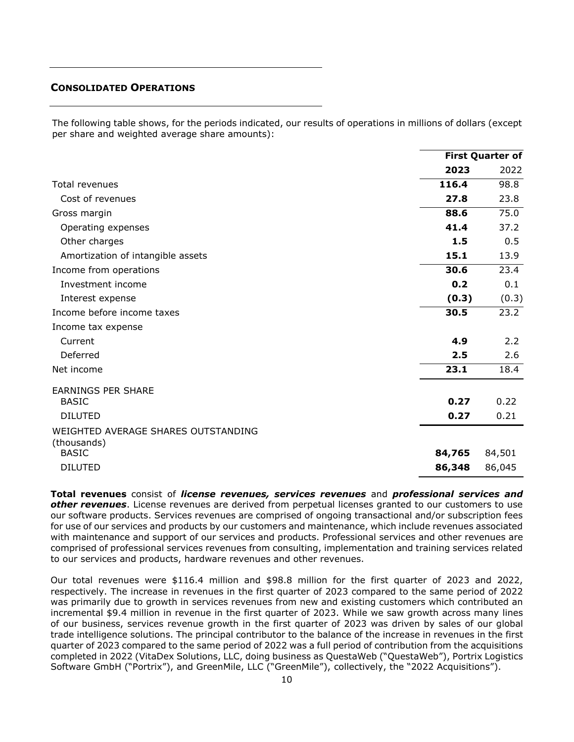### <span id="page-9-0"></span>**CONSOLIDATED OPERATIONS**

The following table shows, for the periods indicated, our results of operations in millions of dollars (except per share and weighted average share amounts):

|                                                    |        | <b>First Quarter of</b> |
|----------------------------------------------------|--------|-------------------------|
|                                                    | 2023   | 2022                    |
| Total revenues                                     | 116.4  | 98.8                    |
| Cost of revenues                                   | 27.8   | 23.8                    |
| Gross margin                                       | 88.6   | 75.0                    |
| Operating expenses                                 | 41.4   | 37.2                    |
| Other charges                                      | 1.5    | 0.5                     |
| Amortization of intangible assets                  | 15.1   | 13.9                    |
| Income from operations                             | 30.6   | 23.4                    |
| Investment income                                  | 0.2    | 0.1                     |
| Interest expense                                   | (0.3)  | (0.3)                   |
| Income before income taxes                         | 30.5   | 23.2                    |
| Income tax expense                                 |        |                         |
| Current                                            | 4.9    | 2.2                     |
| Deferred                                           | 2.5    | 2.6                     |
| Net income                                         | 23.1   | 18.4                    |
| <b>EARNINGS PER SHARE</b>                          |        |                         |
| <b>BASIC</b>                                       | 0.27   | 0.22                    |
| <b>DILUTED</b>                                     | 0.27   | 0.21                    |
| WEIGHTED AVERAGE SHARES OUTSTANDING<br>(thousands) |        |                         |
| <b>BASIC</b>                                       | 84,765 | 84,501                  |
| <b>DILUTED</b>                                     | 86,348 | 86,045                  |

**Total revenues** consist of *license revenues, services revenues* and *professional services and other revenues*. License revenues are derived from perpetual licenses granted to our customers to use our software products. Services revenues are comprised of ongoing transactional and/or subscription fees for use of our services and products by our customers and maintenance, which include revenues associated with maintenance and support of our services and products. Professional services and other revenues are comprised of professional services revenues from consulting, implementation and training services related to our services and products, hardware revenues and other revenues.

Our total revenues were \$116.4 million and \$98.8 million for the first quarter of 2023 and 2022, respectively. The increase in revenues in the first quarter of 2023 compared to the same period of 2022 was primarily due to growth in services revenues from new and existing customers which contributed an incremental \$9.4 million in revenue in the first quarter of 2023. While we saw growth across many lines of our business, services revenue growth in the first quarter of 2023 was driven by sales of our global trade intelligence solutions. The principal contributor to the balance of the increase in revenues in the first quarter of 2023 compared to the same period of 2022 was a full period of contribution from the acquisitions completed in 2022 (VitaDex Solutions, LLC, doing business as QuestaWeb ("QuestaWeb"), Portrix Logistics Software GmbH ("Portrix"), and GreenMile, LLC ("GreenMile"), collectively, the "2022 Acquisitions").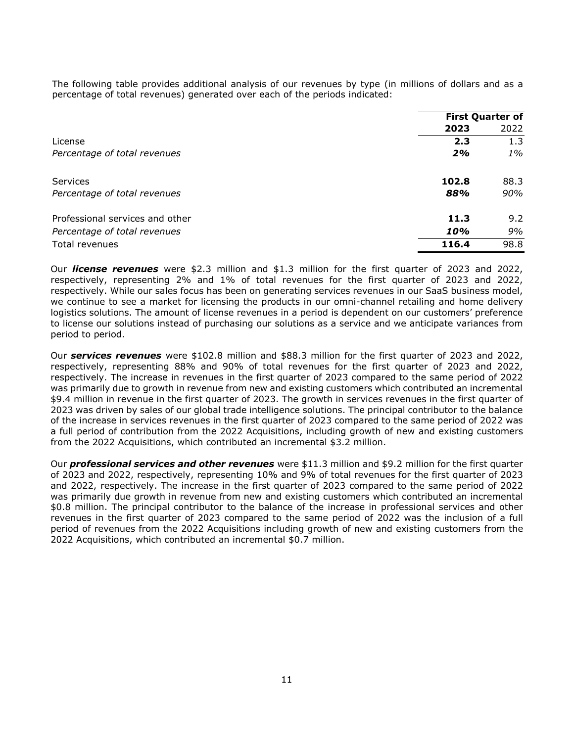The following table provides additional analysis of our revenues by type (in millions of dollars and as a percentage of total revenues) generated over each of the periods indicated:

|                                 |       | <b>First Quarter of</b> |
|---------------------------------|-------|-------------------------|
|                                 | 2023  | 2022                    |
| License                         | 2.3   | 1.3                     |
| Percentage of total revenues    | 2%    | 1%                      |
| <b>Services</b>                 | 102.8 | 88.3                    |
| Percentage of total revenues    | 88%   | 90%                     |
| Professional services and other | 11.3  | 9.2                     |
| Percentage of total revenues    | 10%   | 9%                      |
| Total revenues                  | 116.4 | 98.8                    |

Our *license revenues* were \$2.3 million and \$1.3 million for the first quarter of 2023 and 2022, respectively, representing 2% and 1% of total revenues for the first quarter of 2023 and 2022, respectively. While our sales focus has been on generating services revenues in our SaaS business model, we continue to see a market for licensing the products in our omni-channel retailing and home delivery logistics solutions. The amount of license revenues in a period is dependent on our customers' preference to license our solutions instead of purchasing our solutions as a service and we anticipate variances from period to period.

Our *services revenues* were \$102.8 million and \$88.3 million for the first quarter of 2023 and 2022, respectively, representing 88% and 90% of total revenues for the first quarter of 2023 and 2022, respectively. The increase in revenues in the first quarter of 2023 compared to the same period of 2022 was primarily due to growth in revenue from new and existing customers which contributed an incremental \$9.4 million in revenue in the first quarter of 2023. The growth in services revenues in the first quarter of 2023 was driven by sales of our global trade intelligence solutions. The principal contributor to the balance of the increase in services revenues in the first quarter of 2023 compared to the same period of 2022 was a full period of contribution from the 2022 Acquisitions, including growth of new and existing customers from the 2022 Acquisitions, which contributed an incremental \$3.2 million.

Our *professional services and other revenues* were \$11.3 million and \$9.2 million for the first quarter of 2023 and 2022, respectively, representing 10% and 9% of total revenues for the first quarter of 2023 and 2022, respectively. The increase in the first quarter of 2023 compared to the same period of 2022 was primarily due growth in revenue from new and existing customers which contributed an incremental \$0.8 million. The principal contributor to the balance of the increase in professional services and other revenues in the first quarter of 2023 compared to the same period of 2022 was the inclusion of a full period of revenues from the 2022 Acquisitions including growth of new and existing customers from the 2022 Acquisitions, which contributed an incremental \$0.7 million.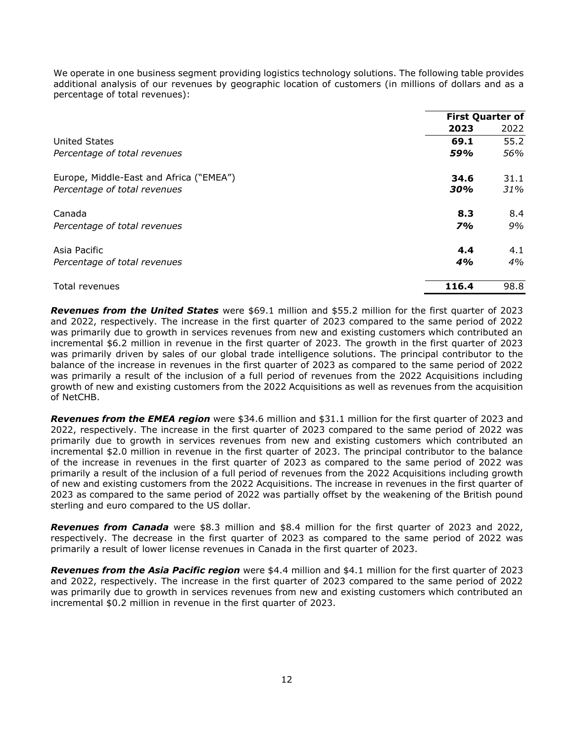We operate in one business segment providing logistics technology solutions. The following table provides additional analysis of our revenues by geographic location of customers (in millions of dollars and as a percentage of total revenues):

|                                         | <b>First Quarter of</b> |      |
|-----------------------------------------|-------------------------|------|
|                                         | 2023                    | 2022 |
| <b>United States</b>                    | 69.1                    | 55.2 |
| Percentage of total revenues            | 59%                     | 56%  |
| Europe, Middle-East and Africa ("EMEA") | 34.6                    | 31.1 |
| Percentage of total revenues            | 30%                     | 31%  |
| Canada                                  | 8.3                     | 8.4  |
| Percentage of total revenues            | <b>7%</b>               | 9%   |
| Asia Pacific                            | 4.4                     | 4.1  |
| Percentage of total revenues            | 4%                      | 4%   |
| Total revenues                          | 116.4                   | 98.8 |

*Revenues from the United States* were \$69.1 million and \$55.2 million for the first quarter of 2023 and 2022, respectively. The increase in the first quarter of 2023 compared to the same period of 2022 was primarily due to growth in services revenues from new and existing customers which contributed an incremental \$6.2 million in revenue in the first quarter of 2023. The growth in the first quarter of 2023 was primarily driven by sales of our global trade intelligence solutions. The principal contributor to the balance of the increase in revenues in the first quarter of 2023 as compared to the same period of 2022 was primarily a result of the inclusion of a full period of revenues from the 2022 Acquisitions including growth of new and existing customers from the 2022 Acquisitions as well as revenues from the acquisition of NetCHB.

*Revenues from the EMEA region* were \$34.6 million and \$31.1 million for the first quarter of 2023 and 2022, respectively. The increase in the first quarter of 2023 compared to the same period of 2022 was primarily due to growth in services revenues from new and existing customers which contributed an incremental \$2.0 million in revenue in the first quarter of 2023. The principal contributor to the balance of the increase in revenues in the first quarter of 2023 as compared to the same period of 2022 was primarily a result of the inclusion of a full period of revenues from the 2022 Acquisitions including growth of new and existing customers from the 2022 Acquisitions. The increase in revenues in the first quarter of 2023 as compared to the same period of 2022 was partially offset by the weakening of the British pound sterling and euro compared to the US dollar.

*Revenues from Canada* were \$8.3 million and \$8.4 million for the first quarter of 2023 and 2022, respectively. The decrease in the first quarter of 2023 as compared to the same period of 2022 was primarily a result of lower license revenues in Canada in the first quarter of 2023.

*Revenues from the Asia Pacific region* were \$4.4 million and \$4.1 million for the first quarter of 2023 and 2022, respectively. The increase in the first quarter of 2023 compared to the same period of 2022 was primarily due to growth in services revenues from new and existing customers which contributed an incremental \$0.2 million in revenue in the first quarter of 2023.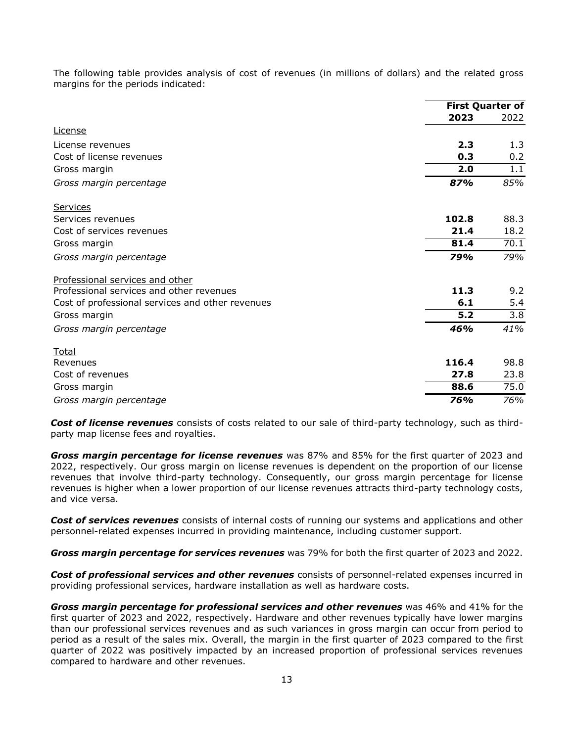The following table provides analysis of cost of revenues (in millions of dollars) and the related gross margins for the periods indicated:

|                                                  | <b>First Quarter of</b> |      |
|--------------------------------------------------|-------------------------|------|
|                                                  | 2023                    | 2022 |
| <b>License</b>                                   |                         |      |
| License revenues                                 | 2.3                     | 1.3  |
| Cost of license revenues                         | 0.3                     | 0.2  |
| Gross margin                                     | 2.0                     | 1.1  |
| Gross margin percentage                          | 87%                     | 85%  |
| Services                                         |                         |      |
| Services revenues                                | 102.8                   | 88.3 |
| Cost of services revenues                        | 21.4                    | 18.2 |
| Gross margin                                     | 81.4                    | 70.1 |
| Gross margin percentage                          | 79%                     | 79%  |
| Professional services and other                  |                         |      |
| Professional services and other revenues         | 11.3                    | 9.2  |
| Cost of professional services and other revenues | 6.1                     | 5.4  |
| Gross margin                                     | 5.2                     | 3.8  |
| Gross margin percentage                          | 46%                     | 41%  |
| <b>Total</b>                                     |                         |      |
| Revenues                                         | 116.4                   | 98.8 |
| Cost of revenues                                 | 27.8                    | 23.8 |
| Gross margin                                     | 88.6                    | 75.0 |
| Gross margin percentage                          | 76%                     | 76%  |

*Cost of license revenues* consists of costs related to our sale of third-party technology, such as thirdparty map license fees and royalties.

*Gross margin percentage for license revenues* was 87% and 85% for the first quarter of 2023 and 2022, respectively. Our gross margin on license revenues is dependent on the proportion of our license revenues that involve third-party technology. Consequently, our gross margin percentage for license revenues is higher when a lower proportion of our license revenues attracts third-party technology costs, and vice versa.

*Cost of services revenues* consists of internal costs of running our systems and applications and other personnel-related expenses incurred in providing maintenance, including customer support.

*Gross margin percentage for services revenues* was 79% for both the first quarter of 2023 and 2022.

*Cost of professional services and other revenues* consists of personnel-related expenses incurred in providing professional services, hardware installation as well as hardware costs.

*Gross margin percentage for professional services and other revenues* was 46% and 41% for the first quarter of 2023 and 2022, respectively. Hardware and other revenues typically have lower margins than our professional services revenues and as such variances in gross margin can occur from period to period as a result of the sales mix. Overall, the margin in the first quarter of 2023 compared to the first quarter of 2022 was positively impacted by an increased proportion of professional services revenues compared to hardware and other revenues.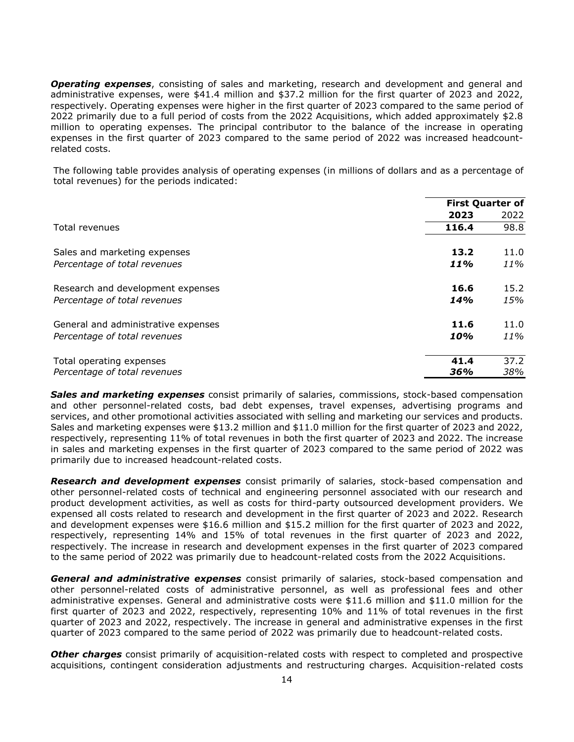*Operating expenses*, consisting of sales and marketing, research and development and general and administrative expenses, were \$41.4 million and \$37.2 million for the first quarter of 2023 and 2022, respectively. Operating expenses were higher in the first quarter of 2023 compared to the same period of 2022 primarily due to a full period of costs from the 2022 Acquisitions, which added approximately \$2.8 million to operating expenses. The principal contributor to the balance of the increase in operating expenses in the first quarter of 2023 compared to the same period of 2022 was increased headcountrelated costs.

The following table provides analysis of operating expenses (in millions of dollars and as a percentage of total revenues) for the periods indicated:

|                                     | <b>First Quarter of</b> |      |
|-------------------------------------|-------------------------|------|
|                                     | 2023                    | 2022 |
| Total revenues                      | 116.4                   | 98.8 |
| Sales and marketing expenses        | 13.2                    | 11.0 |
| Percentage of total revenues        | 11%                     | 11%  |
| Research and development expenses   | 16.6                    | 15.2 |
| Percentage of total revenues        | 14%                     | 15%  |
| General and administrative expenses | 11.6                    | 11.0 |
| Percentage of total revenues        | 10%                     | 11%  |
| Total operating expenses            | 41.4                    | 37.2 |
| Percentage of total revenues        | 36%                     | 38%  |

*Sales and marketing expenses* consist primarily of salaries, commissions, stock-based compensation and other personnel-related costs, bad debt expenses, travel expenses, advertising programs and services, and other promotional activities associated with selling and marketing our services and products. Sales and marketing expenses were \$13.2 million and \$11.0 million for the first quarter of 2023 and 2022, respectively, representing 11% of total revenues in both the first quarter of 2023 and 2022. The increase in sales and marketing expenses in the first quarter of 2023 compared to the same period of 2022 was primarily due to increased headcount-related costs.

*Research and development expenses* consist primarily of salaries, stock-based compensation and other personnel-related costs of technical and engineering personnel associated with our research and product development activities, as well as costs for third-party outsourced development providers. We expensed all costs related to research and development in the first quarter of 2023 and 2022. Research and development expenses were \$16.6 million and \$15.2 million for the first quarter of 2023 and 2022, respectively, representing 14% and 15% of total revenues in the first quarter of 2023 and 2022, respectively. The increase in research and development expenses in the first quarter of 2023 compared to the same period of 2022 was primarily due to headcount-related costs from the 2022 Acquisitions.

*General and administrative expenses* consist primarily of salaries, stock-based compensation and other personnel-related costs of administrative personnel, as well as professional fees and other administrative expenses. General and administrative costs were \$11.6 million and \$11.0 million for the first quarter of 2023 and 2022, respectively, representing 10% and 11% of total revenues in the first quarter of 2023 and 2022, respectively. The increase in general and administrative expenses in the first quarter of 2023 compared to the same period of 2022 was primarily due to headcount-related costs.

*Other charges* consist primarily of acquisition-related costs with respect to completed and prospective acquisitions, contingent consideration adjustments and restructuring charges. Acquisition-related costs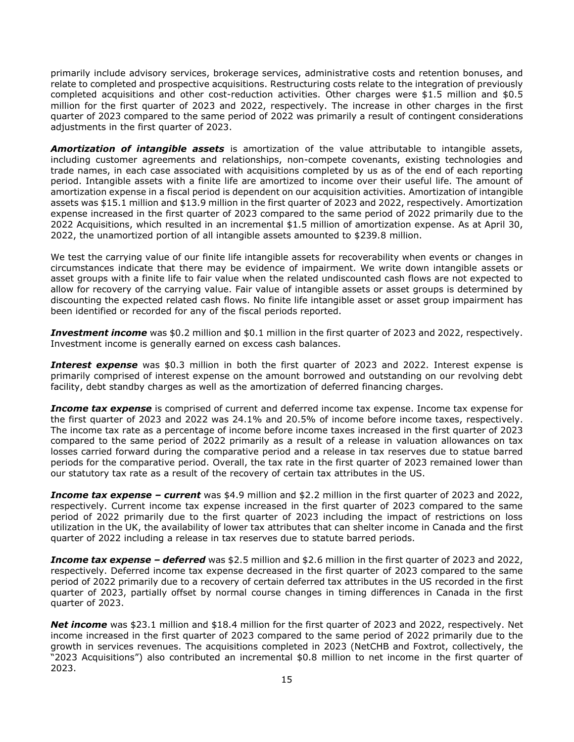primarily include advisory services, brokerage services, administrative costs and retention bonuses, and relate to completed and prospective acquisitions. Restructuring costs relate to the integration of previously completed acquisitions and other cost-reduction activities. Other charges were \$1.5 million and \$0.5 million for the first quarter of 2023 and 2022, respectively. The increase in other charges in the first quarter of 2023 compared to the same period of 2022 was primarily a result of contingent considerations adjustments in the first quarter of 2023.

*Amortization of intangible assets* is amortization of the value attributable to intangible assets, including customer agreements and relationships, non-compete covenants, existing technologies and trade names, in each case associated with acquisitions completed by us as of the end of each reporting period. Intangible assets with a finite life are amortized to income over their useful life. The amount of amortization expense in a fiscal period is dependent on our acquisition activities. Amortization of intangible assets was \$15.1 million and \$13.9 million in the first quarter of 2023 and 2022, respectively. Amortization expense increased in the first quarter of 2023 compared to the same period of 2022 primarily due to the 2022 Acquisitions, which resulted in an incremental \$1.5 million of amortization expense. As at April 30, 2022, the unamortized portion of all intangible assets amounted to \$239.8 million.

We test the carrying value of our finite life intangible assets for recoverability when events or changes in circumstances indicate that there may be evidence of impairment. We write down intangible assets or asset groups with a finite life to fair value when the related undiscounted cash flows are not expected to allow for recovery of the carrying value. Fair value of intangible assets or asset groups is determined by discounting the expected related cash flows. No finite life intangible asset or asset group impairment has been identified or recorded for any of the fiscal periods reported.

**Investment income** was \$0.2 million and \$0.1 million in the first quarter of 2023 and 2022, respectively. Investment income is generally earned on excess cash balances.

**Interest expense** was \$0.3 million in both the first quarter of 2023 and 2022. Interest expense is primarily comprised of interest expense on the amount borrowed and outstanding on our revolving debt facility, debt standby charges as well as the amortization of deferred financing charges.

**Income tax expense** is comprised of current and deferred income tax expense. Income tax expense for the first quarter of 2023 and 2022 was 24.1% and 20.5% of income before income taxes, respectively. The income tax rate as a percentage of income before income taxes increased in the first quarter of 2023 compared to the same period of 2022 primarily as a result of a release in valuation allowances on tax losses carried forward during the comparative period and a release in tax reserves due to statue barred periods for the comparative period. Overall, the tax rate in the first quarter of 2023 remained lower than our statutory tax rate as a result of the recovery of certain tax attributes in the US.

*Income tax expense – current* was \$4.9 million and \$2.2 million in the first quarter of 2023 and 2022, respectively. Current income tax expense increased in the first quarter of 2023 compared to the same period of 2022 primarily due to the first quarter of 2023 including the impact of restrictions on loss utilization in the UK, the availability of lower tax attributes that can shelter income in Canada and the first quarter of 2022 including a release in tax reserves due to statute barred periods.

*Income tax expense – deferred* was \$2.5 million and \$2.6 million in the first quarter of 2023 and 2022, respectively. Deferred income tax expense decreased in the first quarter of 2023 compared to the same period of 2022 primarily due to a recovery of certain deferred tax attributes in the US recorded in the first quarter of 2023, partially offset by normal course changes in timing differences in Canada in the first quarter of 2023.

*Net income* was \$23.1 million and \$18.4 million for the first quarter of 2023 and 2022, respectively. Net income increased in the first quarter of 2023 compared to the same period of 2022 primarily due to the growth in services revenues. The acquisitions completed in 2023 (NetCHB and Foxtrot, collectively, the "2023 Acquisitions") also contributed an incremental \$0.8 million to net income in the first quarter of 2023.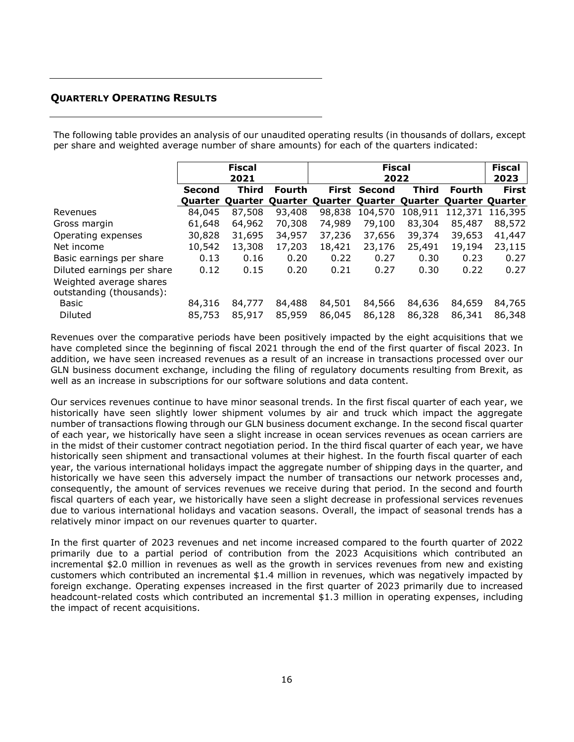# <span id="page-15-0"></span>**QUARTERLY OPERATING RESULTS**

The following table provides an analysis of our unaudited operating results (in thousands of dollars, except per share and weighted average number of share amounts) for each of the quarters indicated:

|                                                                                   | <b>Fiscal</b><br>2021 |                  |                  | <b>Fiscal</b><br>2022           |                  |                  | <b>Fiscal</b><br>2023          |                  |
|-----------------------------------------------------------------------------------|-----------------------|------------------|------------------|---------------------------------|------------------|------------------|--------------------------------|------------------|
|                                                                                   | <b>Second</b>         | <b>Third</b>     | <b>Fourth</b>    | First                           | <b>Second</b>    | <b>Third</b>     | <b>Fourth</b>                  | <b>First</b>     |
|                                                                                   | <b>Ouarter</b>        |                  |                  | Quarter Quarter Quarter Quarter |                  |                  | <b>Quarter Quarter Quarter</b> |                  |
| Revenues                                                                          | 84,045                | 87,508           | 93,408           | 98,838                          | 104,570          | 108,911          | 112,371                        | 116,395          |
| Gross margin                                                                      | 61,648                | 64,962           | 70,308           | 74,989                          | 79,100           | 83,304           | 85,487                         | 88,572           |
| Operating expenses                                                                | 30,828                | 31,695           | 34,957           | 37,236                          | 37,656           | 39,374           | 39,653                         | 41,447           |
| Net income                                                                        | 10,542                | 13,308           | 17,203           | 18,421                          | 23,176           | 25,491           | 19,194                         | 23,115           |
| Basic earnings per share                                                          | 0.13                  | 0.16             | 0.20             | 0.22                            | 0.27             | 0.30             | 0.23                           | 0.27             |
| Diluted earnings per share<br>Weighted average shares<br>outstanding (thousands): | 0.12                  | 0.15             | 0.20             | 0.21                            | 0.27             | 0.30             | 0.22                           | 0.27             |
| Basic<br><b>Diluted</b>                                                           | 84,316<br>85,753      | 84,777<br>85,917 | 84,488<br>85,959 | 84,501<br>86,045                | 84,566<br>86,128 | 84,636<br>86,328 | 84,659<br>86,341               | 84,765<br>86,348 |

Revenues over the comparative periods have been positively impacted by the eight acquisitions that we have completed since the beginning of fiscal 2021 through the end of the first quarter of fiscal 2023. In addition, we have seen increased revenues as a result of an increase in transactions processed over our GLN business document exchange, including the filing of regulatory documents resulting from Brexit, as well as an increase in subscriptions for our software solutions and data content.

Our services revenues continue to have minor seasonal trends. In the first fiscal quarter of each year, we historically have seen slightly lower shipment volumes by air and truck which impact the aggregate number of transactions flowing through our GLN business document exchange. In the second fiscal quarter of each year, we historically have seen a slight increase in ocean services revenues as ocean carriers are in the midst of their customer contract negotiation period. In the third fiscal quarter of each year, we have historically seen shipment and transactional volumes at their highest. In the fourth fiscal quarter of each year, the various international holidays impact the aggregate number of shipping days in the quarter, and historically we have seen this adversely impact the number of transactions our network processes and, consequently, the amount of services revenues we receive during that period. In the second and fourth fiscal quarters of each year, we historically have seen a slight decrease in professional services revenues due to various international holidays and vacation seasons. Overall, the impact of seasonal trends has a relatively minor impact on our revenues quarter to quarter.

In the first quarter of 2023 revenues and net income increased compared to the fourth quarter of 2022 primarily due to a partial period of contribution from the 2023 Acquisitions which contributed an incremental \$2.0 million in revenues as well as the growth in services revenues from new and existing customers which contributed an incremental \$1.4 million in revenues, which was negatively impacted by foreign exchange. Operating expenses increased in the first quarter of 2023 primarily due to increased headcount-related costs which contributed an incremental \$1.3 million in operating expenses, including the impact of recent acquisitions.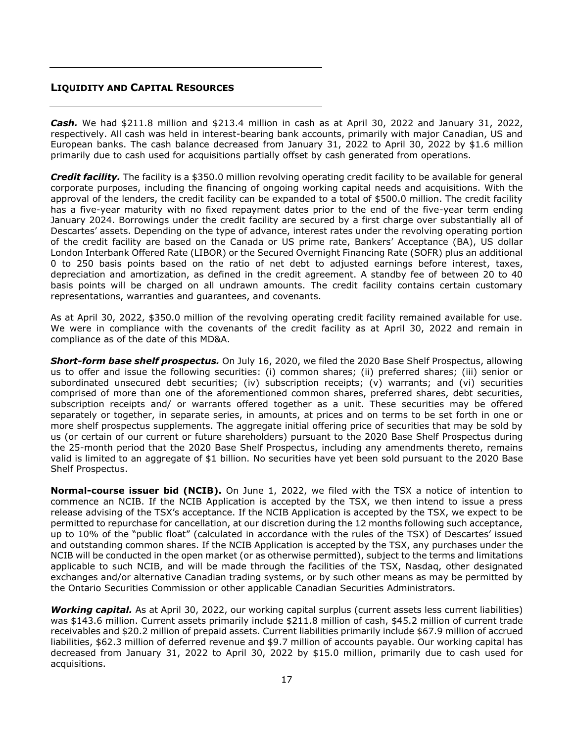# <span id="page-16-0"></span>**LIQUIDITY AND CAPITAL RESOURCES**

*Cash.* We had \$211.8 million and \$213.4 million in cash as at April 30, 2022 and January 31, 2022, respectively. All cash was held in interest-bearing bank accounts, primarily with major Canadian, US and European banks. The cash balance decreased from January 31, 2022 to April 30, 2022 by \$1.6 million primarily due to cash used for acquisitions partially offset by cash generated from operations.

*Credit facility.* The facility is a \$350.0 million revolving operating credit facility to be available for general corporate purposes, including the financing of ongoing working capital needs and acquisitions. With the approval of the lenders, the credit facility can be expanded to a total of \$500.0 million. The credit facility has a five-year maturity with no fixed repayment dates prior to the end of the five-year term ending January 2024. Borrowings under the credit facility are secured by a first charge over substantially all of Descartes' assets. Depending on the type of advance, interest rates under the revolving operating portion of the credit facility are based on the Canada or US prime rate, Bankers' Acceptance (BA), US dollar London Interbank Offered Rate (LIBOR) or the Secured Overnight Financing Rate (SOFR) plus an additional 0 to 250 basis points based on the ratio of net debt to adjusted earnings before interest, taxes, depreciation and amortization, as defined in the credit agreement. A standby fee of between 20 to 40 basis points will be charged on all undrawn amounts. The credit facility contains certain customary representations, warranties and guarantees, and covenants.

As at April 30, 2022, \$350.0 million of the revolving operating credit facility remained available for use. We were in compliance with the covenants of the credit facility as at April 30, 2022 and remain in compliance as of the date of this MD&A.

*Short-form base shelf prospectus.* On July 16, 2020, we filed the 2020 Base Shelf Prospectus, allowing us to offer and issue the following securities: (i) common shares; (ii) preferred shares; (iii) senior or subordinated unsecured debt securities; (iv) subscription receipts; (v) warrants; and (vi) securities comprised of more than one of the aforementioned common shares, preferred shares, debt securities, subscription receipts and/ or warrants offered together as a unit. These securities may be offered separately or together, in separate series, in amounts, at prices and on terms to be set forth in one or more shelf prospectus supplements. The aggregate initial offering price of securities that may be sold by us (or certain of our current or future shareholders) pursuant to the 2020 Base Shelf Prospectus during the 25-month period that the 2020 Base Shelf Prospectus, including any amendments thereto, remains valid is limited to an aggregate of \$1 billion. No securities have yet been sold pursuant to the 2020 Base Shelf Prospectus.

**Normal-course issuer bid (NCIB).** On June 1, 2022, we filed with the TSX a notice of intention to commence an NCIB. If the NCIB Application is accepted by the TSX, we then intend to issue a press release advising of the TSX's acceptance. If the NCIB Application is accepted by the TSX, we expect to be permitted to repurchase for cancellation, at our discretion during the 12 months following such acceptance, up to 10% of the "public float" (calculated in accordance with the rules of the TSX) of Descartes' issued and outstanding common shares. If the NCIB Application is accepted by the TSX, any purchases under the NCIB will be conducted in the open market (or as otherwise permitted), subject to the terms and limitations applicable to such NCIB, and will be made through the facilities of the TSX, Nasdaq, other designated exchanges and/or alternative Canadian trading systems, or by such other means as may be permitted by the Ontario Securities Commission or other applicable Canadian Securities Administrators.

*Working capital.* As at April 30, 2022, our working capital surplus (current assets less current liabilities) was \$143.6 million. Current assets primarily include \$211.8 million of cash, \$45.2 million of current trade receivables and \$20.2 million of prepaid assets. Current liabilities primarily include \$67.9 million of accrued liabilities, \$62.3 million of deferred revenue and \$9.7 million of accounts payable. Our working capital has decreased from January 31, 2022 to April 30, 2022 by \$15.0 million, primarily due to cash used for acquisitions.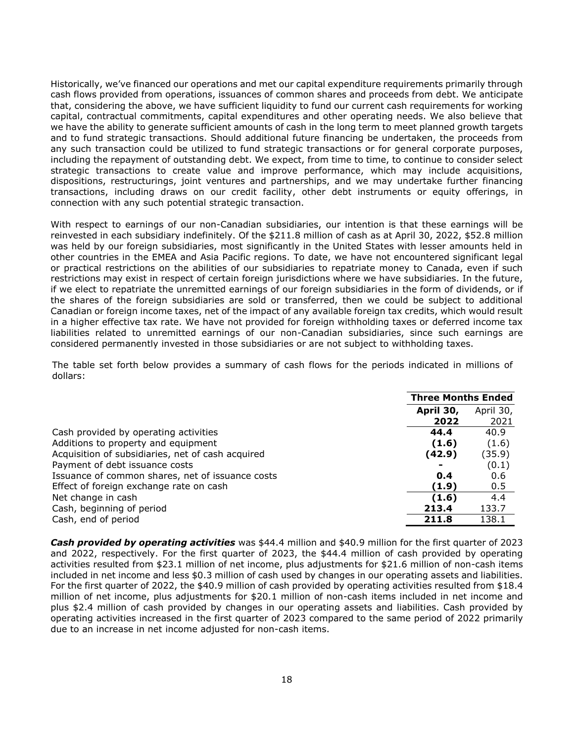Historically, we've financed our operations and met our capital expenditure requirements primarily through cash flows provided from operations, issuances of common shares and proceeds from debt. We anticipate that, considering the above, we have sufficient liquidity to fund our current cash requirements for working capital, contractual commitments, capital expenditures and other operating needs. We also believe that we have the ability to generate sufficient amounts of cash in the long term to meet planned growth targets and to fund strategic transactions. Should additional future financing be undertaken, the proceeds from any such transaction could be utilized to fund strategic transactions or for general corporate purposes, including the repayment of outstanding debt. We expect, from time to time, to continue to consider select strategic transactions to create value and improve performance, which may include acquisitions, dispositions, restructurings, joint ventures and partnerships, and we may undertake further financing transactions, including draws on our credit facility, other debt instruments or equity offerings, in connection with any such potential strategic transaction.

With respect to earnings of our non-Canadian subsidiaries, our intention is that these earnings will be reinvested in each subsidiary indefinitely. Of the \$211.8 million of cash as at April 30, 2022, \$52.8 million was held by our foreign subsidiaries, most significantly in the United States with lesser amounts held in other countries in the EMEA and Asia Pacific regions. To date, we have not encountered significant legal or practical restrictions on the abilities of our subsidiaries to repatriate money to Canada, even if such restrictions may exist in respect of certain foreign jurisdictions where we have subsidiaries. In the future, if we elect to repatriate the unremitted earnings of our foreign subsidiaries in the form of dividends, or if the shares of the foreign subsidiaries are sold or transferred, then we could be subject to additional Canadian or foreign income taxes, net of the impact of any available foreign tax credits, which would result in a higher effective tax rate. We have not provided for foreign withholding taxes or deferred income tax liabilities related to unremitted earnings of our non-Canadian subsidiaries, since such earnings are considered permanently invested in those subsidiaries or are not subject to withholding taxes.

The table set forth below provides a summary of cash flows for the periods indicated in millions of dollars:

|                                                   | <b>Three Months Ended</b> |           |
|---------------------------------------------------|---------------------------|-----------|
|                                                   | April 30,                 | April 30, |
|                                                   | 2022                      | 2021      |
| Cash provided by operating activities             | 44.4                      | 40.9      |
| Additions to property and equipment               | (1.6)                     | (1.6)     |
| Acquisition of subsidiaries, net of cash acquired | (42.9)                    | (35.9)    |
| Payment of debt issuance costs                    | ۰                         | (0.1)     |
| Issuance of common shares, net of issuance costs  | 0.4                       | 0.6       |
| Effect of foreign exchange rate on cash           | (1.9)                     | 0.5       |
| Net change in cash                                | (1.6)                     | 4.4       |
| Cash, beginning of period                         | 213.4                     | 133.7     |
| Cash, end of period                               | 211.8                     | 138.1     |

*Cash provided by operating activities* was \$44.4 million and \$40.9 million for the first quarter of 2023 and 2022, respectively. For the first quarter of 2023, the \$44.4 million of cash provided by operating activities resulted from \$23.1 million of net income, plus adjustments for \$21.6 million of non-cash items included in net income and less \$0.3 million of cash used by changes in our operating assets and liabilities. For the first quarter of 2022, the \$40.9 million of cash provided by operating activities resulted from \$18.4 million of net income, plus adjustments for \$20.1 million of non-cash items included in net income and plus \$2.4 million of cash provided by changes in our operating assets and liabilities. Cash provided by operating activities increased in the first quarter of 2023 compared to the same period of 2022 primarily due to an increase in net income adjusted for non-cash items.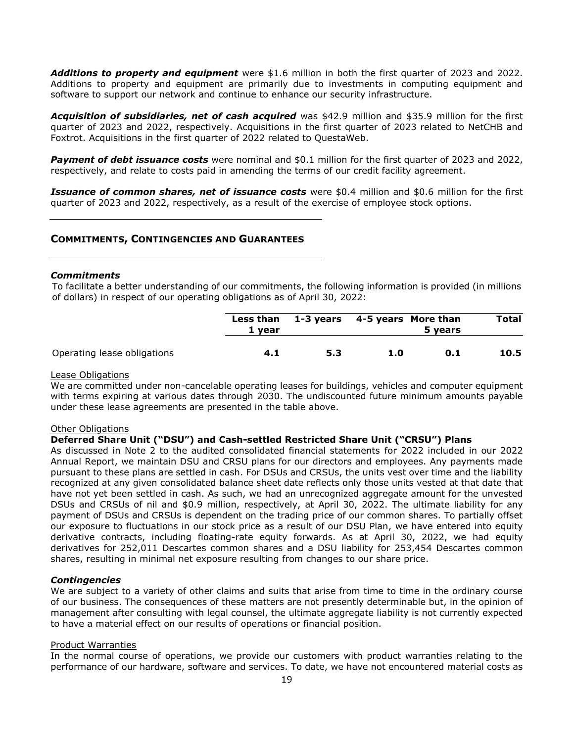*Additions to property and equipment* were \$1.6 million in both the first quarter of 2023 and 2022. Additions to property and equipment are primarily due to investments in computing equipment and software to support our network and continue to enhance our security infrastructure.

*Acquisition of subsidiaries, net of cash acquired* was \$42.9 million and \$35.9 million for the first quarter of 2023 and 2022, respectively. Acquisitions in the first quarter of 2023 related to NetCHB and Foxtrot. Acquisitions in the first quarter of 2022 related to QuestaWeb.

*Payment of debt issuance costs* were nominal and \$0.1 million for the first quarter of 2023 and 2022, respectively, and relate to costs paid in amending the terms of our credit facility agreement.

**Issuance of common shares, net of issuance costs** were \$0.4 million and \$0.6 million for the first quarter of 2023 and 2022, respectively, as a result of the exercise of employee stock options.

### <span id="page-18-0"></span>**COMMITMENTS, CONTINGENCIES AND GUARANTEES**

### *Commitments*

To facilitate a better understanding of our commitments, the following information is provided (in millions of dollars) in respect of our operating obligations as of April 30, 2022:

|                             | 1 vear | Less than 1-3 years 4-5 years More than |     | 5 years | <b>Total</b> |
|-----------------------------|--------|-----------------------------------------|-----|---------|--------------|
| Operating lease obligations | 4.1    | 5.3                                     | 1.0 | 0.1     | 10.5         |

#### Lease Obligations

We are committed under non-cancelable operating leases for buildings, vehicles and computer equipment with terms expiring at various dates through 2030. The undiscounted future minimum amounts payable under these lease agreements are presented in the table above.

#### Other Obligations

### **Deferred Share Unit ("DSU") and Cash-settled Restricted Share Unit ("CRSU") Plans**

As discussed in Note 2 to the audited consolidated financial statements for 2022 included in our 2022 Annual Report, we maintain DSU and CRSU plans for our directors and employees. Any payments made pursuant to these plans are settled in cash. For DSUs and CRSUs, the units vest over time and the liability recognized at any given consolidated balance sheet date reflects only those units vested at that date that have not yet been settled in cash. As such, we had an unrecognized aggregate amount for the unvested DSUs and CRSUs of nil and \$0.9 million, respectively, at April 30, 2022. The ultimate liability for any payment of DSUs and CRSUs is dependent on the trading price of our common shares. To partially offset our exposure to fluctuations in our stock price as a result of our DSU Plan, we have entered into equity derivative contracts, including floating-rate equity forwards. As at April 30, 2022, we had equity derivatives for 252,011 Descartes common shares and a DSU liability for 253,454 Descartes common shares, resulting in minimal net exposure resulting from changes to our share price.

### *Contingencies*

We are subject to a variety of other claims and suits that arise from time to time in the ordinary course of our business. The consequences of these matters are not presently determinable but, in the opinion of management after consulting with legal counsel, the ultimate aggregate liability is not currently expected to have a material effect on our results of operations or financial position.

#### Product Warranties

In the normal course of operations, we provide our customers with product warranties relating to the performance of our hardware, software and services. To date, we have not encountered material costs as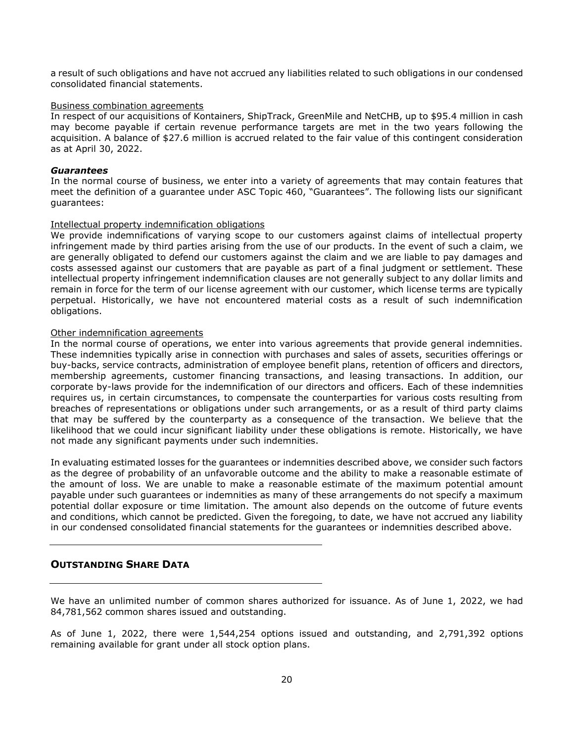a result of such obligations and have not accrued any liabilities related to such obligations in our condensed consolidated financial statements.

#### Business combination agreements

In respect of our acquisitions of Kontainers, ShipTrack, GreenMile and NetCHB, up to \$95.4 million in cash may become payable if certain revenue performance targets are met in the two years following the acquisition. A balance of \$27.6 million is accrued related to the fair value of this contingent consideration as at April 30, 2022.

### *Guarantees*

In the normal course of business, we enter into a variety of agreements that may contain features that meet the definition of a guarantee under ASC Topic 460, "Guarantees". The following lists our significant guarantees:

### Intellectual property indemnification obligations

We provide indemnifications of varying scope to our customers against claims of intellectual property infringement made by third parties arising from the use of our products. In the event of such a claim, we are generally obligated to defend our customers against the claim and we are liable to pay damages and costs assessed against our customers that are payable as part of a final judgment or settlement. These intellectual property infringement indemnification clauses are not generally subject to any dollar limits and remain in force for the term of our license agreement with our customer, which license terms are typically perpetual. Historically, we have not encountered material costs as a result of such indemnification obligations.

### Other indemnification agreements

In the normal course of operations, we enter into various agreements that provide general indemnities. These indemnities typically arise in connection with purchases and sales of assets, securities offerings or buy-backs, service contracts, administration of employee benefit plans, retention of officers and directors, membership agreements, customer financing transactions, and leasing transactions. In addition, our corporate by-laws provide for the indemnification of our directors and officers. Each of these indemnities requires us, in certain circumstances, to compensate the counterparties for various costs resulting from breaches of representations or obligations under such arrangements, or as a result of third party claims that may be suffered by the counterparty as a consequence of the transaction. We believe that the likelihood that we could incur significant liability under these obligations is remote. Historically, we have not made any significant payments under such indemnities.

In evaluating estimated losses for the guarantees or indemnities described above, we consider such factors as the degree of probability of an unfavorable outcome and the ability to make a reasonable estimate of the amount of loss. We are unable to make a reasonable estimate of the maximum potential amount payable under such guarantees or indemnities as many of these arrangements do not specify a maximum potential dollar exposure or time limitation. The amount also depends on the outcome of future events and conditions, which cannot be predicted. Given the foregoing, to date, we have not accrued any liability in our condensed consolidated financial statements for the guarantees or indemnities described above.

### <span id="page-19-0"></span>**OUTSTANDING SHARE DATA**

We have an unlimited number of common shares authorized for issuance. As of June 1, 2022, we had 84,781,562 common shares issued and outstanding.

As of June 1, 2022, there were 1,544,254 options issued and outstanding, and 2,791,392 options remaining available for grant under all stock option plans.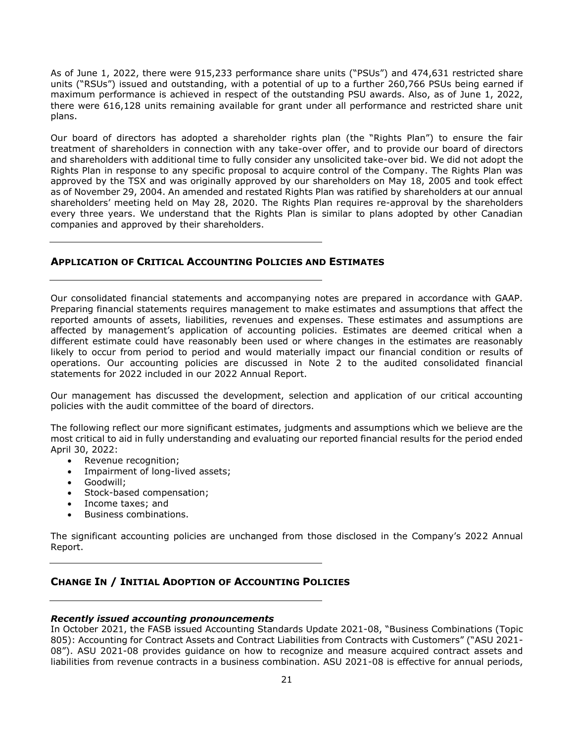As of June 1, 2022, there were 915,233 performance share units ("PSUs") and 474,631 restricted share units ("RSUs") issued and outstanding, with a potential of up to a further 260,766 PSUs being earned if maximum performance is achieved in respect of the outstanding PSU awards. Also, as of June 1, 2022, there were 616,128 units remaining available for grant under all performance and restricted share unit plans.

Our board of directors has adopted a shareholder rights plan (the "Rights Plan") to ensure the fair treatment of shareholders in connection with any take-over offer, and to provide our board of directors and shareholders with additional time to fully consider any unsolicited take-over bid. We did not adopt the Rights Plan in response to any specific proposal to acquire control of the Company. The Rights Plan was approved by the TSX and was originally approved by our shareholders on May 18, 2005 and took effect as of November 29, 2004. An amended and restated Rights Plan was ratified by shareholders at our annual shareholders' meeting held on May 28, 2020. The Rights Plan requires re-approval by the shareholders every three years. We understand that the Rights Plan is similar to plans adopted by other Canadian companies and approved by their shareholders.

### <span id="page-20-0"></span>**APPLICATION OF CRITICAL ACCOUNTING POLICIES AND ESTIMATES**

Our consolidated financial statements and accompanying notes are prepared in accordance with GAAP. Preparing financial statements requires management to make estimates and assumptions that affect the reported amounts of assets, liabilities, revenues and expenses. These estimates and assumptions are affected by management's application of accounting policies. Estimates are deemed critical when a different estimate could have reasonably been used or where changes in the estimates are reasonably likely to occur from period to period and would materially impact our financial condition or results of operations. Our accounting policies are discussed in Note 2 to the audited consolidated financial statements for 2022 included in our 2022 Annual Report.

Our management has discussed the development, selection and application of our critical accounting policies with the audit committee of the board of directors.

The following reflect our more significant estimates, judgments and assumptions which we believe are the most critical to aid in fully understanding and evaluating our reported financial results for the period ended April 30, 2022:

- Revenue recognition:
- Impairment of long-lived assets;
- Goodwill;
- Stock-based compensation;
- Income taxes; and
- Business combinations.

The significant accounting policies are unchanged from those disclosed in the Company's 2022 Annual Report.

# <span id="page-20-1"></span>**CHANGE IN / INITIAL ADOPTION OF ACCOUNTING POLICIES**

### *Recently issued accounting pronouncements*

In October 2021, the FASB issued Accounting Standards Update 2021-08, "Business Combinations (Topic 805): Accounting for Contract Assets and Contract Liabilities from Contracts with Customers" ("ASU 2021- 08"). ASU 2021-08 provides guidance on how to recognize and measure acquired contract assets and liabilities from revenue contracts in a business combination. ASU 2021-08 is effective for annual periods,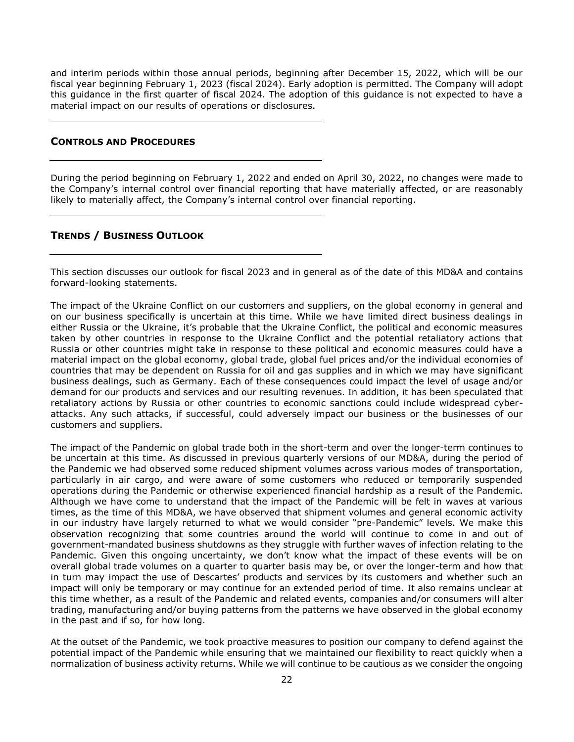and interim periods within those annual periods, beginning after December 15, 2022, which will be our fiscal year beginning February 1, 2023 (fiscal 2024). Early adoption is permitted. The Company will adopt this guidance in the first quarter of fiscal 2024. The adoption of this guidance is not expected to have a material impact on our results of operations or disclosures.

### <span id="page-21-0"></span>**CONTROLS AND PROCEDURES**

During the period beginning on February 1, 2022 and ended on April 30, 2022, no changes were made to the Company's internal control over financial reporting that have materially affected, or are reasonably likely to materially affect, the Company's internal control over financial reporting.

### <span id="page-21-1"></span>**TRENDS / BUSINESS OUTLOOK**

This section discusses our outlook for fiscal 2023 and in general as of the date of this MD&A and contains forward-looking statements.

The impact of the Ukraine Conflict on our customers and suppliers, on the global economy in general and on our business specifically is uncertain at this time. While we have limited direct business dealings in either Russia or the Ukraine, it's probable that the Ukraine Conflict, the political and economic measures taken by other countries in response to the Ukraine Conflict and the potential retaliatory actions that Russia or other countries might take in response to these political and economic measures could have a material impact on the global economy, global trade, global fuel prices and/or the individual economies of countries that may be dependent on Russia for oil and gas supplies and in which we may have significant business dealings, such as Germany. Each of these consequences could impact the level of usage and/or demand for our products and services and our resulting revenues. In addition, it has been speculated that retaliatory actions by Russia or other countries to economic sanctions could include widespread cyberattacks. Any such attacks, if successful, could adversely impact our business or the businesses of our customers and suppliers.

The impact of the Pandemic on global trade both in the short-term and over the longer-term continues to be uncertain at this time. As discussed in previous quarterly versions of our MD&A, during the period of the Pandemic we had observed some reduced shipment volumes across various modes of transportation, particularly in air cargo, and were aware of some customers who reduced or temporarily suspended operations during the Pandemic or otherwise experienced financial hardship as a result of the Pandemic. Although we have come to understand that the impact of the Pandemic will be felt in waves at various times, as the time of this MD&A, we have observed that shipment volumes and general economic activity in our industry have largely returned to what we would consider "pre-Pandemic" levels. We make this observation recognizing that some countries around the world will continue to come in and out of government-mandated business shutdowns as they struggle with further waves of infection relating to the Pandemic. Given this ongoing uncertainty, we don't know what the impact of these events will be on overall global trade volumes on a quarter to quarter basis may be, or over the longer-term and how that in turn may impact the use of Descartes' products and services by its customers and whether such an impact will only be temporary or may continue for an extended period of time. It also remains unclear at this time whether, as a result of the Pandemic and related events, companies and/or consumers will alter trading, manufacturing and/or buying patterns from the patterns we have observed in the global economy in the past and if so, for how long.

At the outset of the Pandemic, we took proactive measures to position our company to defend against the potential impact of the Pandemic while ensuring that we maintained our flexibility to react quickly when a normalization of business activity returns. While we will continue to be cautious as we consider the ongoing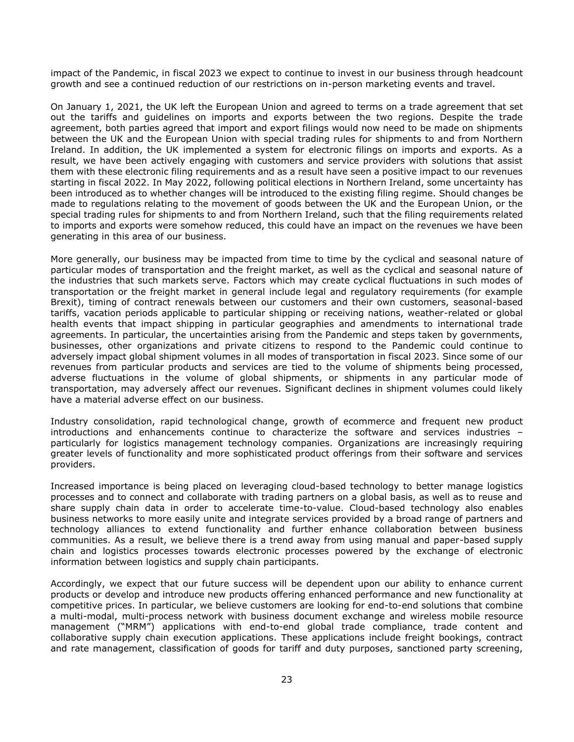impact of the Pandemic, in fiscal 2023 we expect to continue to invest in our business through headcount growth and see a continued reduction of our restrictions on in-person marketing events and travel.

On January 1, 2021, the UK left the European Union and agreed to terms on a trade agreement that set out the tariffs and guidelines on imports and exports between the two regions. Despite the trade agreement, both parties agreed that import and export filings would now need to be made on shipments between the UK and the European Union with special trading rules for shipments to and from Northern Ireland. In addition, the UK implemented a system for electronic filings on imports and exports. As a result, we have been actively engaging with customers and service providers with solutions that assist them with these electronic filing requirements and as a result have seen a positive impact to our revenues starting in fiscal 2022. In May 2022, following political elections in Northern Ireland, some uncertainty has been introduced as to whether changes will be introduced to the existing filing regime. Should changes be made to regulations relating to the movement of goods between the UK and the European Union, or the special trading rules for shipments to and from Northern Ireland, such that the filing requirements related to imports and exports were somehow reduced, this could have an impact on the revenues we have been generating in this area of our business.

More generally, our business may be impacted from time to time by the cyclical and seasonal nature of particular modes of transportation and the freight market, as well as the cyclical and seasonal nature of the industries that such markets serve. Factors which may create cyclical fluctuations in such modes of transportation or the freight market in general include legal and regulatory requirements (for example Brexit), timing of contract renewals between our customers and their own customers, seasonal-based tariffs, vacation periods applicable to particular shipping or receiving nations, weather-related or global health events that impact shipping in particular geographies and amendments to international trade agreements. In particular, the uncertainties arising from the Pandemic and steps taken by governments, businesses, other organizations and private citizens to respond to the Pandemic could continue to adversely impact global shipment volumes in all modes of transportation in fiscal 2023. Since some of our revenues from particular products and services are tied to the volume of shipments being processed, adverse fluctuations in the volume of global shipments, or shipments in any particular mode of transportation, may adversely affect our revenues. Significant declines in shipment volumes could likely have a material adverse effect on our business.

Industry consolidation, rapid technological change, growth of ecommerce and frequent new product introductions and enhancements continue to characterize the software and services industries – particularly for logistics management technology companies. Organizations are increasingly requiring greater levels of functionality and more sophisticated product offerings from their software and services providers.

Increased importance is being placed on leveraging cloud-based technology to better manage logistics processes and to connect and collaborate with trading partners on a global basis, as well as to reuse and share supply chain data in order to accelerate time-to-value. Cloud-based technology also enables business networks to more easily unite and integrate services provided by a broad range of partners and technology alliances to extend functionality and further enhance collaboration between business communities. As a result, we believe there is a trend away from using manual and paper-based supply chain and logistics processes towards electronic processes powered by the exchange of electronic information between logistics and supply chain participants.

Accordingly, we expect that our future success will be dependent upon our ability to enhance current products or develop and introduce new products offering enhanced performance and new functionality at competitive prices. In particular, we believe customers are looking for end-to-end solutions that combine a multi-modal, multi-process network with business document exchange and wireless mobile resource management ("MRM") applications with end-to-end global trade compliance, trade content and collaborative supply chain execution applications. These applications include freight bookings, contract and rate management, classification of goods for tariff and duty purposes, sanctioned party screening,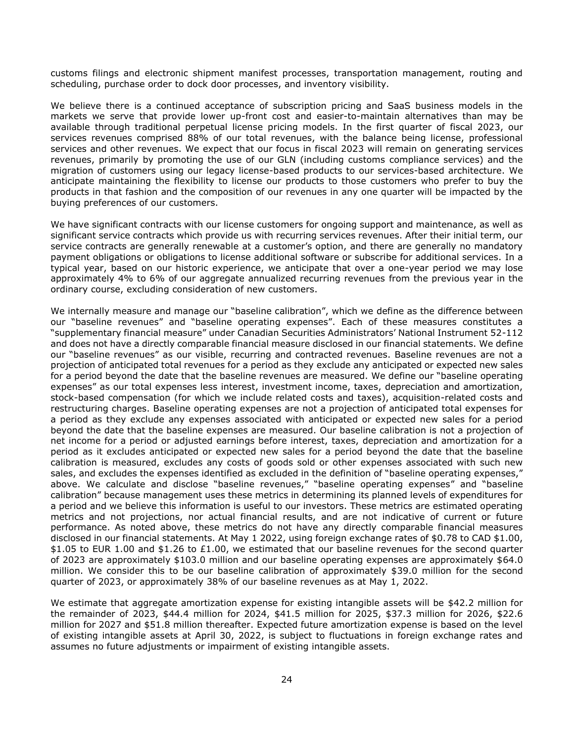customs filings and electronic shipment manifest processes, transportation management, routing and scheduling, purchase order to dock door processes, and inventory visibility.

We believe there is a continued acceptance of subscription pricing and SaaS business models in the markets we serve that provide lower up-front cost and easier-to-maintain alternatives than may be available through traditional perpetual license pricing models. In the first quarter of fiscal 2023, our services revenues comprised 88% of our total revenues, with the balance being license, professional services and other revenues. We expect that our focus in fiscal 2023 will remain on generating services revenues, primarily by promoting the use of our GLN (including customs compliance services) and the migration of customers using our legacy license-based products to our services-based architecture. We anticipate maintaining the flexibility to license our products to those customers who prefer to buy the products in that fashion and the composition of our revenues in any one quarter will be impacted by the buying preferences of our customers.

We have significant contracts with our license customers for ongoing support and maintenance, as well as significant service contracts which provide us with recurring services revenues. After their initial term, our service contracts are generally renewable at a customer's option, and there are generally no mandatory payment obligations or obligations to license additional software or subscribe for additional services. In a typical year, based on our historic experience, we anticipate that over a one-year period we may lose approximately 4% to 6% of our aggregate annualized recurring revenues from the previous year in the ordinary course, excluding consideration of new customers.

We internally measure and manage our "baseline calibration", which we define as the difference between our "baseline revenues" and "baseline operating expenses". Each of these measures constitutes a "supplementary financial measure" under Canadian Securities Administrators' National Instrument 52-112 and does not have a directly comparable financial measure disclosed in our financial statements. We define our "baseline revenues" as our visible, recurring and contracted revenues. Baseline revenues are not a projection of anticipated total revenues for a period as they exclude any anticipated or expected new sales for a period beyond the date that the baseline revenues are measured. We define our "baseline operating expenses" as our total expenses less interest, investment income, taxes, depreciation and amortization, stock-based compensation (for which we include related costs and taxes), acquisition-related costs and restructuring charges. Baseline operating expenses are not a projection of anticipated total expenses for a period as they exclude any expenses associated with anticipated or expected new sales for a period beyond the date that the baseline expenses are measured. Our baseline calibration is not a projection of net income for a period or adjusted earnings before interest, taxes, depreciation and amortization for a period as it excludes anticipated or expected new sales for a period beyond the date that the baseline calibration is measured, excludes any costs of goods sold or other expenses associated with such new sales, and excludes the expenses identified as excluded in the definition of "baseline operating expenses," above. We calculate and disclose "baseline revenues," "baseline operating expenses" and "baseline calibration" because management uses these metrics in determining its planned levels of expenditures for a period and we believe this information is useful to our investors. These metrics are estimated operating metrics and not projections, nor actual financial results, and are not indicative of current or future performance. As noted above, these metrics do not have any directly comparable financial measures disclosed in our financial statements. At May 1 2022, using foreign exchange rates of \$0.78 to CAD \$1.00, \$1.05 to EUR 1.00 and \$1.26 to £1.00, we estimated that our baseline revenues for the second quarter of 2023 are approximately \$103.0 million and our baseline operating expenses are approximately \$64.0 million. We consider this to be our baseline calibration of approximately \$39.0 million for the second quarter of 2023, or approximately 38% of our baseline revenues as at May 1, 2022.

We estimate that aggregate amortization expense for existing intangible assets will be \$42.2 million for the remainder of 2023, \$44.4 million for 2024, \$41.5 million for 2025, \$37.3 million for 2026, \$22.6 million for 2027 and \$51.8 million thereafter. Expected future amortization expense is based on the level of existing intangible assets at April 30, 2022, is subject to fluctuations in foreign exchange rates and assumes no future adjustments or impairment of existing intangible assets.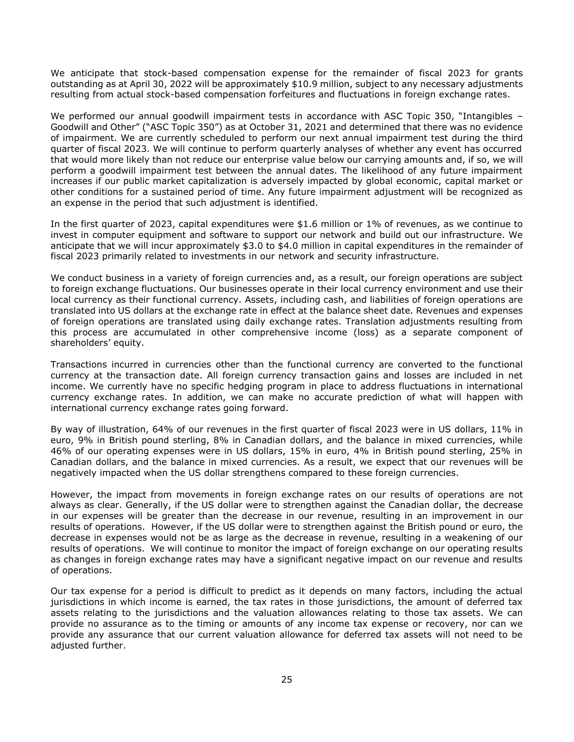We anticipate that stock-based compensation expense for the remainder of fiscal 2023 for grants outstanding as at April 30, 2022 will be approximately \$10.9 million, subject to any necessary adjustments resulting from actual stock-based compensation forfeitures and fluctuations in foreign exchange rates.

We performed our annual goodwill impairment tests in accordance with ASC Topic 350, "Intangibles – Goodwill and Other" ("ASC Topic 350") as at October 31, 2021 and determined that there was no evidence of impairment. We are currently scheduled to perform our next annual impairment test during the third quarter of fiscal 2023. We will continue to perform quarterly analyses of whether any event has occurred that would more likely than not reduce our enterprise value below our carrying amounts and, if so, we will perform a goodwill impairment test between the annual dates. The likelihood of any future impairment increases if our public market capitalization is adversely impacted by global economic, capital market or other conditions for a sustained period of time. Any future impairment adjustment will be recognized as an expense in the period that such adjustment is identified.

In the first quarter of 2023, capital expenditures were \$1.6 million or 1% of revenues, as we continue to invest in computer equipment and software to support our network and build out our infrastructure. We anticipate that we will incur approximately \$3.0 to \$4.0 million in capital expenditures in the remainder of fiscal 2023 primarily related to investments in our network and security infrastructure.

We conduct business in a variety of foreign currencies and, as a result, our foreign operations are subject to foreign exchange fluctuations. Our businesses operate in their local currency environment and use their local currency as their functional currency. Assets, including cash, and liabilities of foreign operations are translated into US dollars at the exchange rate in effect at the balance sheet date. Revenues and expenses of foreign operations are translated using daily exchange rates. Translation adjustments resulting from this process are accumulated in other comprehensive income (loss) as a separate component of shareholders' equity.

Transactions incurred in currencies other than the functional currency are converted to the functional currency at the transaction date. All foreign currency transaction gains and losses are included in net income. We currently have no specific hedging program in place to address fluctuations in international currency exchange rates. In addition, we can make no accurate prediction of what will happen with international currency exchange rates going forward.

By way of illustration, 64% of our revenues in the first quarter of fiscal 2023 were in US dollars, 11% in euro, 9% in British pound sterling, 8% in Canadian dollars, and the balance in mixed currencies, while 46% of our operating expenses were in US dollars, 15% in euro, 4% in British pound sterling, 25% in Canadian dollars, and the balance in mixed currencies. As a result, we expect that our revenues will be negatively impacted when the US dollar strengthens compared to these foreign currencies.

However, the impact from movements in foreign exchange rates on our results of operations are not always as clear. Generally, if the US dollar were to strengthen against the Canadian dollar, the decrease in our expenses will be greater than the decrease in our revenue, resulting in an improvement in our results of operations. However, if the US dollar were to strengthen against the British pound or euro, the decrease in expenses would not be as large as the decrease in revenue, resulting in a weakening of our results of operations. We will continue to monitor the impact of foreign exchange on our operating results as changes in foreign exchange rates may have a significant negative impact on our revenue and results of operations.

Our tax expense for a period is difficult to predict as it depends on many factors, including the actual jurisdictions in which income is earned, the tax rates in those jurisdictions, the amount of deferred tax assets relating to the jurisdictions and the valuation allowances relating to those tax assets. We can provide no assurance as to the timing or amounts of any income tax expense or recovery, nor can we provide any assurance that our current valuation allowance for deferred tax assets will not need to be adjusted further.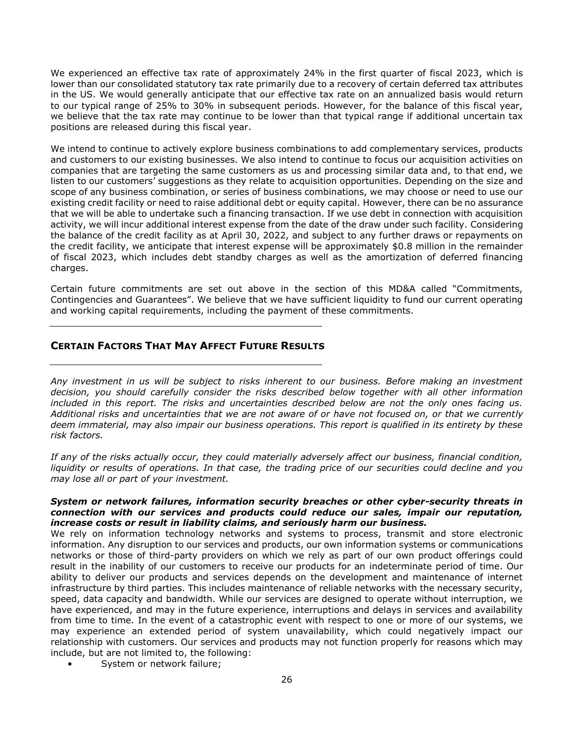We experienced an effective tax rate of approximately 24% in the first quarter of fiscal 2023, which is lower than our consolidated statutory tax rate primarily due to a recovery of certain deferred tax attributes in the US. We would generally anticipate that our effective tax rate on an annualized basis would return to our typical range of 25% to 30% in subsequent periods. However, for the balance of this fiscal year, we believe that the tax rate may continue to be lower than that typical range if additional uncertain tax positions are released during this fiscal year.

We intend to continue to actively explore business combinations to add complementary services, products and customers to our existing businesses. We also intend to continue to focus our acquisition activities on companies that are targeting the same customers as us and processing similar data and, to that end, we listen to our customers' suggestions as they relate to acquisition opportunities. Depending on the size and scope of any business combination, or series of business combinations, we may choose or need to use our existing credit facility or need to raise additional debt or equity capital. However, there can be no assurance that we will be able to undertake such a financing transaction. If we use debt in connection with acquisition activity, we will incur additional interest expense from the date of the draw under such facility. Considering the balance of the credit facility as at April 30, 2022, and subject to any further draws or repayments on the credit facility, we anticipate that interest expense will be approximately \$0.8 million in the remainder of fiscal 2023, which includes debt standby charges as well as the amortization of deferred financing charges.

Certain future commitments are set out above in the section of this MD&A called "Commitments, Contingencies and Guarantees". We believe that we have sufficient liquidity to fund our current operating and working capital requirements, including the payment of these commitments.

# <span id="page-25-0"></span>**CERTAIN FACTORS THAT MAY AFFECT FUTURE RESULTS**

*Any investment in us will be subject to risks inherent to our business. Before making an investment decision, you should carefully consider the risks described below together with all other information included in this report. The risks and uncertainties described below are not the only ones facing us. Additional risks and uncertainties that we are not aware of or have not focused on, or that we currently deem immaterial, may also impair our business operations. This report is qualified in its entirety by these risk factors.*

*If any of the risks actually occur, they could materially adversely affect our business, financial condition, liquidity or results of operations. In that case, the trading price of our securities could decline and you may lose all or part of your investment.*

### *System or network failures, information security breaches or other cyber-security threats in connection with our services and products could reduce our sales, impair our reputation, increase costs or result in liability claims, and seriously harm our business.*

We rely on information technology networks and systems to process, transmit and store electronic information. Any disruption to our services and products, our own information systems or communications networks or those of third-party providers on which we rely as part of our own product offerings could result in the inability of our customers to receive our products for an indeterminate period of time. Our ability to deliver our products and services depends on the development and maintenance of internet infrastructure by third parties. This includes maintenance of reliable networks with the necessary security, speed, data capacity and bandwidth. While our services are designed to operate without interruption, we have experienced, and may in the future experience, interruptions and delays in services and availability from time to time. In the event of a catastrophic event with respect to one or more of our systems, we may experience an extended period of system unavailability, which could negatively impact our relationship with customers. Our services and products may not function properly for reasons which may include, but are not limited to, the following:

System or network failure;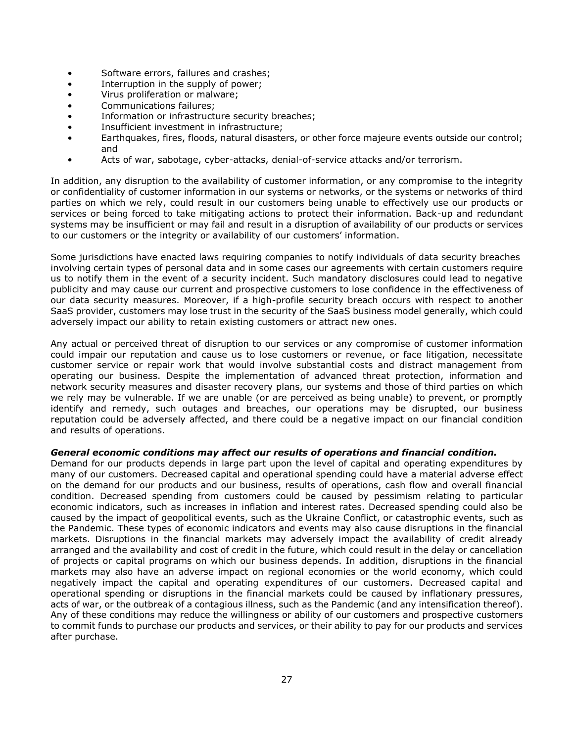- Software errors, failures and crashes;
- Interruption in the supply of power;
- Virus proliferation or malware;
- Communications failures;
- Information or infrastructure security breaches;
- Insufficient investment in infrastructure;
- Earthquakes, fires, floods, natural disasters, or other force majeure events outside our control; and
- Acts of war, sabotage, cyber-attacks, denial-of-service attacks and/or terrorism.

In addition, any disruption to the availability of customer information, or any compromise to the integrity or confidentiality of customer information in our systems or networks, or the systems or networks of third parties on which we rely, could result in our customers being unable to effectively use our products or services or being forced to take mitigating actions to protect their information. Back-up and redundant systems may be insufficient or may fail and result in a disruption of availability of our products or services to our customers or the integrity or availability of our customers' information.

Some jurisdictions have enacted laws requiring companies to notify individuals of data security breaches involving certain types of personal data and in some cases our agreements with certain customers require us to notify them in the event of a security incident. Such mandatory disclosures could lead to negative publicity and may cause our current and prospective customers to lose confidence in the effectiveness of our data security measures. Moreover, if a high-profile security breach occurs with respect to another SaaS provider, customers may lose trust in the security of the SaaS business model generally, which could adversely impact our ability to retain existing customers or attract new ones.

Any actual or perceived threat of disruption to our services or any compromise of customer information could impair our reputation and cause us to lose customers or revenue, or face litigation, necessitate customer service or repair work that would involve substantial costs and distract management from operating our business. Despite the implementation of advanced threat protection, information and network security measures and disaster recovery plans, our systems and those of third parties on which we rely may be vulnerable. If we are unable (or are perceived as being unable) to prevent, or promptly identify and remedy, such outages and breaches, our operations may be disrupted, our business reputation could be adversely affected, and there could be a negative impact on our financial condition and results of operations.

### *General economic conditions may affect our results of operations and financial condition.*

Demand for our products depends in large part upon the level of capital and operating expenditures by many of our customers. Decreased capital and operational spending could have a material adverse effect on the demand for our products and our business, results of operations, cash flow and overall financial condition. Decreased spending from customers could be caused by pessimism relating to particular economic indicators, such as increases in inflation and interest rates. Decreased spending could also be caused by the impact of geopolitical events, such as the Ukraine Conflict, or catastrophic events, such as the Pandemic. These types of economic indicators and events may also cause disruptions in the financial markets. Disruptions in the financial markets may adversely impact the availability of credit already arranged and the availability and cost of credit in the future, which could result in the delay or cancellation of projects or capital programs on which our business depends. In addition, disruptions in the financial markets may also have an adverse impact on regional economies or the world economy, which could negatively impact the capital and operating expenditures of our customers. Decreased capital and operational spending or disruptions in the financial markets could be caused by inflationary pressures, acts of war, or the outbreak of a contagious illness, such as the Pandemic (and any intensification thereof). Any of these conditions may reduce the willingness or ability of our customers and prospective customers to commit funds to purchase our products and services, or their ability to pay for our products and services after purchase.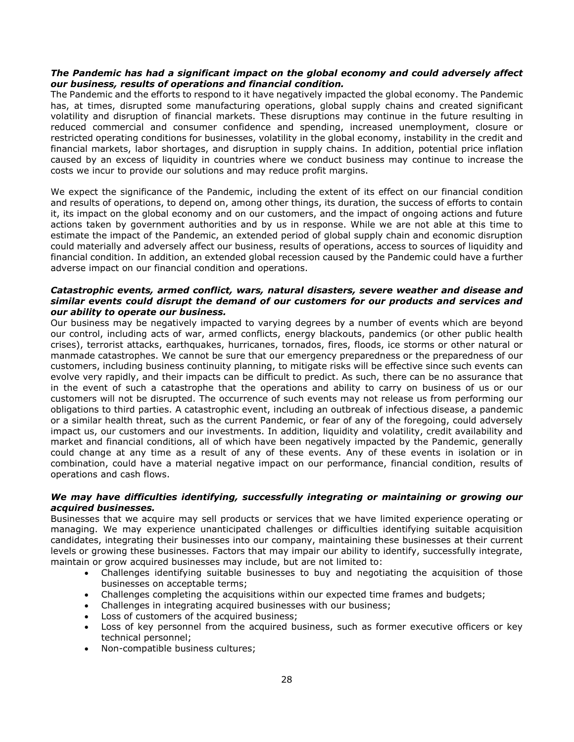### *The Pandemic has had a significant impact on the global economy and could adversely affect our business, results of operations and financial condition.*

The Pandemic and the efforts to respond to it have negatively impacted the global economy. The Pandemic has, at times, disrupted some manufacturing operations, global supply chains and created significant volatility and disruption of financial markets. These disruptions may continue in the future resulting in reduced commercial and consumer confidence and spending, increased unemployment, closure or restricted operating conditions for businesses, volatility in the global economy, instability in the credit and financial markets, labor shortages, and disruption in supply chains. In addition, potential price inflation caused by an excess of liquidity in countries where we conduct business may continue to increase the costs we incur to provide our solutions and may reduce profit margins.

We expect the significance of the Pandemic, including the extent of its effect on our financial condition and results of operations, to depend on, among other things, its duration, the success of efforts to contain it, its impact on the global economy and on our customers, and the impact of ongoing actions and future actions taken by government authorities and by us in response. While we are not able at this time to estimate the impact of the Pandemic, an extended period of global supply chain and economic disruption could materially and adversely affect our business, results of operations, access to sources of liquidity and financial condition. In addition, an extended global recession caused by the Pandemic could have a further adverse impact on our financial condition and operations.

### *Catastrophic events, armed conflict, wars, natural disasters, severe weather and disease and similar events could disrupt the demand of our customers for our products and services and our ability to operate our business.*

Our business may be negatively impacted to varying degrees by a number of events which are beyond our control, including acts of war, armed conflicts, energy blackouts, pandemics (or other public health crises), terrorist attacks, earthquakes, hurricanes, tornados, fires, floods, ice storms or other natural or manmade catastrophes. We cannot be sure that our emergency preparedness or the preparedness of our customers, including business continuity planning, to mitigate risks will be effective since such events can evolve very rapidly, and their impacts can be difficult to predict. As such, there can be no assurance that in the event of such a catastrophe that the operations and ability to carry on business of us or our customers will not be disrupted. The occurrence of such events may not release us from performing our obligations to third parties. A catastrophic event, including an outbreak of infectious disease, a pandemic or a similar health threat, such as the current Pandemic, or fear of any of the foregoing, could adversely impact us, our customers and our investments. In addition, liquidity and volatility, credit availability and market and financial conditions, all of which have been negatively impacted by the Pandemic, generally could change at any time as a result of any of these events. Any of these events in isolation or in combination, could have a material negative impact on our performance, financial condition, results of operations and cash flows.

### *We may have difficulties identifying, successfully integrating or maintaining or growing our acquired businesses.*

Businesses that we acquire may sell products or services that we have limited experience operating or managing. We may experience unanticipated challenges or difficulties identifying suitable acquisition candidates, integrating their businesses into our company, maintaining these businesses at their current levels or growing these businesses. Factors that may impair our ability to identify, successfully integrate, maintain or grow acquired businesses may include, but are not limited to:

- Challenges identifying suitable businesses to buy and negotiating the acquisition of those businesses on acceptable terms;
- Challenges completing the acquisitions within our expected time frames and budgets;
- Challenges in integrating acquired businesses with our business;
- Loss of customers of the acquired business;
- Loss of key personnel from the acquired business, such as former executive officers or key technical personnel;
- Non-compatible business cultures;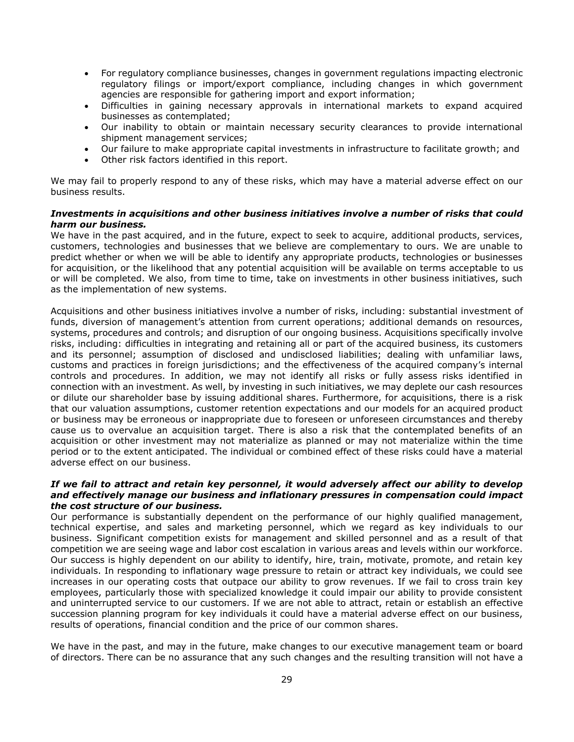- For regulatory compliance businesses, changes in government regulations impacting electronic regulatory filings or import/export compliance, including changes in which government agencies are responsible for gathering import and export information;
- Difficulties in gaining necessary approvals in international markets to expand acquired businesses as contemplated;
- Our inability to obtain or maintain necessary security clearances to provide international shipment management services;
- Our failure to make appropriate capital investments in infrastructure to facilitate growth; and
- Other risk factors identified in this report.

We may fail to properly respond to any of these risks, which may have a material adverse effect on our business results.

### *Investments in acquisitions and other business initiatives involve a number of risks that could harm our business.*

We have in the past acquired, and in the future, expect to seek to acquire, additional products, services, customers, technologies and businesses that we believe are complementary to ours. We are unable to predict whether or when we will be able to identify any appropriate products, technologies or businesses for acquisition, or the likelihood that any potential acquisition will be available on terms acceptable to us or will be completed. We also, from time to time, take on investments in other business initiatives, such as the implementation of new systems.

Acquisitions and other business initiatives involve a number of risks, including: substantial investment of funds, diversion of management's attention from current operations; additional demands on resources, systems, procedures and controls; and disruption of our ongoing business. Acquisitions specifically involve risks, including: difficulties in integrating and retaining all or part of the acquired business, its customers and its personnel; assumption of disclosed and undisclosed liabilities; dealing with unfamiliar laws, customs and practices in foreign jurisdictions; and the effectiveness of the acquired company's internal controls and procedures. In addition, we may not identify all risks or fully assess risks identified in connection with an investment. As well, by investing in such initiatives, we may deplete our cash resources or dilute our shareholder base by issuing additional shares. Furthermore, for acquisitions, there is a risk that our valuation assumptions, customer retention expectations and our models for an acquired product or business may be erroneous or inappropriate due to foreseen or unforeseen circumstances and thereby cause us to overvalue an acquisition target. There is also a risk that the contemplated benefits of an acquisition or other investment may not materialize as planned or may not materialize within the time period or to the extent anticipated. The individual or combined effect of these risks could have a material adverse effect on our business.

### *If we fail to attract and retain key personnel, it would adversely affect our ability to develop and effectively manage our business and inflationary pressures in compensation could impact the cost structure of our business.*

Our performance is substantially dependent on the performance of our highly qualified management, technical expertise, and sales and marketing personnel, which we regard as key individuals to our business. Significant competition exists for management and skilled personnel and as a result of that competition we are seeing wage and labor cost escalation in various areas and levels within our workforce. Our success is highly dependent on our ability to identify, hire, train, motivate, promote, and retain key individuals. In responding to inflationary wage pressure to retain or attract key individuals, we could see increases in our operating costs that outpace our ability to grow revenues. If we fail to cross train key employees, particularly those with specialized knowledge it could impair our ability to provide consistent and uninterrupted service to our customers. If we are not able to attract, retain or establish an effective succession planning program for key individuals it could have a material adverse effect on our business, results of operations, financial condition and the price of our common shares.

We have in the past, and may in the future, make changes to our executive management team or board of directors. There can be no assurance that any such changes and the resulting transition will not have a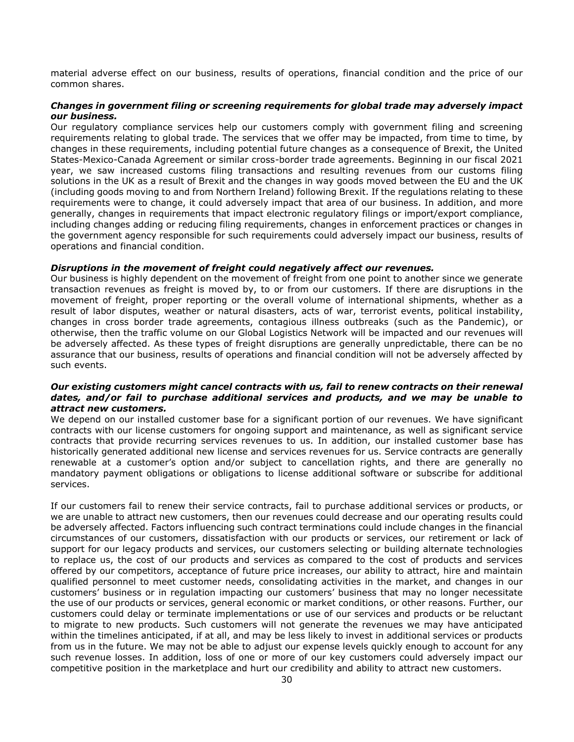material adverse effect on our business, results of operations, financial condition and the price of our common shares.

### *Changes in government filing or screening requirements for global trade may adversely impact our business.*

Our regulatory compliance services help our customers comply with government filing and screening requirements relating to global trade. The services that we offer may be impacted, from time to time, by changes in these requirements, including potential future changes as a consequence of Brexit, the United States-Mexico-Canada Agreement or similar cross-border trade agreements. Beginning in our fiscal 2021 year, we saw increased customs filing transactions and resulting revenues from our customs filing solutions in the UK as a result of Brexit and the changes in way goods moved between the EU and the UK (including goods moving to and from Northern Ireland) following Brexit. If the regulations relating to these requirements were to change, it could adversely impact that area of our business. In addition, and more generally, changes in requirements that impact electronic regulatory filings or import/export compliance, including changes adding or reducing filing requirements, changes in enforcement practices or changes in the government agency responsible for such requirements could adversely impact our business, results of operations and financial condition.

### *Disruptions in the movement of freight could negatively affect our revenues.*

Our business is highly dependent on the movement of freight from one point to another since we generate transaction revenues as freight is moved by, to or from our customers. If there are disruptions in the movement of freight, proper reporting or the overall volume of international shipments, whether as a result of labor disputes, weather or natural disasters, acts of war, terrorist events, political instability, changes in cross border trade agreements, contagious illness outbreaks (such as the Pandemic), or otherwise, then the traffic volume on our Global Logistics Network will be impacted and our revenues will be adversely affected. As these types of freight disruptions are generally unpredictable, there can be no assurance that our business, results of operations and financial condition will not be adversely affected by such events.

### *Our existing customers might cancel contracts with us, fail to renew contracts on their renewal dates, and/or fail to purchase additional services and products, and we may be unable to attract new customers.*

We depend on our installed customer base for a significant portion of our revenues. We have significant contracts with our license customers for ongoing support and maintenance, as well as significant service contracts that provide recurring services revenues to us. In addition, our installed customer base has historically generated additional new license and services revenues for us. Service contracts are generally renewable at a customer's option and/or subject to cancellation rights, and there are generally no mandatory payment obligations or obligations to license additional software or subscribe for additional services.

If our customers fail to renew their service contracts, fail to purchase additional services or products, or we are unable to attract new customers, then our revenues could decrease and our operating results could be adversely affected. Factors influencing such contract terminations could include changes in the financial circumstances of our customers, dissatisfaction with our products or services, our retirement or lack of support for our legacy products and services, our customers selecting or building alternate technologies to replace us, the cost of our products and services as compared to the cost of products and services offered by our competitors, acceptance of future price increases, our ability to attract, hire and maintain qualified personnel to meet customer needs, consolidating activities in the market, and changes in our customers' business or in regulation impacting our customers' business that may no longer necessitate the use of our products or services, general economic or market conditions, or other reasons. Further, our customers could delay or terminate implementations or use of our services and products or be reluctant to migrate to new products. Such customers will not generate the revenues we may have anticipated within the timelines anticipated, if at all, and may be less likely to invest in additional services or products from us in the future. We may not be able to adjust our expense levels quickly enough to account for any such revenue losses. In addition, loss of one or more of our key customers could adversely impact our competitive position in the marketplace and hurt our credibility and ability to attract new customers.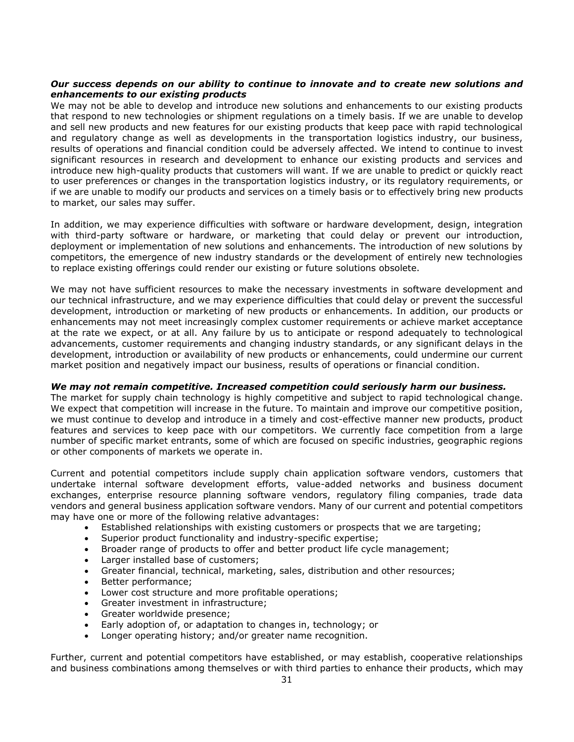### *Our success depends on our ability to continue to innovate and to create new solutions and enhancements to our existing products*

We may not be able to develop and introduce new solutions and enhancements to our existing products that respond to new technologies or shipment regulations on a timely basis. If we are unable to develop and sell new products and new features for our existing products that keep pace with rapid technological and regulatory change as well as developments in the transportation logistics industry, our business, results of operations and financial condition could be adversely affected. We intend to continue to invest significant resources in research and development to enhance our existing products and services and introduce new high-quality products that customers will want. If we are unable to predict or quickly react to user preferences or changes in the transportation logistics industry, or its regulatory requirements, or if we are unable to modify our products and services on a timely basis or to effectively bring new products to market, our sales may suffer.

In addition, we may experience difficulties with software or hardware development, design, integration with third-party software or hardware, or marketing that could delay or prevent our introduction, deployment or implementation of new solutions and enhancements. The introduction of new solutions by competitors, the emergence of new industry standards or the development of entirely new technologies to replace existing offerings could render our existing or future solutions obsolete.

We may not have sufficient resources to make the necessary investments in software development and our technical infrastructure, and we may experience difficulties that could delay or prevent the successful development, introduction or marketing of new products or enhancements. In addition, our products or enhancements may not meet increasingly complex customer requirements or achieve market acceptance at the rate we expect, or at all. Any failure by us to anticipate or respond adequately to technological advancements, customer requirements and changing industry standards, or any significant delays in the development, introduction or availability of new products or enhancements, could undermine our current market position and negatively impact our business, results of operations or financial condition.

### *We may not remain competitive. Increased competition could seriously harm our business.*

The market for supply chain technology is highly competitive and subject to rapid technological change. We expect that competition will increase in the future. To maintain and improve our competitive position, we must continue to develop and introduce in a timely and cost-effective manner new products, product features and services to keep pace with our competitors. We currently face competition from a large number of specific market entrants, some of which are focused on specific industries, geographic regions or other components of markets we operate in.

Current and potential competitors include supply chain application software vendors, customers that undertake internal software development efforts, value-added networks and business document exchanges, enterprise resource planning software vendors, regulatory filing companies, trade data vendors and general business application software vendors. Many of our current and potential competitors may have one or more of the following relative advantages:

- Established relationships with existing customers or prospects that we are targeting;
- Superior product functionality and industry-specific expertise;
- Broader range of products to offer and better product life cycle management;
- Larger installed base of customers;
- Greater financial, technical, marketing, sales, distribution and other resources;
- Better performance;
- Lower cost structure and more profitable operations;
- Greater investment in infrastructure;
- Greater worldwide presence;
- Early adoption of, or adaptation to changes in, technology; or
- Longer operating history; and/or greater name recognition.

Further, current and potential competitors have established, or may establish, cooperative relationships and business combinations among themselves or with third parties to enhance their products, which may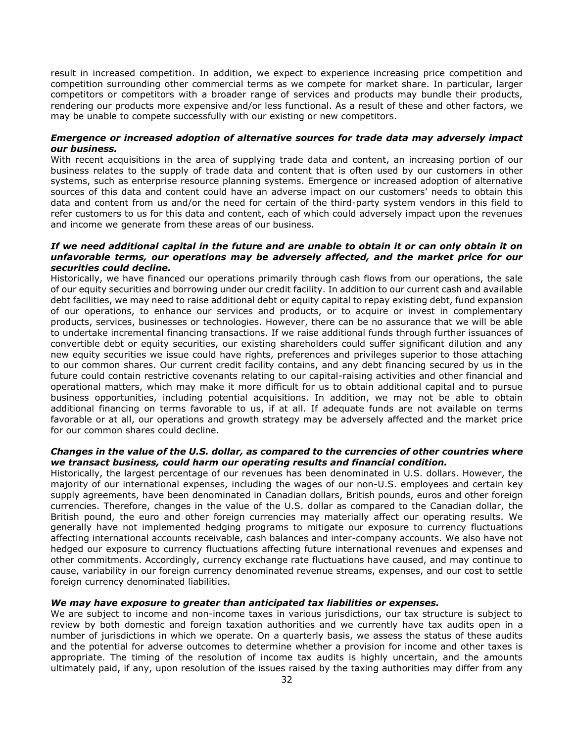result in increased competition. In addition, we expect to experience increasing price competition and competition surrounding other commercial terms as we compete for market share. In particular, larger competitors or competitors with a broader range of services and products may bundle their products, rendering our products more expensive and/or less functional. As a result of these and other factors, we may be unable to compete successfully with our existing or new competitors.

### *Emergence or increased adoption of alternative sources for trade data may adversely impact our business.*

With recent acquisitions in the area of supplying trade data and content, an increasing portion of our business relates to the supply of trade data and content that is often used by our customers in other systems, such as enterprise resource planning systems. Emergence or increased adoption of alternative sources of this data and content could have an adverse impact on our customers' needs to obtain this data and content from us and/or the need for certain of the third-party system vendors in this field to refer customers to us for this data and content, each of which could adversely impact upon the revenues and income we generate from these areas of our business.

### *If we need additional capital in the future and are unable to obtain it or can only obtain it on unfavorable terms, our operations may be adversely affected, and the market price for our securities could decline.*

Historically, we have financed our operations primarily through cash flows from our operations, the sale of our equity securities and borrowing under our credit facility. In addition to our current cash and available debt facilities, we may need to raise additional debt or equity capital to repay existing debt, fund expansion of our operations, to enhance our services and products, or to acquire or invest in complementary products, services, businesses or technologies. However, there can be no assurance that we will be able to undertake incremental financing transactions. If we raise additional funds through further issuances of convertible debt or equity securities, our existing shareholders could suffer significant dilution and any new equity securities we issue could have rights, preferences and privileges superior to those attaching to our common shares. Our current credit facility contains, and any debt financing secured by us in the future could contain restrictive covenants relating to our capital-raising activities and other financial and operational matters, which may make it more difficult for us to obtain additional capital and to pursue business opportunities, including potential acquisitions. In addition, we may not be able to obtain additional financing on terms favorable to us, if at all. If adequate funds are not available on terms favorable or at all, our operations and growth strategy may be adversely affected and the market price for our common shares could decline.

### *Changes in the value of the U.S. dollar, as compared to the currencies of other countries where we transact business, could harm our operating results and financial condition.*

Historically, the largest percentage of our revenues has been denominated in U.S. dollars. However, the majority of our international expenses, including the wages of our non-U.S. employees and certain key supply agreements, have been denominated in Canadian dollars, British pounds, euros and other foreign currencies. Therefore, changes in the value of the U.S. dollar as compared to the Canadian dollar, the British pound, the euro and other foreign currencies may materially affect our operating results. We generally have not implemented hedging programs to mitigate our exposure to currency fluctuations affecting international accounts receivable, cash balances and inter-company accounts. We also have not hedged our exposure to currency fluctuations affecting future international revenues and expenses and other commitments. Accordingly, currency exchange rate fluctuations have caused, and may continue to cause, variability in our foreign currency denominated revenue streams, expenses, and our cost to settle foreign currency denominated liabilities.

# *We may have exposure to greater than anticipated tax liabilities or expenses.*

We are subject to income and non-income taxes in various jurisdictions, our tax structure is subject to review by both domestic and foreign taxation authorities and we currently have tax audits open in a number of jurisdictions in which we operate. On a quarterly basis, we assess the status of these audits and the potential for adverse outcomes to determine whether a provision for income and other taxes is appropriate. The timing of the resolution of income tax audits is highly uncertain, and the amounts ultimately paid, if any, upon resolution of the issues raised by the taxing authorities may differ from any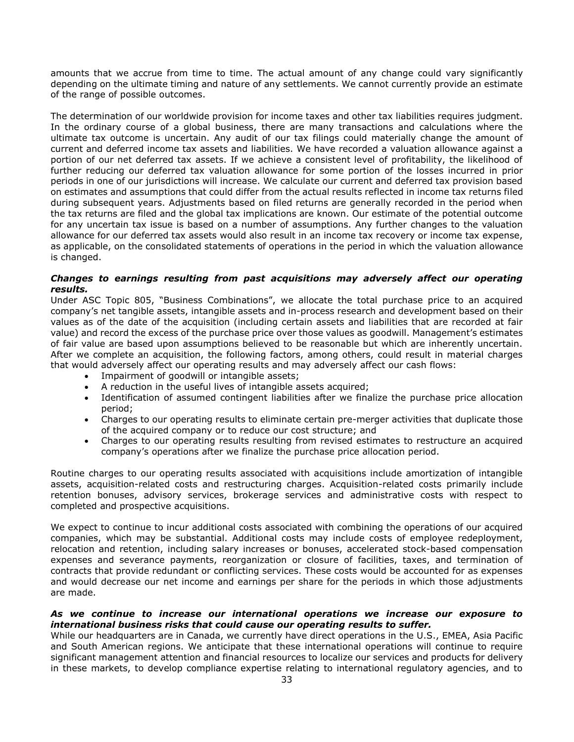amounts that we accrue from time to time. The actual amount of any change could vary significantly depending on the ultimate timing and nature of any settlements. We cannot currently provide an estimate of the range of possible outcomes.

The determination of our worldwide provision for income taxes and other tax liabilities requires judgment. In the ordinary course of a global business, there are many transactions and calculations where the ultimate tax outcome is uncertain. Any audit of our tax filings could materially change the amount of current and deferred income tax assets and liabilities. We have recorded a valuation allowance against a portion of our net deferred tax assets. If we achieve a consistent level of profitability, the likelihood of further reducing our deferred tax valuation allowance for some portion of the losses incurred in prior periods in one of our jurisdictions will increase. We calculate our current and deferred tax provision based on estimates and assumptions that could differ from the actual results reflected in income tax returns filed during subsequent years. Adjustments based on filed returns are generally recorded in the period when the tax returns are filed and the global tax implications are known. Our estimate of the potential outcome for any uncertain tax issue is based on a number of assumptions. Any further changes to the valuation allowance for our deferred tax assets would also result in an income tax recovery or income tax expense, as applicable, on the consolidated statements of operations in the period in which the valuation allowance is changed.

### *Changes to earnings resulting from past acquisitions may adversely affect our operating results.*

Under ASC Topic 805, "Business Combinations", we allocate the total purchase price to an acquired company's net tangible assets, intangible assets and in-process research and development based on their values as of the date of the acquisition (including certain assets and liabilities that are recorded at fair value) and record the excess of the purchase price over those values as goodwill. Management's estimates of fair value are based upon assumptions believed to be reasonable but which are inherently uncertain. After we complete an acquisition, the following factors, among others, could result in material charges that would adversely affect our operating results and may adversely affect our cash flows:

- Impairment of goodwill or intangible assets;
- A reduction in the useful lives of intangible assets acquired;
- Identification of assumed contingent liabilities after we finalize the purchase price allocation period;
- Charges to our operating results to eliminate certain pre-merger activities that duplicate those of the acquired company or to reduce our cost structure; and
- Charges to our operating results resulting from revised estimates to restructure an acquired company's operations after we finalize the purchase price allocation period.

Routine charges to our operating results associated with acquisitions include amortization of intangible assets, acquisition-related costs and restructuring charges. Acquisition-related costs primarily include retention bonuses, advisory services, brokerage services and administrative costs with respect to completed and prospective acquisitions.

We expect to continue to incur additional costs associated with combining the operations of our acquired companies, which may be substantial. Additional costs may include costs of employee redeployment, relocation and retention, including salary increases or bonuses, accelerated stock-based compensation expenses and severance payments, reorganization or closure of facilities, taxes, and termination of contracts that provide redundant or conflicting services. These costs would be accounted for as expenses and would decrease our net income and earnings per share for the periods in which those adjustments are made.

### *As we continue to increase our international operations we increase our exposure to international business risks that could cause our operating results to suffer.*

While our headquarters are in Canada, we currently have direct operations in the U.S., EMEA, Asia Pacific and South American regions. We anticipate that these international operations will continue to require significant management attention and financial resources to localize our services and products for delivery in these markets, to develop compliance expertise relating to international regulatory agencies, and to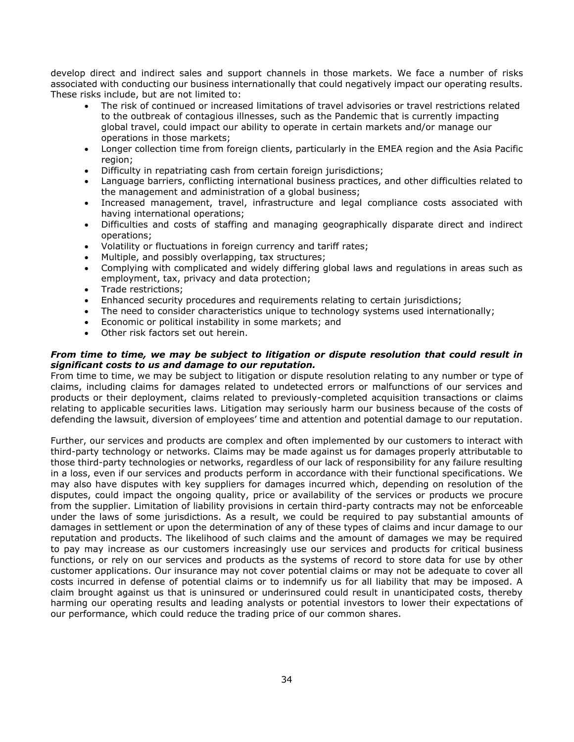develop direct and indirect sales and support channels in those markets. We face a number of risks associated with conducting our business internationally that could negatively impact our operating results. These risks include, but are not limited to:

- The risk of continued or increased limitations of travel advisories or travel restrictions related to the outbreak of contagious illnesses, such as the Pandemic that is currently impacting global travel, could impact our ability to operate in certain markets and/or manage our operations in those markets;
- Longer collection time from foreign clients, particularly in the EMEA region and the Asia Pacific region;
- Difficulty in repatriating cash from certain foreign jurisdictions;
- Language barriers, conflicting international business practices, and other difficulties related to the management and administration of a global business;
- Increased management, travel, infrastructure and legal compliance costs associated with having international operations;
- Difficulties and costs of staffing and managing geographically disparate direct and indirect operations;
- Volatility or fluctuations in foreign currency and tariff rates;
- Multiple, and possibly overlapping, tax structures;
- Complying with complicated and widely differing global laws and regulations in areas such as employment, tax, privacy and data protection;
- Trade restrictions;
- Enhanced security procedures and requirements relating to certain jurisdictions;
- The need to consider characteristics unique to technology systems used internationally;
- Economic or political instability in some markets; and
- Other risk factors set out herein.

### *From time to time, we may be subject to litigation or dispute resolution that could result in significant costs to us and damage to our reputation.*

From time to time, we may be subject to litigation or dispute resolution relating to any number or type of claims, including claims for damages related to undetected errors or malfunctions of our services and products or their deployment, claims related to previously-completed acquisition transactions or claims relating to applicable securities laws. Litigation may seriously harm our business because of the costs of defending the lawsuit, diversion of employees' time and attention and potential damage to our reputation.

Further, our services and products are complex and often implemented by our customers to interact with third-party technology or networks. Claims may be made against us for damages properly attributable to those third-party technologies or networks, regardless of our lack of responsibility for any failure resulting in a loss, even if our services and products perform in accordance with their functional specifications. We may also have disputes with key suppliers for damages incurred which, depending on resolution of the disputes, could impact the ongoing quality, price or availability of the services or products we procure from the supplier. Limitation of liability provisions in certain third-party contracts may not be enforceable under the laws of some jurisdictions. As a result, we could be required to pay substantial amounts of damages in settlement or upon the determination of any of these types of claims and incur damage to our reputation and products. The likelihood of such claims and the amount of damages we may be required to pay may increase as our customers increasingly use our services and products for critical business functions, or rely on our services and products as the systems of record to store data for use by other customer applications. Our insurance may not cover potential claims or may not be adequate to cover all costs incurred in defense of potential claims or to indemnify us for all liability that may be imposed. A claim brought against us that is uninsured or underinsured could result in unanticipated costs, thereby harming our operating results and leading analysts or potential investors to lower their expectations of our performance, which could reduce the trading price of our common shares.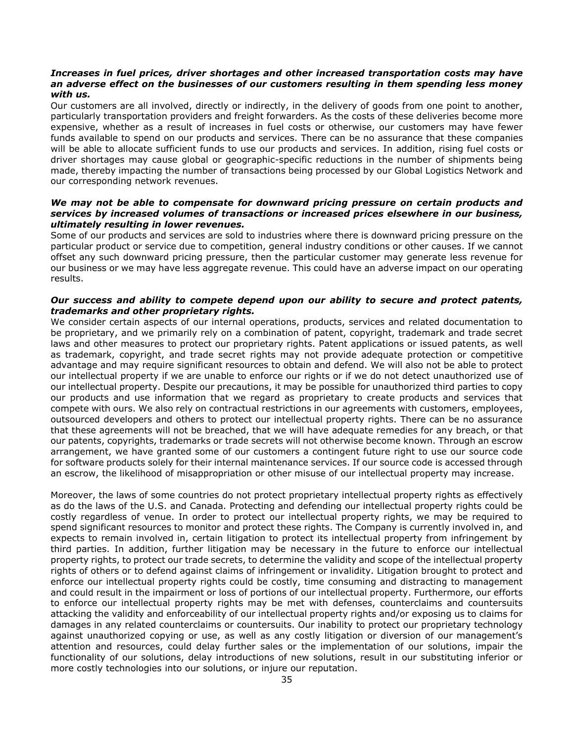### *Increases in fuel prices, driver shortages and other increased transportation costs may have an adverse effect on the businesses of our customers resulting in them spending less money with us.*

Our customers are all involved, directly or indirectly, in the delivery of goods from one point to another, particularly transportation providers and freight forwarders. As the costs of these deliveries become more expensive, whether as a result of increases in fuel costs or otherwise, our customers may have fewer funds available to spend on our products and services. There can be no assurance that these companies will be able to allocate sufficient funds to use our products and services. In addition, rising fuel costs or driver shortages may cause global or geographic-specific reductions in the number of shipments being made, thereby impacting the number of transactions being processed by our Global Logistics Network and our corresponding network revenues.

### *We may not be able to compensate for downward pricing pressure on certain products and services by increased volumes of transactions or increased prices elsewhere in our business, ultimately resulting in lower revenues.*

Some of our products and services are sold to industries where there is downward pricing pressure on the particular product or service due to competition, general industry conditions or other causes. If we cannot offset any such downward pricing pressure, then the particular customer may generate less revenue for our business or we may have less aggregate revenue. This could have an adverse impact on our operating results.

### *Our success and ability to compete depend upon our ability to secure and protect patents, trademarks and other proprietary rights.*

We consider certain aspects of our internal operations, products, services and related documentation to be proprietary, and we primarily rely on a combination of patent, copyright, trademark and trade secret laws and other measures to protect our proprietary rights. Patent applications or issued patents, as well as trademark, copyright, and trade secret rights may not provide adequate protection or competitive advantage and may require significant resources to obtain and defend. We will also not be able to protect our intellectual property if we are unable to enforce our rights or if we do not detect unauthorized use of our intellectual property. Despite our precautions, it may be possible for unauthorized third parties to copy our products and use information that we regard as proprietary to create products and services that compete with ours. We also rely on contractual restrictions in our agreements with customers, employees, outsourced developers and others to protect our intellectual property rights. There can be no assurance that these agreements will not be breached, that we will have adequate remedies for any breach, or that our patents, copyrights, trademarks or trade secrets will not otherwise become known. Through an escrow arrangement, we have granted some of our customers a contingent future right to use our source code for software products solely for their internal maintenance services. If our source code is accessed through an escrow, the likelihood of misappropriation or other misuse of our intellectual property may increase.

Moreover, the laws of some countries do not protect proprietary intellectual property rights as effectively as do the laws of the U.S. and Canada. Protecting and defending our intellectual property rights could be costly regardless of venue. In order to protect our intellectual property rights, we may be required to spend significant resources to monitor and protect these rights. The Company is currently involved in, and expects to remain involved in, certain litigation to protect its intellectual property from infringement by third parties. In addition, further litigation may be necessary in the future to enforce our intellectual property rights, to protect our trade secrets, to determine the validity and scope of the intellectual property rights of others or to defend against claims of infringement or invalidity. Litigation brought to protect and enforce our intellectual property rights could be costly, time consuming and distracting to management and could result in the impairment or loss of portions of our intellectual property. Furthermore, our efforts to enforce our intellectual property rights may be met with defenses, counterclaims and countersuits attacking the validity and enforceability of our intellectual property rights and/or exposing us to claims for damages in any related counterclaims or countersuits. Our inability to protect our proprietary technology against unauthorized copying or use, as well as any costly litigation or diversion of our management's attention and resources, could delay further sales or the implementation of our solutions, impair the functionality of our solutions, delay introductions of new solutions, result in our substituting inferior or more costly technologies into our solutions, or injure our reputation.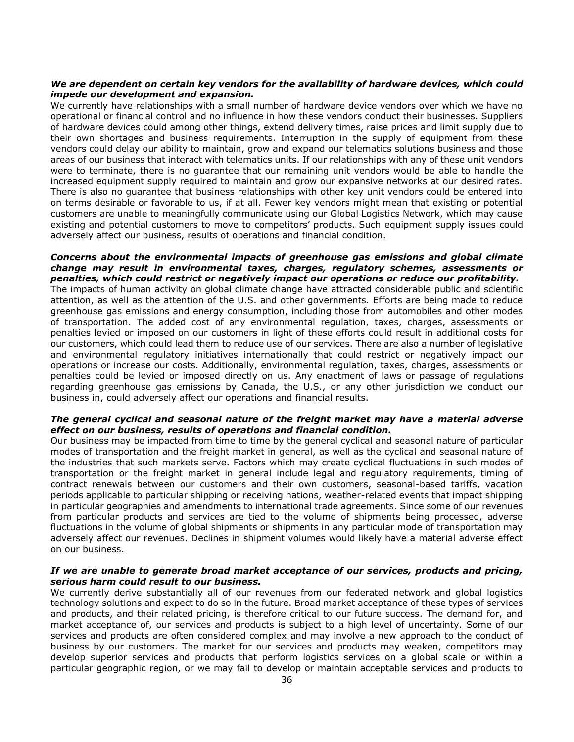### *We are dependent on certain key vendors for the availability of hardware devices, which could impede our development and expansion.*

We currently have relationships with a small number of hardware device vendors over which we have no operational or financial control and no influence in how these vendors conduct their businesses. Suppliers of hardware devices could among other things, extend delivery times, raise prices and limit supply due to their own shortages and business requirements. Interruption in the supply of equipment from these vendors could delay our ability to maintain, grow and expand our telematics solutions business and those areas of our business that interact with telematics units. If our relationships with any of these unit vendors were to terminate, there is no guarantee that our remaining unit vendors would be able to handle the increased equipment supply required to maintain and grow our expansive networks at our desired rates. There is also no guarantee that business relationships with other key unit vendors could be entered into on terms desirable or favorable to us, if at all. Fewer key vendors might mean that existing or potential customers are unable to meaningfully communicate using our Global Logistics Network, which may cause existing and potential customers to move to competitors' products. Such equipment supply issues could adversely affect our business, results of operations and financial condition.

### *Concerns about the environmental impacts of greenhouse gas emissions and global climate change may result in environmental taxes, charges, regulatory schemes, assessments or penalties, which could restrict or negatively impact our operations or reduce our profitability.*

The impacts of human activity on global climate change have attracted considerable public and scientific attention, as well as the attention of the U.S. and other governments. Efforts are being made to reduce greenhouse gas emissions and energy consumption, including those from automobiles and other modes of transportation. The added cost of any environmental regulation, taxes, charges, assessments or penalties levied or imposed on our customers in light of these efforts could result in additional costs for our customers, which could lead them to reduce use of our services. There are also a number of legislative and environmental regulatory initiatives internationally that could restrict or negatively impact our operations or increase our costs. Additionally, environmental regulation, taxes, charges, assessments or penalties could be levied or imposed directly on us. Any enactment of laws or passage of regulations regarding greenhouse gas emissions by Canada, the U.S., or any other jurisdiction we conduct our business in, could adversely affect our operations and financial results.

### *The general cyclical and seasonal nature of the freight market may have a material adverse effect on our business, results of operations and financial condition.*

Our business may be impacted from time to time by the general cyclical and seasonal nature of particular modes of transportation and the freight market in general, as well as the cyclical and seasonal nature of the industries that such markets serve. Factors which may create cyclical fluctuations in such modes of transportation or the freight market in general include legal and regulatory requirements, timing of contract renewals between our customers and their own customers, seasonal-based tariffs, vacation periods applicable to particular shipping or receiving nations, weather-related events that impact shipping in particular geographies and amendments to international trade agreements. Since some of our revenues from particular products and services are tied to the volume of shipments being processed, adverse fluctuations in the volume of global shipments or shipments in any particular mode of transportation may adversely affect our revenues. Declines in shipment volumes would likely have a material adverse effect on our business.

### *If we are unable to generate broad market acceptance of our services, products and pricing, serious harm could result to our business.*

We currently derive substantially all of our revenues from our federated network and global logistics technology solutions and expect to do so in the future. Broad market acceptance of these types of services and products, and their related pricing, is therefore critical to our future success. The demand for, and market acceptance of, our services and products is subject to a high level of uncertainty. Some of our services and products are often considered complex and may involve a new approach to the conduct of business by our customers. The market for our services and products may weaken, competitors may develop superior services and products that perform logistics services on a global scale or within a particular geographic region, or we may fail to develop or maintain acceptable services and products to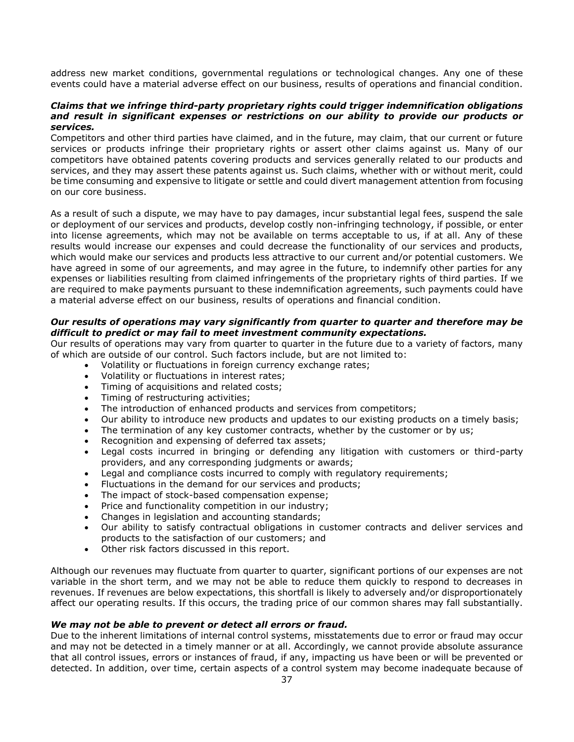address new market conditions, governmental regulations or technological changes. Any one of these events could have a material adverse effect on our business, results of operations and financial condition.

### *Claims that we infringe third-party proprietary rights could trigger indemnification obligations and result in significant expenses or restrictions on our ability to provide our products or services.*

Competitors and other third parties have claimed, and in the future, may claim, that our current or future services or products infringe their proprietary rights or assert other claims against us. Many of our competitors have obtained patents covering products and services generally related to our products and services, and they may assert these patents against us. Such claims, whether with or without merit, could be time consuming and expensive to litigate or settle and could divert management attention from focusing on our core business.

As a result of such a dispute, we may have to pay damages, incur substantial legal fees, suspend the sale or deployment of our services and products, develop costly non-infringing technology, if possible, or enter into license agreements, which may not be available on terms acceptable to us, if at all. Any of these results would increase our expenses and could decrease the functionality of our services and products, which would make our services and products less attractive to our current and/or potential customers. We have agreed in some of our agreements, and may agree in the future, to indemnify other parties for any expenses or liabilities resulting from claimed infringements of the proprietary rights of third parties. If we are required to make payments pursuant to these indemnification agreements, such payments could have a material adverse effect on our business, results of operations and financial condition.

### *Our results of operations may vary significantly from quarter to quarter and therefore may be difficult to predict or may fail to meet investment community expectations.*

Our results of operations may vary from quarter to quarter in the future due to a variety of factors, many of which are outside of our control. Such factors include, but are not limited to:

- Volatility or fluctuations in foreign currency exchange rates;
- Volatility or fluctuations in interest rates;
- Timing of acquisitions and related costs;
- Timing of restructuring activities;
- The introduction of enhanced products and services from competitors;
- Our ability to introduce new products and updates to our existing products on a timely basis;
- The termination of any key customer contracts, whether by the customer or by us;
- Recognition and expensing of deferred tax assets;
- Legal costs incurred in bringing or defending any litigation with customers or third-party providers, and any corresponding judgments or awards;
- Legal and compliance costs incurred to comply with regulatory requirements;
- Fluctuations in the demand for our services and products;
- The impact of stock-based compensation expense;
- Price and functionality competition in our industry;
- Changes in legislation and accounting standards;
- Our ability to satisfy contractual obligations in customer contracts and deliver services and products to the satisfaction of our customers; and
- Other risk factors discussed in this report.

Although our revenues may fluctuate from quarter to quarter, significant portions of our expenses are not variable in the short term, and we may not be able to reduce them quickly to respond to decreases in revenues. If revenues are below expectations, this shortfall is likely to adversely and/or disproportionately affect our operating results. If this occurs, the trading price of our common shares may fall substantially.

### *We may not be able to prevent or detect all errors or fraud.*

Due to the inherent limitations of internal control systems, misstatements due to error or fraud may occur and may not be detected in a timely manner or at all. Accordingly, we cannot provide absolute assurance that all control issues, errors or instances of fraud, if any, impacting us have been or will be prevented or detected. In addition, over time, certain aspects of a control system may become inadequate because of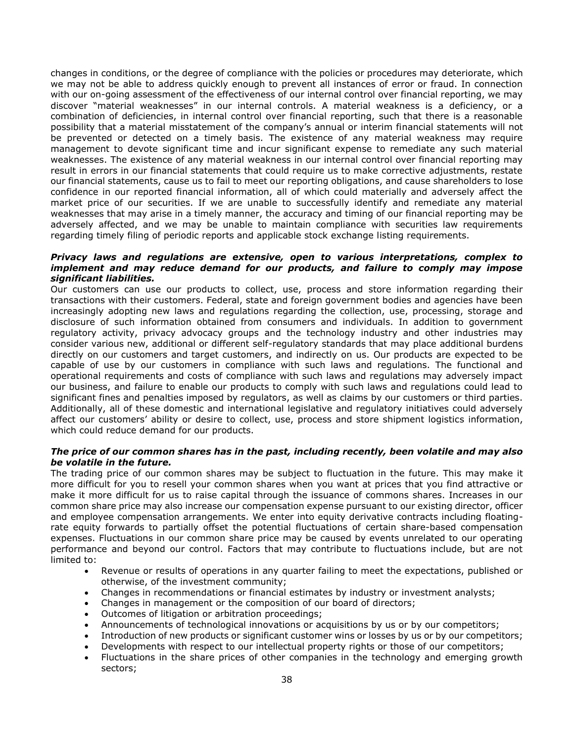changes in conditions, or the degree of compliance with the policies or procedures may deteriorate, which we may not be able to address quickly enough to prevent all instances of error or fraud. In connection with our on-going assessment of the effectiveness of our internal control over financial reporting, we may discover "material weaknesses" in our internal controls. A material weakness is a deficiency, or a combination of deficiencies, in internal control over financial reporting, such that there is a reasonable possibility that a material misstatement of the company's annual or interim financial statements will not be prevented or detected on a timely basis. The existence of any material weakness may require management to devote significant time and incur significant expense to remediate any such material weaknesses. The existence of any material weakness in our internal control over financial reporting may result in errors in our financial statements that could require us to make corrective adjustments, restate our financial statements, cause us to fail to meet our reporting obligations, and cause shareholders to lose confidence in our reported financial information, all of which could materially and adversely affect the market price of our securities. If we are unable to successfully identify and remediate any material weaknesses that may arise in a timely manner, the accuracy and timing of our financial reporting may be adversely affected, and we may be unable to maintain compliance with securities law requirements regarding timely filing of periodic reports and applicable stock exchange listing requirements.

### *Privacy laws and regulations are extensive, open to various interpretations, complex to implement and may reduce demand for our products, and failure to comply may impose significant liabilities.*

Our customers can use our products to collect, use, process and store information regarding their transactions with their customers. Federal, state and foreign government bodies and agencies have been increasingly adopting new laws and regulations regarding the collection, use, processing, storage and disclosure of such information obtained from consumers and individuals. In addition to government regulatory activity, privacy advocacy groups and the technology industry and other industries may consider various new, additional or different self-regulatory standards that may place additional burdens directly on our customers and target customers, and indirectly on us. Our products are expected to be capable of use by our customers in compliance with such laws and regulations. The functional and operational requirements and costs of compliance with such laws and regulations may adversely impact our business, and failure to enable our products to comply with such laws and regulations could lead to significant fines and penalties imposed by regulators, as well as claims by our customers or third parties. Additionally, all of these domestic and international legislative and regulatory initiatives could adversely affect our customers' ability or desire to collect, use, process and store shipment logistics information, which could reduce demand for our products.

### *The price of our common shares has in the past, including recently, been volatile and may also be volatile in the future.*

The trading price of our common shares may be subject to fluctuation in the future. This may make it more difficult for you to resell your common shares when you want at prices that you find attractive or make it more difficult for us to raise capital through the issuance of commons shares. Increases in our common share price may also increase our compensation expense pursuant to our existing director, officer and employee compensation arrangements. We enter into equity derivative contracts including floatingrate equity forwards to partially offset the potential fluctuations of certain share-based compensation expenses. Fluctuations in our common share price may be caused by events unrelated to our operating performance and beyond our control. Factors that may contribute to fluctuations include, but are not limited to:

- Revenue or results of operations in any quarter failing to meet the expectations, published or otherwise, of the investment community;
- Changes in recommendations or financial estimates by industry or investment analysts;
- Changes in management or the composition of our board of directors;
- Outcomes of litigation or arbitration proceedings;
- Announcements of technological innovations or acquisitions by us or by our competitors;
- Introduction of new products or significant customer wins or losses by us or by our competitors;
- Developments with respect to our intellectual property rights or those of our competitors;
- Fluctuations in the share prices of other companies in the technology and emerging growth sectors;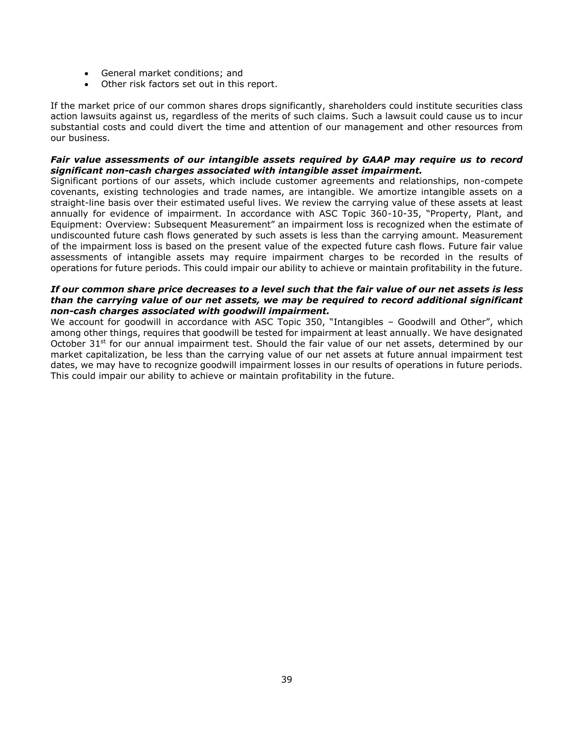- General market conditions; and
- Other risk factors set out in this report.

If the market price of our common shares drops significantly, shareholders could institute securities class action lawsuits against us, regardless of the merits of such claims. Such a lawsuit could cause us to incur substantial costs and could divert the time and attention of our management and other resources from our business.

### *Fair value assessments of our intangible assets required by GAAP may require us to record significant non-cash charges associated with intangible asset impairment.*

Significant portions of our assets, which include customer agreements and relationships, non-compete covenants, existing technologies and trade names, are intangible. We amortize intangible assets on a straight-line basis over their estimated useful lives. We review the carrying value of these assets at least annually for evidence of impairment. In accordance with ASC Topic 360-10-35, "Property, Plant, and Equipment: Overview: Subsequent Measurement" an impairment loss is recognized when the estimate of undiscounted future cash flows generated by such assets is less than the carrying amount. Measurement of the impairment loss is based on the present value of the expected future cash flows. Future fair value assessments of intangible assets may require impairment charges to be recorded in the results of operations for future periods. This could impair our ability to achieve or maintain profitability in the future.

### *If our common share price decreases to a level such that the fair value of our net assets is less than the carrying value of our net assets, we may be required to record additional significant non-cash charges associated with goodwill impairment.*

We account for goodwill in accordance with ASC Topic 350, "Intangibles - Goodwill and Other", which among other things, requires that goodwill be tested for impairment at least annually. We have designated October 31<sup>st</sup> for our annual impairment test. Should the fair value of our net assets, determined by our market capitalization, be less than the carrying value of our net assets at future annual impairment test dates, we may have to recognize goodwill impairment losses in our results of operations in future periods. This could impair our ability to achieve or maintain profitability in the future.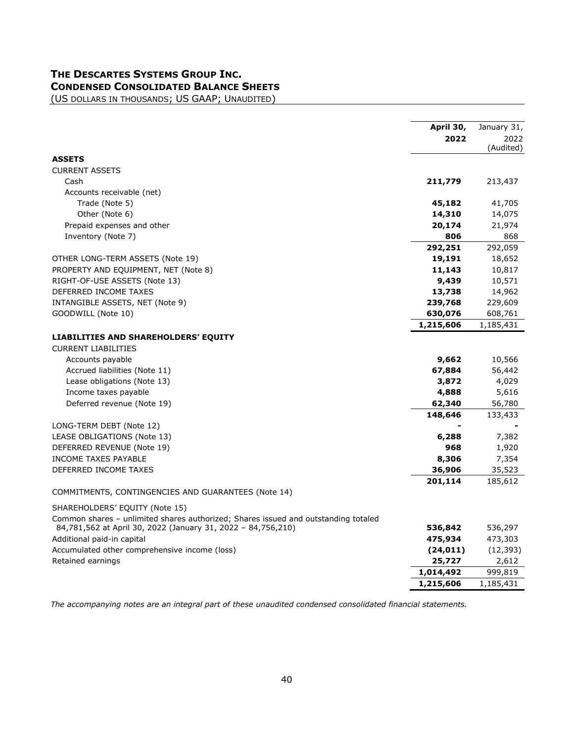# **THE DESCARTES SYSTEMS GROUP INC. CONDENSED CONSOLIDATED BALANCE SHEETS**

<span id="page-39-0"></span>(US DOLLARS IN THOUSANDS; US GAAP; UNAUDITED)

|                                                                                    | April 30,<br>2022 | January 31,<br>2022<br>(Audited) |
|------------------------------------------------------------------------------------|-------------------|----------------------------------|
| <b>ASSETS</b>                                                                      |                   |                                  |
| <b>CURRENT ASSETS</b>                                                              |                   |                                  |
| Cash                                                                               | 211,779           | 213,437                          |
| Accounts receivable (net)                                                          |                   |                                  |
| Trade (Note 5)                                                                     | 45,182            | 41,705                           |
| Other (Note 6)                                                                     | 14,310            | 14,075                           |
| Prepaid expenses and other                                                         | 20,174            | 21,974                           |
| Inventory (Note 7)                                                                 | 806               | 868                              |
|                                                                                    | 292,251           | 292,059                          |
| OTHER LONG-TERM ASSETS (Note 19)                                                   | 19,191            | 18,652                           |
| PROPERTY AND EQUIPMENT, NET (Note 8)                                               | 11,143            | 10,817                           |
| RIGHT-OF-USE ASSETS (Note 13)                                                      | 9,439             | 10,571                           |
| DEFERRED INCOME TAXES                                                              | 13,738            | 14,962                           |
| INTANGIBLE ASSETS, NET (Note 9)                                                    | 239,768           | 229,609                          |
| GOODWILL (Note 10)                                                                 | 630,076           | 608,761                          |
|                                                                                    | 1,215,606         | 1,185,431                        |
| LIABILITIES AND SHAREHOLDERS' EQUITY                                               |                   |                                  |
| <b>CURRENT LIABILITIES</b>                                                         |                   |                                  |
| Accounts payable                                                                   | 9,662             | 10,566                           |
| Accrued liabilities (Note 11)                                                      | 67,884            | 56,442                           |
| Lease obligations (Note 13)                                                        | 3,872             | 4,029                            |
| Income taxes payable                                                               | 4,888             | 5,616                            |
| Deferred revenue (Note 19)                                                         | 62,340            | 56,780                           |
|                                                                                    | 148,646           | 133,433                          |
| LONG-TERM DEBT (Note 12)                                                           |                   |                                  |
| LEASE OBLIGATIONS (Note 13)                                                        | 6,288             | 7,382                            |
| DEFERRED REVENUE (Note 19)                                                         | 968               | 1,920                            |
| <b>INCOME TAXES PAYABLE</b>                                                        | 8,306             | 7,354                            |
| DEFERRED INCOME TAXES                                                              | 36,906            | 35,523                           |
|                                                                                    | 201,114           | 185,612                          |
| COMMITMENTS, CONTINGENCIES AND GUARANTEES (Note 14)                                |                   |                                  |
| SHAREHOLDERS' EQUITY (Note 15)                                                     |                   |                                  |
| Common shares - unlimited shares authorized; Shares issued and outstanding totaled |                   |                                  |
| 84,781,562 at April 30, 2022 (January 31, 2022 - 84,756,210)                       | 536,842           | 536,297                          |
| Additional paid-in capital                                                         | 475,934           | 473,303                          |
| Accumulated other comprehensive income (loss)                                      | (24, 011)         | (12, 393)                        |
| Retained earnings                                                                  | 25,727            | 2,612                            |
|                                                                                    | 1,014,492         | 999,819                          |
|                                                                                    | 1,215,606         | 1,185,431                        |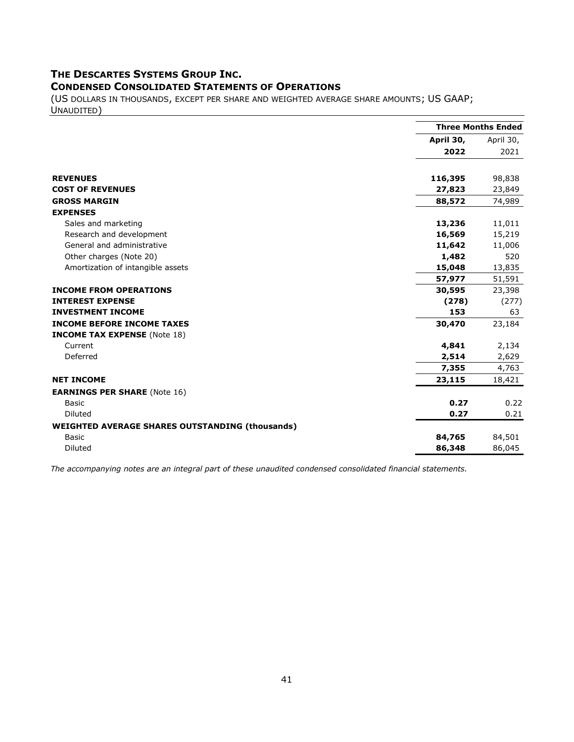# **THE DESCARTES SYSTEMS GROUP INC.**

## <span id="page-40-0"></span>**CONDENSED CONSOLIDATED STATEMENTS OF OPERATIONS**

(US DOLLARS IN THOUSANDS, EXCEPT PER SHARE AND WEIGHTED AVERAGE SHARE AMOUNTS; US GAAP; UNAUDITED)

|                                                        |           | <b>Three Months Ended</b> |
|--------------------------------------------------------|-----------|---------------------------|
|                                                        | April 30, | April 30,                 |
|                                                        | 2022      | 2021                      |
| <b>REVENUES</b>                                        | 116,395   | 98,838                    |
| <b>COST OF REVENUES</b>                                | 27,823    | 23,849                    |
| <b>GROSS MARGIN</b>                                    | 88,572    | 74,989                    |
| <b>EXPENSES</b>                                        |           |                           |
| Sales and marketing                                    | 13,236    | 11,011                    |
| Research and development                               | 16,569    | 15,219                    |
| General and administrative                             | 11,642    | 11,006                    |
| Other charges (Note 20)                                | 1,482     | 520                       |
| Amortization of intangible assets                      | 15,048    | 13,835                    |
|                                                        | 57,977    | 51,591                    |
| <b>INCOME FROM OPERATIONS</b>                          | 30,595    | 23,398                    |
| <b>INTEREST EXPENSE</b>                                | (278)     | (277)                     |
| <b>INVESTMENT INCOME</b>                               | 153       | 63                        |
| <b>INCOME BEFORE INCOME TAXES</b>                      | 30,470    | 23,184                    |
| <b>INCOME TAX EXPENSE</b> (Note 18)                    |           |                           |
| Current                                                | 4,841     | 2,134                     |
| Deferred                                               | 2,514     | 2,629                     |
|                                                        | 7,355     | 4,763                     |
| <b>NET INCOME</b>                                      | 23,115    | 18,421                    |
| <b>EARNINGS PER SHARE (Note 16)</b>                    |           |                           |
| <b>Basic</b>                                           | 0.27      | 0.22                      |
| <b>Diluted</b>                                         | 0.27      | 0.21                      |
| <b>WEIGHTED AVERAGE SHARES OUTSTANDING (thousands)</b> |           |                           |
| <b>Basic</b>                                           | 84,765    | 84,501                    |
| Diluted                                                | 86,348    | 86,045                    |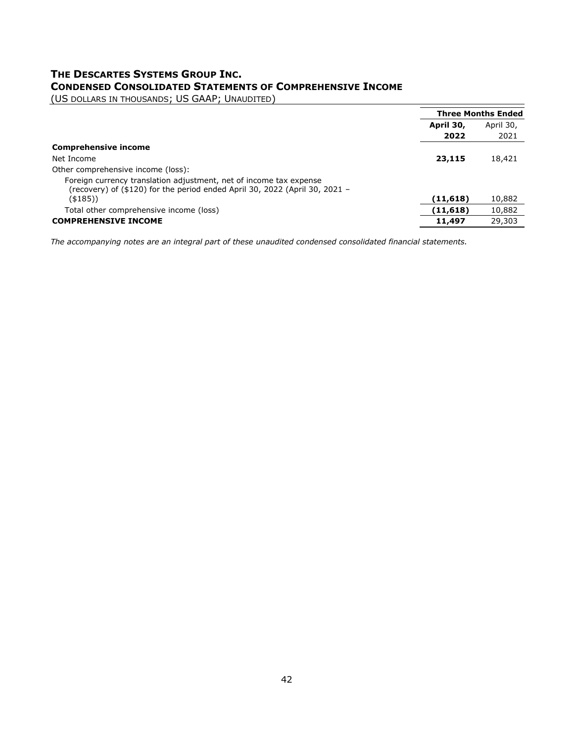# <span id="page-41-0"></span>**THE DESCARTES SYSTEMS GROUP INC. CONDENSED CONSOLIDATED STATEMENTS OF COMPREHENSIVE INCOME**

(US DOLLARS IN THOUSANDS; US GAAP; UNAUDITED)

|                                                                                                                                                   |           | <b>Three Months Ended</b> |
|---------------------------------------------------------------------------------------------------------------------------------------------------|-----------|---------------------------|
|                                                                                                                                                   | April 30, | April 30,                 |
|                                                                                                                                                   | 2022      | 2021                      |
| <b>Comprehensive income</b>                                                                                                                       |           |                           |
| Net Income                                                                                                                                        | 23,115    | 18,421                    |
| Other comprehensive income (loss):                                                                                                                |           |                           |
| Foreign currency translation adjustment, net of income tax expense<br>(recovery) of (\$120) for the period ended April 30, 2022 (April 30, 2021 – |           |                           |
| (\$185))                                                                                                                                          | (11, 618) | 10,882                    |
| Total other comprehensive income (loss)                                                                                                           | (11, 618) | 10,882                    |
| <b>COMPREHENSIVE INCOME</b>                                                                                                                       | 11,497    | 29,303                    |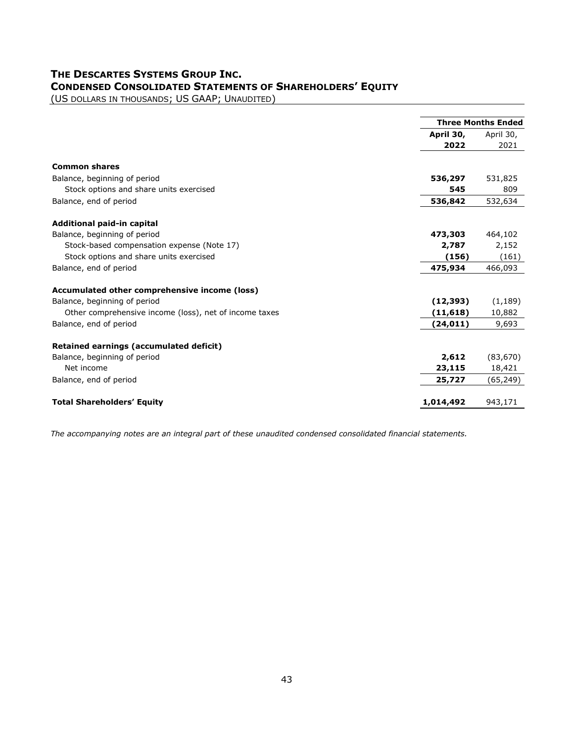# **THE DESCARTES SYSTEMS GROUP INC. CONDENSED CONSOLIDATED STATEMENTS OF SHAREHOLDERS' EQUITY**

<span id="page-42-0"></span>(US DOLLARS IN THOUSANDS; US GAAP; UNAUDITED)

|                                                        | <b>Three Months Ended</b> |           |
|--------------------------------------------------------|---------------------------|-----------|
|                                                        | April 30,                 | April 30, |
|                                                        | 2022                      | 2021      |
|                                                        |                           |           |
| <b>Common shares</b>                                   |                           |           |
| Balance, beginning of period                           | 536,297                   | 531,825   |
| Stock options and share units exercised                | 545                       | 809       |
| Balance, end of period                                 | 536,842                   | 532,634   |
| Additional paid-in capital                             |                           |           |
| Balance, beginning of period                           | 473,303                   | 464,102   |
| Stock-based compensation expense (Note 17)             | 2,787                     | 2,152     |
| Stock options and share units exercised                | (156)                     | (161)     |
| Balance, end of period                                 | 475,934                   | 466,093   |
| Accumulated other comprehensive income (loss)          |                           |           |
| Balance, beginning of period                           | (12, 393)                 | (1, 189)  |
| Other comprehensive income (loss), net of income taxes | (11, 618)                 | 10,882    |
| Balance, end of period                                 | (24, 011)                 | 9,693     |
| Retained earnings (accumulated deficit)                |                           |           |
| Balance, beginning of period                           | 2,612                     | (83, 670) |
| Net income                                             | 23,115                    | 18,421    |
| Balance, end of period                                 | 25,727                    | (65, 249) |
|                                                        |                           |           |
| <b>Total Shareholders' Equity</b>                      | 1,014,492                 | 943,171   |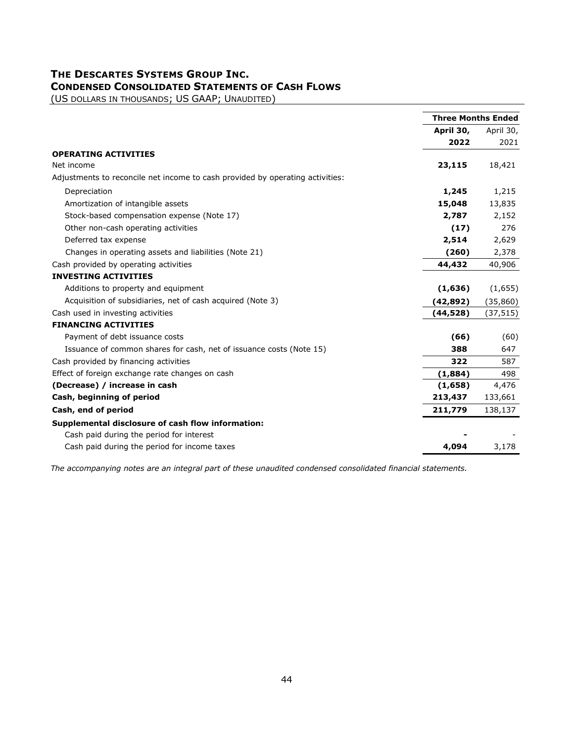# **THE DESCARTES SYSTEMS GROUP INC. CONDENSED CONSOLIDATED STATEMENTS OF CASH FLOWS**

<span id="page-43-0"></span>(US DOLLARS IN THOUSANDS; US GAAP; UNAUDITED)

|                                                                               | <b>Three Months Ended</b> |           |
|-------------------------------------------------------------------------------|---------------------------|-----------|
|                                                                               | April 30,                 | April 30, |
|                                                                               | 2022                      | 2021      |
| <b>OPERATING ACTIVITIES</b>                                                   |                           |           |
| Net income                                                                    | 23,115                    | 18,421    |
| Adjustments to reconcile net income to cash provided by operating activities: |                           |           |
| Depreciation                                                                  | 1,245                     | 1,215     |
| Amortization of intangible assets                                             | 15,048                    | 13,835    |
| Stock-based compensation expense (Note 17)                                    | 2,787                     | 2,152     |
| Other non-cash operating activities                                           | (17)                      | 276       |
| Deferred tax expense                                                          | 2,514                     | 2,629     |
| Changes in operating assets and liabilities (Note 21)                         | (260)                     | 2,378     |
| Cash provided by operating activities                                         | 44,432                    | 40,906    |
| <b>INVESTING ACTIVITIES</b>                                                   |                           |           |
| Additions to property and equipment                                           | (1,636)                   | (1,655)   |
| Acquisition of subsidiaries, net of cash acquired (Note 3)                    | (42, 892)                 | (35, 860) |
| Cash used in investing activities                                             | (44,528)                  | (37, 515) |
| <b>FINANCING ACTIVITIES</b>                                                   |                           |           |
| Payment of debt issuance costs                                                | (66)                      | (60)      |
| Issuance of common shares for cash, net of issuance costs (Note 15)           | 388                       | 647       |
| Cash provided by financing activities                                         | 322                       | 587       |
| Effect of foreign exchange rate changes on cash                               | (1,884)                   | 498       |
| (Decrease) / increase in cash                                                 | (1,658)                   | 4,476     |
| Cash, beginning of period                                                     | 213,437                   | 133,661   |
| Cash, end of period                                                           | 211,779                   | 138,137   |
| Supplemental disclosure of cash flow information:                             |                           |           |
| Cash paid during the period for interest                                      |                           |           |
| Cash paid during the period for income taxes                                  | 4,094                     | 3,178     |
|                                                                               |                           |           |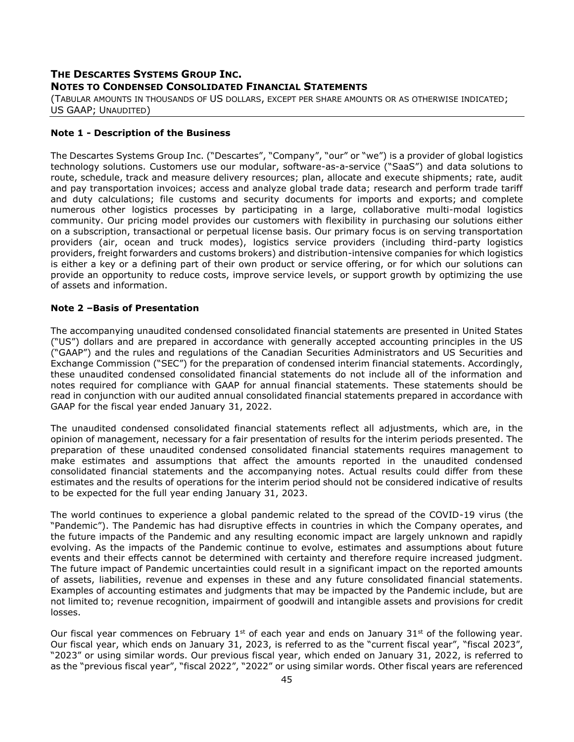# <span id="page-44-0"></span>**THE DESCARTES SYSTEMS GROUP INC. NOTES TO CONDENSED CONSOLIDATED FINANCIAL STATEMENTS**

(TABULAR AMOUNTS IN THOUSANDS OF US DOLLARS, EXCEPT PER SHARE AMOUNTS OR AS OTHERWISE INDICATED; US GAAP; UNAUDITED)

### **Note 1 - Description of the Business**

The Descartes Systems Group Inc. ("Descartes", "Company", "our" or "we") is a provider of global logistics technology solutions. Customers use our modular, software-as-a-service ("SaaS") and data solutions to route, schedule, track and measure delivery resources; plan, allocate and execute shipments; rate, audit and pay transportation invoices; access and analyze global trade data; research and perform trade tariff and duty calculations; file customs and security documents for imports and exports; and complete numerous other logistics processes by participating in a large, collaborative multi-modal logistics community. Our pricing model provides our customers with flexibility in purchasing our solutions either on a subscription, transactional or perpetual license basis. Our primary focus is on serving transportation providers (air, ocean and truck modes), logistics service providers (including third-party logistics providers, freight forwarders and customs brokers) and distribution-intensive companies for which logistics is either a key or a defining part of their own product or service offering, or for which our solutions can provide an opportunity to reduce costs, improve service levels, or support growth by optimizing the use of assets and information.

### **Note 2 –Basis of Presentation**

The accompanying unaudited condensed consolidated financial statements are presented in United States ("US") dollars and are prepared in accordance with generally accepted accounting principles in the US ("GAAP") and the rules and regulations of the Canadian Securities Administrators and US Securities and Exchange Commission ("SEC") for the preparation of condensed interim financial statements. Accordingly, these unaudited condensed consolidated financial statements do not include all of the information and notes required for compliance with GAAP for annual financial statements. These statements should be read in conjunction with our audited annual consolidated financial statements prepared in accordance with GAAP for the fiscal year ended January 31, 2022.

The unaudited condensed consolidated financial statements reflect all adjustments, which are, in the opinion of management, necessary for a fair presentation of results for the interim periods presented. The preparation of these unaudited condensed consolidated financial statements requires management to make estimates and assumptions that affect the amounts reported in the unaudited condensed consolidated financial statements and the accompanying notes. Actual results could differ from these estimates and the results of operations for the interim period should not be considered indicative of results to be expected for the full year ending January 31, 2023.

The world continues to experience a global pandemic related to the spread of the COVID-19 virus (the "Pandemic"). The Pandemic has had disruptive effects in countries in which the Company operates, and the future impacts of the Pandemic and any resulting economic impact are largely unknown and rapidly evolving. As the impacts of the Pandemic continue to evolve, estimates and assumptions about future events and their effects cannot be determined with certainty and therefore require increased judgment. The future impact of Pandemic uncertainties could result in a significant impact on the reported amounts of assets, liabilities, revenue and expenses in these and any future consolidated financial statements. Examples of accounting estimates and judgments that may be impacted by the Pandemic include, but are not limited to; revenue recognition, impairment of goodwill and intangible assets and provisions for credit losses.

Our fiscal year commences on February  $1^{st}$  of each year and ends on January  $31^{st}$  of the following year. Our fiscal year, which ends on January 31, 2023, is referred to as the "current fiscal year", "fiscal 2023", "2023" or using similar words. Our previous fiscal year, which ended on January 31, 2022, is referred to as the "previous fiscal year", "fiscal 2022", "2022" or using similar words. Other fiscal years are referenced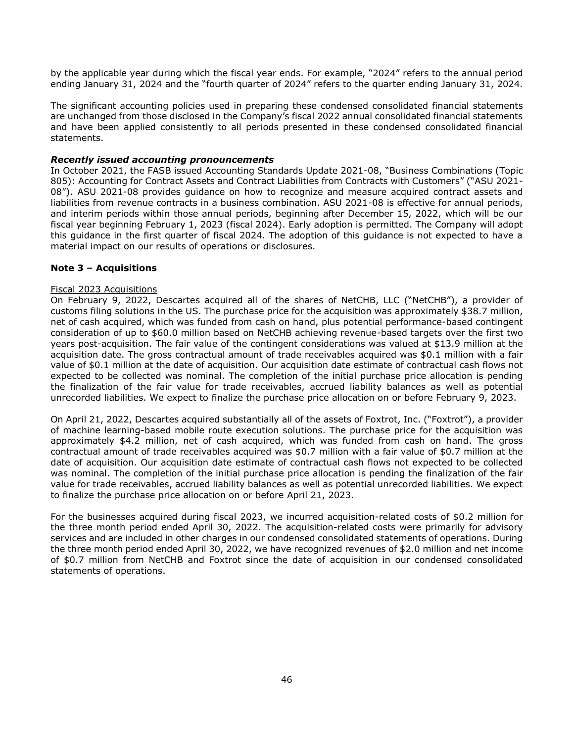by the applicable year during which the fiscal year ends. For example, "2024" refers to the annual period ending January 31, 2024 and the "fourth quarter of 2024" refers to the quarter ending January 31, 2024.

The significant accounting policies used in preparing these condensed consolidated financial statements are unchanged from those disclosed in the Company's fiscal 2022 annual consolidated financial statements and have been applied consistently to all periods presented in these condensed consolidated financial statements.

### *Recently issued accounting pronouncements*

In October 2021, the FASB issued Accounting Standards Update 2021-08, "Business Combinations (Topic 805): Accounting for Contract Assets and Contract Liabilities from Contracts with Customers" ("ASU 2021- 08"). ASU 2021-08 provides guidance on how to recognize and measure acquired contract assets and liabilities from revenue contracts in a business combination. ASU 2021-08 is effective for annual periods, and interim periods within those annual periods, beginning after December 15, 2022, which will be our fiscal year beginning February 1, 2023 (fiscal 2024). Early adoption is permitted. The Company will adopt this guidance in the first quarter of fiscal 2024. The adoption of this guidance is not expected to have a material impact on our results of operations or disclosures.

### **Note 3 – Acquisitions**

### Fiscal 2023 Acquisitions

On February 9, 2022, Descartes acquired all of the shares of NetCHB, LLC ("NetCHB"), a provider of customs filing solutions in the US. The purchase price for the acquisition was approximately \$38.7 million, net of cash acquired, which was funded from cash on hand, plus potential performance-based contingent consideration of up to \$60.0 million based on NetCHB achieving revenue-based targets over the first two years post-acquisition. The fair value of the contingent considerations was valued at \$13.9 million at the acquisition date. The gross contractual amount of trade receivables acquired was \$0.1 million with a fair value of \$0.1 million at the date of acquisition. Our acquisition date estimate of contractual cash flows not expected to be collected was nominal. The completion of the initial purchase price allocation is pending the finalization of the fair value for trade receivables, accrued liability balances as well as potential unrecorded liabilities. We expect to finalize the purchase price allocation on or before February 9, 2023.

On April 21, 2022, Descartes acquired substantially all of the assets of Foxtrot, Inc. ("Foxtrot"), a provider of machine learning-based mobile route execution solutions. The purchase price for the acquisition was approximately \$4.2 million, net of cash acquired, which was funded from cash on hand. The gross contractual amount of trade receivables acquired was \$0.7 million with a fair value of \$0.7 million at the date of acquisition. Our acquisition date estimate of contractual cash flows not expected to be collected was nominal. The completion of the initial purchase price allocation is pending the finalization of the fair value for trade receivables, accrued liability balances as well as potential unrecorded liabilities. We expect to finalize the purchase price allocation on or before April 21, 2023.

For the businesses acquired during fiscal 2023, we incurred acquisition-related costs of \$0.2 million for the three month period ended April 30, 2022. The acquisition-related costs were primarily for advisory services and are included in other charges in our condensed consolidated statements of operations. During the three month period ended April 30, 2022, we have recognized revenues of \$2.0 million and net income of \$0.7 million from NetCHB and Foxtrot since the date of acquisition in our condensed consolidated statements of operations.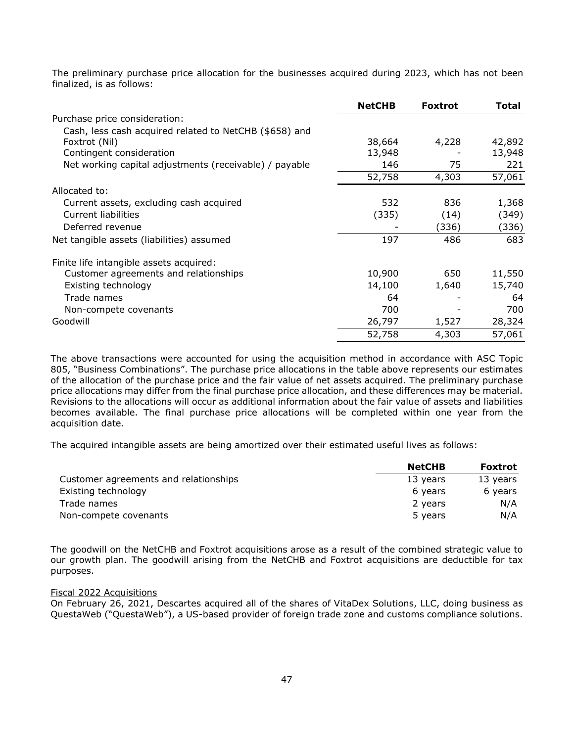The preliminary purchase price allocation for the businesses acquired during 2023, which has not been finalized, is as follows:

|                                                        | <b>NetCHB</b> | <b>Foxtrot</b> | <b>Total</b> |
|--------------------------------------------------------|---------------|----------------|--------------|
| Purchase price consideration:                          |               |                |              |
| Cash, less cash acquired related to NetCHB (\$658) and |               |                |              |
| Foxtrot (Nil)                                          | 38,664        | 4,228          | 42,892       |
| Contingent consideration                               | 13,948        |                | 13,948       |
| Net working capital adjustments (receivable) / payable | 146           | 75             | 221          |
|                                                        | 52,758        | 4,303          | 57,061       |
| Allocated to:                                          |               |                |              |
| Current assets, excluding cash acquired                | 532           | 836            | 1,368        |
| Current liabilities                                    | (335)         | (14)           | (349)        |
| Deferred revenue                                       |               | (336)          | (336)        |
| Net tangible assets (liabilities) assumed              | 197           | 486            | 683          |
| Finite life intangible assets acquired:                |               |                |              |
| Customer agreements and relationships                  | 10,900        | 650            | 11,550       |
| Existing technology                                    | 14,100        | 1,640          | 15,740       |
| Trade names                                            | 64            |                | 64           |
| Non-compete covenants                                  | 700           |                | 700          |
| Goodwill                                               | 26,797        | 1,527          | 28,324       |
|                                                        | 52,758        | 4,303          | 57,061       |

The above transactions were accounted for using the acquisition method in accordance with ASC Topic 805, "Business Combinations". The purchase price allocations in the table above represents our estimates of the allocation of the purchase price and the fair value of net assets acquired. The preliminary purchase price allocations may differ from the final purchase price allocation, and these differences may be material. Revisions to the allocations will occur as additional information about the fair value of assets and liabilities becomes available. The final purchase price allocations will be completed within one year from the acquisition date.

The acquired intangible assets are being amortized over their estimated useful lives as follows:

|                                       | <b>NetCHB</b> | <b>Foxtrot</b> |
|---------------------------------------|---------------|----------------|
| Customer agreements and relationships | 13 years      | 13 years       |
| Existing technology                   | 6 years       | 6 years        |
| Trade names                           | 2 years       | N/A            |
| Non-compete covenants                 | 5 years       | N/A            |

The goodwill on the NetCHB and Foxtrot acquisitions arose as a result of the combined strategic value to our growth plan. The goodwill arising from the NetCHB and Foxtrot acquisitions are deductible for tax purposes.

### Fiscal 2022 Acquisitions

On February 26, 2021, Descartes acquired all of the shares of VitaDex Solutions, LLC, doing business as QuestaWeb ("QuestaWeb"), a US-based provider of foreign trade zone and customs compliance solutions.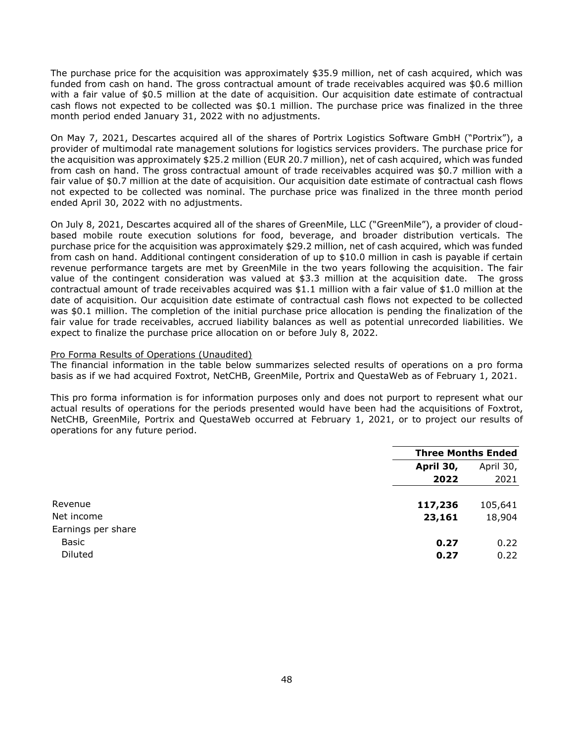The purchase price for the acquisition was approximately \$35.9 million, net of cash acquired, which was funded from cash on hand. The gross contractual amount of trade receivables acquired was \$0.6 million with a fair value of \$0.5 million at the date of acquisition. Our acquisition date estimate of contractual cash flows not expected to be collected was \$0.1 million. The purchase price was finalized in the three month period ended January 31, 2022 with no adjustments.

On May 7, 2021, Descartes acquired all of the shares of Portrix Logistics Software GmbH ("Portrix"), a provider of multimodal rate management solutions for logistics services providers. The purchase price for the acquisition was approximately \$25.2 million (EUR 20.7 million), net of cash acquired, which was funded from cash on hand. The gross contractual amount of trade receivables acquired was \$0.7 million with a fair value of \$0.7 million at the date of acquisition. Our acquisition date estimate of contractual cash flows not expected to be collected was nominal. The purchase price was finalized in the three month period ended April 30, 2022 with no adjustments.

On July 8, 2021, Descartes acquired all of the shares of GreenMile, LLC ("GreenMile"), a provider of cloudbased mobile route execution solutions for food, beverage, and broader distribution verticals. The purchase price for the acquisition was approximately \$29.2 million, net of cash acquired, which was funded from cash on hand. Additional contingent consideration of up to \$10.0 million in cash is payable if certain revenue performance targets are met by GreenMile in the two years following the acquisition. The fair value of the contingent consideration was valued at \$3.3 million at the acquisition date. The gross contractual amount of trade receivables acquired was \$1.1 million with a fair value of \$1.0 million at the date of acquisition. Our acquisition date estimate of contractual cash flows not expected to be collected was \$0.1 million. The completion of the initial purchase price allocation is pending the finalization of the fair value for trade receivables, accrued liability balances as well as potential unrecorded liabilities. We expect to finalize the purchase price allocation on or before July 8, 2022.

### Pro Forma Results of Operations (Unaudited)

The financial information in the table below summarizes selected results of operations on a pro forma basis as if we had acquired Foxtrot, NetCHB, GreenMile, Portrix and QuestaWeb as of February 1, 2021.

This pro forma information is for information purposes only and does not purport to represent what our actual results of operations for the periods presented would have been had the acquisitions of Foxtrot, NetCHB, GreenMile, Portrix and QuestaWeb occurred at February 1, 2021, or to project our results of operations for any future period.

|           | <b>Three Months Ended</b> |  |
|-----------|---------------------------|--|
| April 30, | April 30,                 |  |
| 2022      | 2021                      |  |
|           |                           |  |
| 117,236   | 105,641                   |  |
| 23,161    | 18,904                    |  |
|           |                           |  |
| 0.27      | 0.22                      |  |
| 0.27      | 0.22                      |  |
|           |                           |  |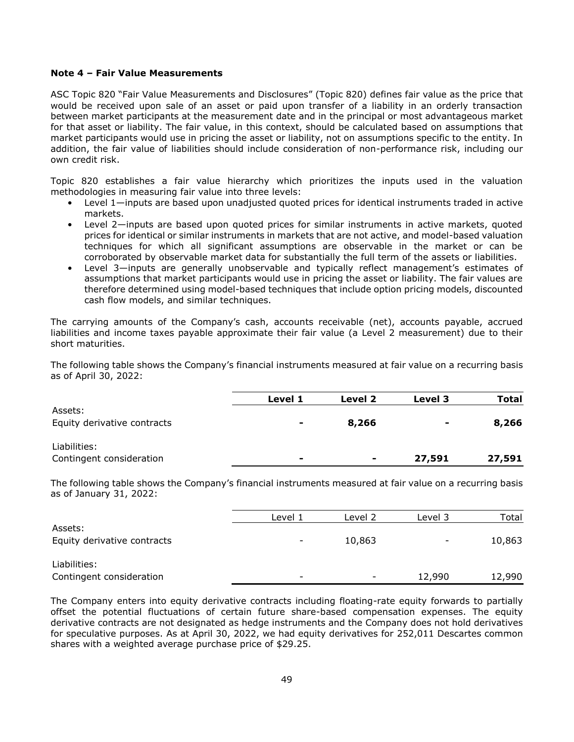### **Note 4 – Fair Value Measurements**

ASC Topic 820 "Fair Value Measurements and Disclosures" (Topic 820) defines fair value as the price that would be received upon sale of an asset or paid upon transfer of a liability in an orderly transaction between market participants at the measurement date and in the principal or most advantageous market for that asset or liability. The fair value, in this context, should be calculated based on assumptions that market participants would use in pricing the asset or liability, not on assumptions specific to the entity. In addition, the fair value of liabilities should include consideration of non-performance risk, including our own credit risk.

Topic 820 establishes a fair value hierarchy which prioritizes the inputs used in the valuation methodologies in measuring fair value into three levels:

- Level 1—inputs are based upon unadjusted quoted prices for identical instruments traded in active markets.
- Level 2—inputs are based upon quoted prices for similar instruments in active markets, quoted prices for identical or similar instruments in markets that are not active, and model-based valuation techniques for which all significant assumptions are observable in the market or can be corroborated by observable market data for substantially the full term of the assets or liabilities.
- Level 3—inputs are generally unobservable and typically reflect management's estimates of assumptions that market participants would use in pricing the asset or liability. The fair values are therefore determined using model-based techniques that include option pricing models, discounted cash flow models, and similar techniques.

The carrying amounts of the Company's cash, accounts receivable (net), accounts payable, accrued liabilities and income taxes payable approximate their fair value (a Level 2 measurement) due to their short maturities.

The following table shows the Company's financial instruments measured at fair value on a recurring basis as of April 30, 2022:

|                             | Level 1        | Level 2        | Level 3 | Total  |
|-----------------------------|----------------|----------------|---------|--------|
| Assets:                     |                |                |         |        |
| Equity derivative contracts | ٠              | 8,266          | ٠       | 8,266  |
| Liabilities:                |                |                |         |        |
| Contingent consideration    | $\blacksquare$ | $\blacksquare$ | 27,591  | 27,591 |

The following table shows the Company's financial instruments measured at fair value on a recurring basis as of January 31, 2022:

|                             | Level 1                  | Level 2 | Level 3                  | Total  |
|-----------------------------|--------------------------|---------|--------------------------|--------|
| Assets:                     |                          |         |                          |        |
| Equity derivative contracts | $\overline{\phantom{a}}$ | 10,863  | $\overline{\phantom{a}}$ | 10,863 |
| Liabilities:                |                          |         |                          |        |
| Contingent consideration    | $\overline{\phantom{0}}$ |         | 12,990                   | 12,990 |

The Company enters into equity derivative contracts including floating-rate equity forwards to partially offset the potential fluctuations of certain future share-based compensation expenses. The equity derivative contracts are not designated as hedge instruments and the Company does not hold derivatives for speculative purposes. As at April 30, 2022, we had equity derivatives for 252,011 Descartes common shares with a weighted average purchase price of \$29.25.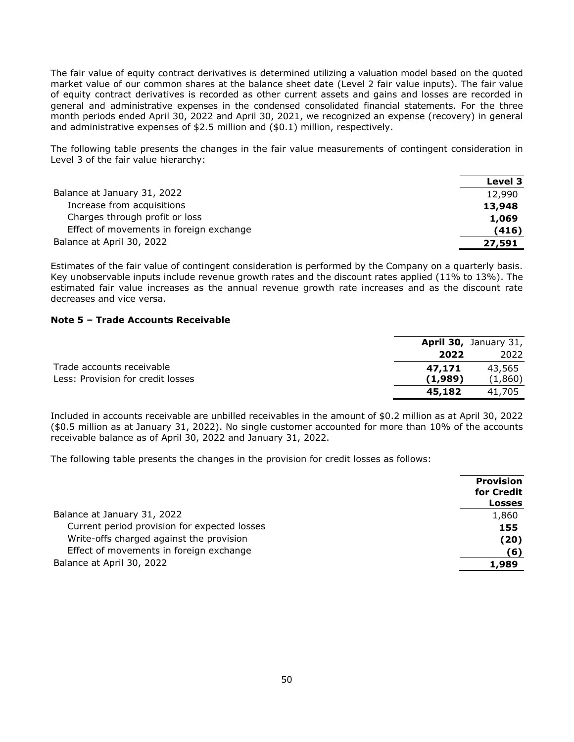The fair value of equity contract derivatives is determined utilizing a valuation model based on the quoted market value of our common shares at the balance sheet date (Level 2 fair value inputs). The fair value of equity contract derivatives is recorded as other current assets and gains and losses are recorded in general and administrative expenses in the condensed consolidated financial statements. For the three month periods ended April 30, 2022 and April 30, 2021, we recognized an expense (recovery) in general and administrative expenses of \$2.5 million and (\$0.1) million, respectively.

The following table presents the changes in the fair value measurements of contingent consideration in Level 3 of the fair value hierarchy:

| Level 3 |
|---------|
| 12,990  |
| 13,948  |
| 1,069   |
| (416)   |
| 27,591  |
|         |

Estimates of the fair value of contingent consideration is performed by the Company on a quarterly basis. Key unobservable inputs include revenue growth rates and the discount rates applied (11% to 13%). The estimated fair value increases as the annual revenue growth rate increases and as the discount rate decreases and vice versa.

### **Note 5 – Trade Accounts Receivable**

|                                   |         | April 30, January 31, |
|-----------------------------------|---------|-----------------------|
|                                   | 2022    | 2022                  |
| Trade accounts receivable         | 47.171  | 43,565                |
| Less: Provision for credit losses | (1,989) | (1,860)               |
|                                   | 45,182  | 41,705                |

Included in accounts receivable are unbilled receivables in the amount of \$0.2 million as at April 30, 2022 (\$0.5 million as at January 31, 2022). No single customer accounted for more than 10% of the accounts receivable balance as of April 30, 2022 and January 31, 2022.

The following table presents the changes in the provision for credit losses as follows:

|                                              | <b>Provision</b><br>for Credit<br><b>Losses</b> |
|----------------------------------------------|-------------------------------------------------|
| Balance at January 31, 2022                  | 1,860                                           |
| Current period provision for expected losses | 155                                             |
| Write-offs charged against the provision     | (20)                                            |
| Effect of movements in foreign exchange      | (6)                                             |
| Balance at April 30, 2022                    | 1,989                                           |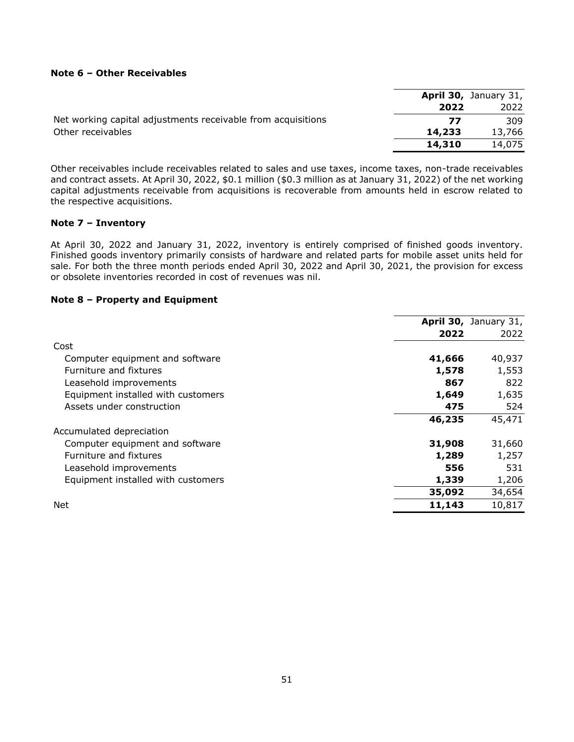### **Note 6 – Other Receivables**

|                                                              |        | <b>April 30, January 31,</b> |
|--------------------------------------------------------------|--------|------------------------------|
|                                                              | 2022   | 2022                         |
| Net working capital adjustments receivable from acquisitions | 77     | 309                          |
| Other receivables                                            | 14,233 | 13,766                       |
|                                                              | 14,310 | 14,075                       |

Other receivables include receivables related to sales and use taxes, income taxes, non-trade receivables and contract assets. At April 30, 2022, \$0.1 million (\$0.3 million as at January 31, 2022) of the net working capital adjustments receivable from acquisitions is recoverable from amounts held in escrow related to the respective acquisitions.

### **Note 7 – Inventory**

At April 30, 2022 and January 31, 2022, inventory is entirely comprised of finished goods inventory. Finished goods inventory primarily consists of hardware and related parts for mobile asset units held for sale. For both the three month periods ended April 30, 2022 and April 30, 2021, the provision for excess or obsolete inventories recorded in cost of revenues was nil.

### **Note 8 – Property and Equipment**

|                                    |        | April 30, January 31, |
|------------------------------------|--------|-----------------------|
|                                    | 2022   | 2022                  |
| Cost                               |        |                       |
| Computer equipment and software    | 41,666 | 40,937                |
| Furniture and fixtures             | 1,578  | 1,553                 |
| Leasehold improvements             | 867    | 822                   |
| Equipment installed with customers | 1,649  | 1,635                 |
| Assets under construction          | 475    | 524                   |
|                                    | 46,235 | 45,471                |
| Accumulated depreciation           |        |                       |
| Computer equipment and software    | 31,908 | 31,660                |
| Furniture and fixtures             | 1,289  | 1,257                 |
| Leasehold improvements             | 556    | 531                   |
| Equipment installed with customers | 1,339  | 1,206                 |
|                                    | 35,092 | 34,654                |
| Net                                | 11,143 | 10,817                |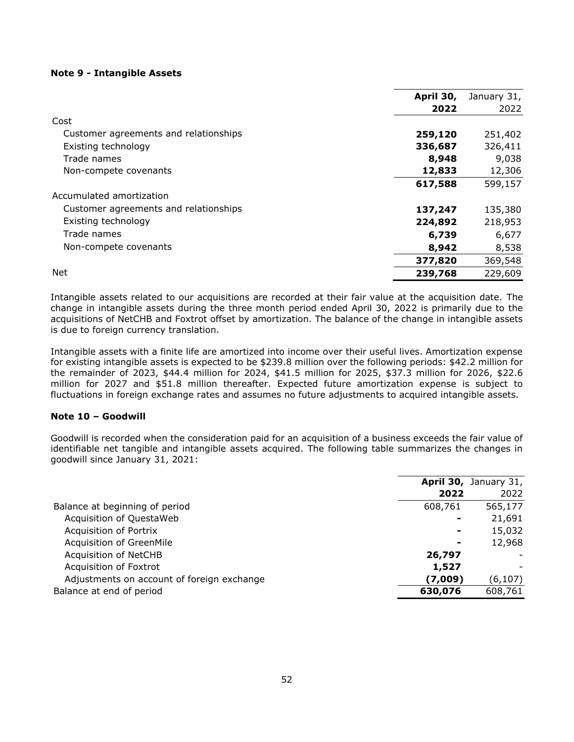### **Note 9 - Intangible Assets**

|                                       | April 30, | January 31, |
|---------------------------------------|-----------|-------------|
|                                       | 2022      | 2022        |
| Cost                                  |           |             |
| Customer agreements and relationships | 259,120   | 251,402     |
| Existing technology                   | 336,687   | 326,411     |
| Trade names                           | 8,948     | 9,038       |
| Non-compete covenants                 | 12,833    | 12,306      |
|                                       | 617,588   | 599,157     |
| Accumulated amortization              |           |             |
| Customer agreements and relationships | 137,247   | 135,380     |
| Existing technology                   | 224,892   | 218,953     |
| Trade names                           | 6,739     | 6,677       |
| Non-compete covenants                 | 8,942     | 8,538       |
|                                       | 377,820   | 369,548     |
| <b>Net</b>                            | 239,768   | 229,609     |

Intangible assets related to our acquisitions are recorded at their fair value at the acquisition date. The change in intangible assets during the three month period ended April 30, 2022 is primarily due to the acquisitions of NetCHB and Foxtrot offset by amortization. The balance of the change in intangible assets is due to foreign currency translation.

Intangible assets with a finite life are amortized into income over their useful lives. Amortization expense for existing intangible assets is expected to be \$239.8 million over the following periods: \$42.2 million for the remainder of 2023, \$44.4 million for 2024, \$41.5 million for 2025, \$37.3 million for 2026, \$22.6 million for 2027 and \$51.8 million thereafter. Expected future amortization expense is subject to fluctuations in foreign exchange rates and assumes no future adjustments to acquired intangible assets.

### **Note 10 – Goodwill**

Goodwill is recorded when the consideration paid for an acquisition of a business exceeds the fair value of identifiable net tangible and intangible assets acquired. The following table summarizes the changes in goodwill since January 31, 2021:

|                                            |         | April 30, January 31, |
|--------------------------------------------|---------|-----------------------|
|                                            | 2022    | 2022                  |
| Balance at beginning of period             | 608,761 | 565,177               |
| Acquisition of QuestaWeb                   |         | 21,691                |
| Acquisition of Portrix                     |         | 15,032                |
| Acquisition of GreenMile                   | ۰       | 12,968                |
| Acquisition of NetCHB                      | 26,797  |                       |
| Acquisition of Foxtrot                     | 1,527   |                       |
| Adjustments on account of foreign exchange | (7,009) | (6, 107)              |
| Balance at end of period                   | 630,076 | 608,761               |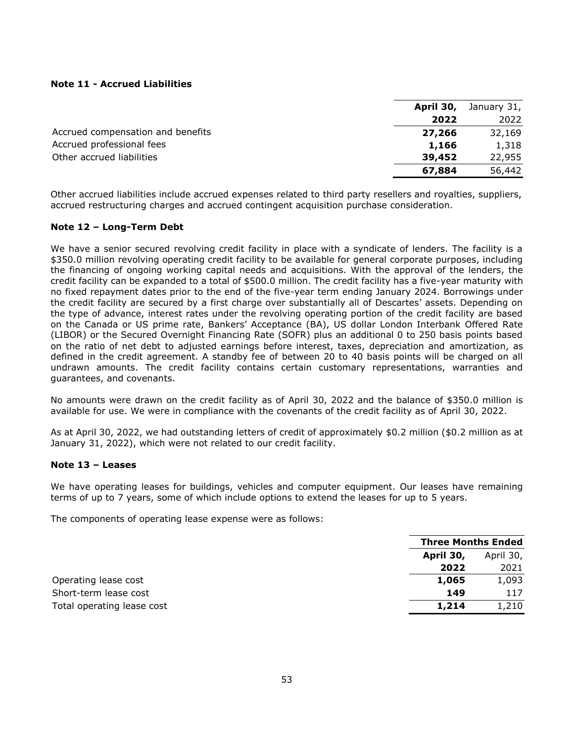### **Note 11 - Accrued Liabilities**

|                                   | April 30, | January 31, |
|-----------------------------------|-----------|-------------|
|                                   | 2022      | 2022        |
| Accrued compensation and benefits | 27,266    | 32,169      |
| Accrued professional fees         | 1,166     | 1,318       |
| Other accrued liabilities         | 39,452    | 22,955      |
|                                   | 67,884    | 56,442      |

Other accrued liabilities include accrued expenses related to third party resellers and royalties, suppliers, accrued restructuring charges and accrued contingent acquisition purchase consideration.

### **Note 12 – Long-Term Debt**

We have a senior secured revolving credit facility in place with a syndicate of lenders. The facility is a \$350.0 million revolving operating credit facility to be available for general corporate purposes, including the financing of ongoing working capital needs and acquisitions. With the approval of the lenders, the credit facility can be expanded to a total of \$500.0 million. The credit facility has a five-year maturity with no fixed repayment dates prior to the end of the five-year term ending January 2024. Borrowings under the credit facility are secured by a first charge over substantially all of Descartes' assets. Depending on the type of advance, interest rates under the revolving operating portion of the credit facility are based on the Canada or US prime rate, Bankers' Acceptance (BA), US dollar London Interbank Offered Rate (LIBOR) or the Secured Overnight Financing Rate (SOFR) plus an additional 0 to 250 basis points based on the ratio of net debt to adjusted earnings before interest, taxes, depreciation and amortization, as defined in the credit agreement. A standby fee of between 20 to 40 basis points will be charged on all undrawn amounts. The credit facility contains certain customary representations, warranties and guarantees, and covenants.

No amounts were drawn on the credit facility as of April 30, 2022 and the balance of \$350.0 million is available for use. We were in compliance with the covenants of the credit facility as of April 30, 2022.

As at April 30, 2022, we had outstanding letters of credit of approximately \$0.2 million (\$0.2 million as at January 31, 2022), which were not related to our credit facility.

### **Note 13 – Leases**

We have operating leases for buildings, vehicles and computer equipment. Our leases have remaining terms of up to 7 years, some of which include options to extend the leases for up to 5 years.

The components of operating lease expense were as follows:

|           | <b>Three Months Ended</b> |  |
|-----------|---------------------------|--|
| April 30, | April 30,                 |  |
| 2022      | 2021                      |  |
| 1,065     | 1,093                     |  |
| 149       | 117                       |  |
| 1,214     | 1,210                     |  |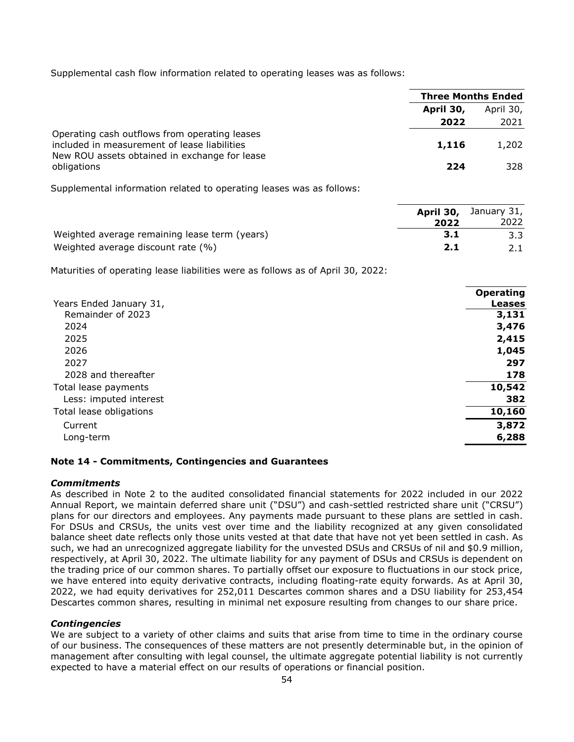Supplemental cash flow information related to operating leases was as follows:

|                                                                                                                                                | <b>Three Months Ended</b> |           |
|------------------------------------------------------------------------------------------------------------------------------------------------|---------------------------|-----------|
|                                                                                                                                                | April 30,                 | April 30, |
|                                                                                                                                                | 2022                      | 2021      |
| Operating cash outflows from operating leases<br>included in measurement of lease liabilities<br>New ROU assets obtained in exchange for lease | 1,116                     | 1,202     |
| obligations                                                                                                                                    | 224                       | 328       |

Supplemental information related to operating leases was as follows:

|                                               |      | <b>April 30,</b> January 31, |
|-----------------------------------------------|------|------------------------------|
|                                               | 2022 | 2022                         |
| Weighted average remaining lease term (years) | 3.1  |                              |
| Weighted average discount rate (%)            | 2.1  |                              |

Maturities of operating lease liabilities were as follows as of April 30, 2022:

|                         | <b>Operating</b> |
|-------------------------|------------------|
| Years Ended January 31, | <b>Leases</b>    |
| Remainder of 2023       | 3,131            |
| 2024                    | 3,476            |
| 2025                    | 2,415            |
| 2026                    | 1,045            |
| 2027                    | 297              |
| 2028 and thereafter     | 178              |
| Total lease payments    | 10,542           |
| Less: imputed interest  | 382              |
| Total lease obligations | 10,160           |
| Current                 | 3,872            |
| Long-term               | 6,288            |
|                         |                  |

### **Note 14 - Commitments, Contingencies and Guarantees**

### *Commitments*

As described in Note 2 to the audited consolidated financial statements for 2022 included in our 2022 Annual Report, we maintain deferred share unit ("DSU") and cash-settled restricted share unit ("CRSU") plans for our directors and employees. Any payments made pursuant to these plans are settled in cash. For DSUs and CRSUs, the units vest over time and the liability recognized at any given consolidated balance sheet date reflects only those units vested at that date that have not yet been settled in cash. As such, we had an unrecognized aggregate liability for the unvested DSUs and CRSUs of nil and \$0.9 million, respectively, at April 30, 2022. The ultimate liability for any payment of DSUs and CRSUs is dependent on the trading price of our common shares. To partially offset our exposure to fluctuations in our stock price, we have entered into equity derivative contracts, including floating-rate equity forwards. As at April 30, 2022, we had equity derivatives for 252,011 Descartes common shares and a DSU liability for 253,454 Descartes common shares, resulting in minimal net exposure resulting from changes to our share price.

### *Contingencies*

We are subject to a variety of other claims and suits that arise from time to time in the ordinary course of our business. The consequences of these matters are not presently determinable but, in the opinion of management after consulting with legal counsel, the ultimate aggregate potential liability is not currently expected to have a material effect on our results of operations or financial position.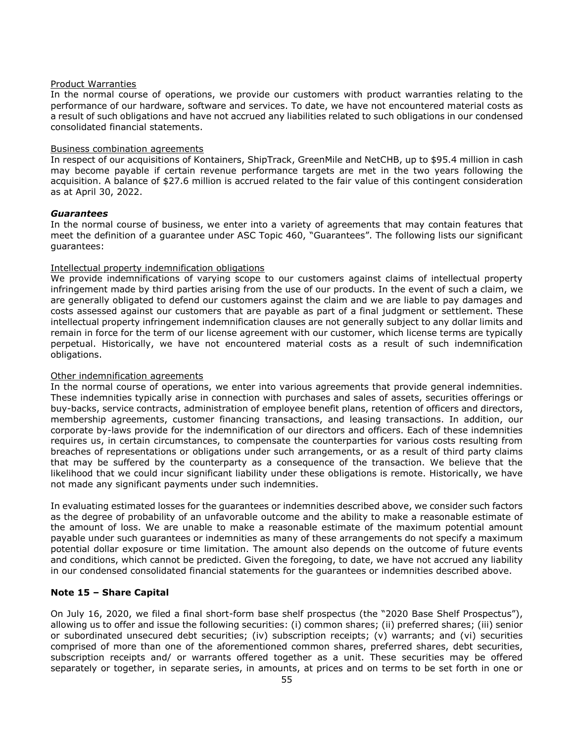### Product Warranties

In the normal course of operations, we provide our customers with product warranties relating to the performance of our hardware, software and services. To date, we have not encountered material costs as a result of such obligations and have not accrued any liabilities related to such obligations in our condensed consolidated financial statements.

### Business combination agreements

In respect of our acquisitions of Kontainers, ShipTrack, GreenMile and NetCHB, up to \$95.4 million in cash may become payable if certain revenue performance targets are met in the two years following the acquisition. A balance of \$27.6 million is accrued related to the fair value of this contingent consideration as at April 30, 2022.

### *Guarantees*

In the normal course of business, we enter into a variety of agreements that may contain features that meet the definition of a guarantee under ASC Topic 460, "Guarantees". The following lists our significant guarantees:

### Intellectual property indemnification obligations

We provide indemnifications of varying scope to our customers against claims of intellectual property infringement made by third parties arising from the use of our products. In the event of such a claim, we are generally obligated to defend our customers against the claim and we are liable to pay damages and costs assessed against our customers that are payable as part of a final judgment or settlement. These intellectual property infringement indemnification clauses are not generally subject to any dollar limits and remain in force for the term of our license agreement with our customer, which license terms are typically perpetual. Historically, we have not encountered material costs as a result of such indemnification obligations.

### Other indemnification agreements

In the normal course of operations, we enter into various agreements that provide general indemnities. These indemnities typically arise in connection with purchases and sales of assets, securities offerings or buy-backs, service contracts, administration of employee benefit plans, retention of officers and directors, membership agreements, customer financing transactions, and leasing transactions. In addition, our corporate by-laws provide for the indemnification of our directors and officers. Each of these indemnities requires us, in certain circumstances, to compensate the counterparties for various costs resulting from breaches of representations or obligations under such arrangements, or as a result of third party claims that may be suffered by the counterparty as a consequence of the transaction. We believe that the likelihood that we could incur significant liability under these obligations is remote. Historically, we have not made any significant payments under such indemnities.

In evaluating estimated losses for the guarantees or indemnities described above, we consider such factors as the degree of probability of an unfavorable outcome and the ability to make a reasonable estimate of the amount of loss. We are unable to make a reasonable estimate of the maximum potential amount payable under such guarantees or indemnities as many of these arrangements do not specify a maximum potential dollar exposure or time limitation. The amount also depends on the outcome of future events and conditions, which cannot be predicted. Given the foregoing, to date, we have not accrued any liability in our condensed consolidated financial statements for the guarantees or indemnities described above.

### **Note 15 – Share Capital**

On July 16, 2020, we filed a final short-form base shelf prospectus (the "2020 Base Shelf Prospectus"), allowing us to offer and issue the following securities: (i) common shares; (ii) preferred shares; (iii) senior or subordinated unsecured debt securities; (iv) subscription receipts; (v) warrants; and (vi) securities comprised of more than one of the aforementioned common shares, preferred shares, debt securities, subscription receipts and/ or warrants offered together as a unit. These securities may be offered separately or together, in separate series, in amounts, at prices and on terms to be set forth in one or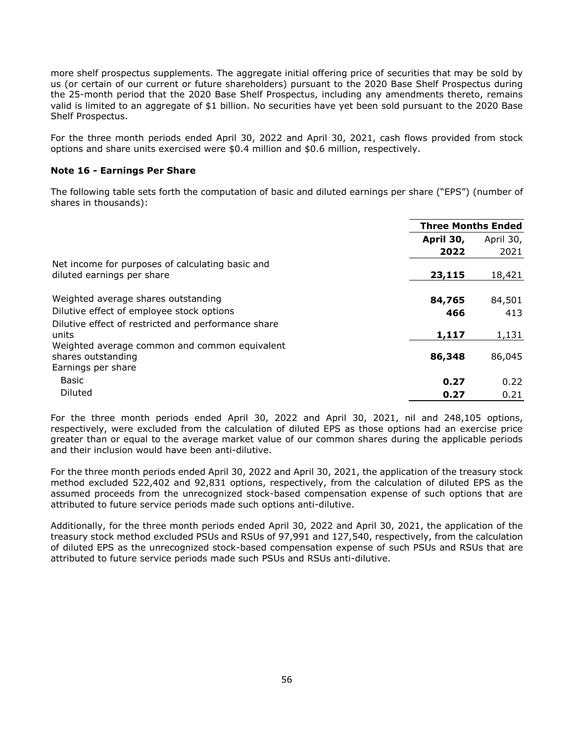more shelf prospectus supplements. The aggregate initial offering price of securities that may be sold by us (or certain of our current or future shareholders) pursuant to the 2020 Base Shelf Prospectus during the 25-month period that the 2020 Base Shelf Prospectus, including any amendments thereto, remains valid is limited to an aggregate of \$1 billion. No securities have yet been sold pursuant to the 2020 Base Shelf Prospectus.

For the three month periods ended April 30, 2022 and April 30, 2021, cash flows provided from stock options and share units exercised were \$0.4 million and \$0.6 million, respectively.

### **Note 16 - Earnings Per Share**

The following table sets forth the computation of basic and diluted earnings per share ("EPS") (number of shares in thousands):

|                                                     | <b>Three Months Ended</b> |           |
|-----------------------------------------------------|---------------------------|-----------|
|                                                     | April 30,                 | April 30, |
|                                                     | 2022                      | 2021      |
| Net income for purposes of calculating basic and    |                           |           |
| diluted earnings per share                          | 23,115                    | 18,421    |
| Weighted average shares outstanding                 | 84,765                    | 84,501    |
| Dilutive effect of employee stock options           | 466                       | 413       |
| Dilutive effect of restricted and performance share |                           |           |
| units                                               | 1,117                     | 1,131     |
| Weighted average common and common equivalent       |                           |           |
| shares outstanding                                  | 86,348                    | 86,045    |
| Earnings per share                                  |                           |           |
| Basic                                               | 0.27                      | 0.22      |
| Diluted                                             | 0.27                      | 0.21      |

For the three month periods ended April 30, 2022 and April 30, 2021, nil and 248,105 options, respectively, were excluded from the calculation of diluted EPS as those options had an exercise price greater than or equal to the average market value of our common shares during the applicable periods and their inclusion would have been anti-dilutive.

For the three month periods ended April 30, 2022 and April 30, 2021, the application of the treasury stock method excluded 522,402 and 92,831 options, respectively, from the calculation of diluted EPS as the assumed proceeds from the unrecognized stock-based compensation expense of such options that are attributed to future service periods made such options anti-dilutive.

Additionally, for the three month periods ended April 30, 2022 and April 30, 2021, the application of the treasury stock method excluded PSUs and RSUs of 97,991 and 127,540, respectively, from the calculation of diluted EPS as the unrecognized stock-based compensation expense of such PSUs and RSUs that are attributed to future service periods made such PSUs and RSUs anti-dilutive.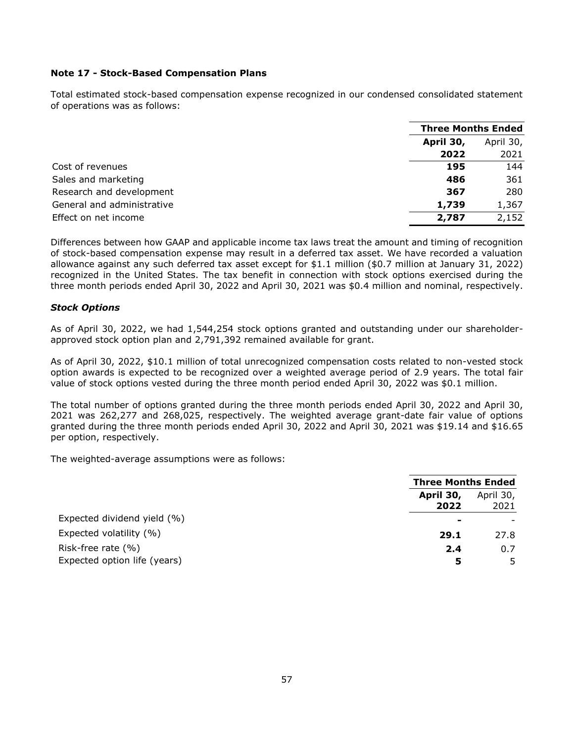### **Note 17 - Stock-Based Compensation Plans**

Total estimated stock-based compensation expense recognized in our condensed consolidated statement of operations was as follows:

|                            | <b>Three Months Ended</b> |           |
|----------------------------|---------------------------|-----------|
|                            | April 30,                 | April 30, |
|                            | 2022                      | 2021      |
| Cost of revenues           | 195                       | 144       |
| Sales and marketing        | 486                       | 361       |
| Research and development   | 367                       | 280       |
| General and administrative | 1,739                     | 1,367     |
| Effect on net income       | 2,787                     | 2,152     |

Differences between how GAAP and applicable income tax laws treat the amount and timing of recognition of stock-based compensation expense may result in a deferred tax asset. We have recorded a valuation allowance against any such deferred tax asset except for \$1.1 million (\$0.7 million at January 31, 2022) recognized in the United States. The tax benefit in connection with stock options exercised during the three month periods ended April 30, 2022 and April 30, 2021 was \$0.4 million and nominal, respectively.

### *Stock Options*

As of April 30, 2022, we had 1,544,254 stock options granted and outstanding under our shareholderapproved stock option plan and 2,791,392 remained available for grant.

As of April 30, 2022, \$10.1 million of total unrecognized compensation costs related to non-vested stock option awards is expected to be recognized over a weighted average period of 2.9 years. The total fair value of stock options vested during the three month period ended April 30, 2022 was \$0.1 million.

The total number of options granted during the three month periods ended April 30, 2022 and April 30, 2021 was 262,277 and 268,025, respectively. The weighted average grant-date fair value of options granted during the three month periods ended April 30, 2022 and April 30, 2021 was \$19.14 and \$16.65 per option, respectively.

The weighted-average assumptions were as follows:

|                              | <b>Three Months Ended</b> |                   |
|------------------------------|---------------------------|-------------------|
|                              | April 30,<br>2022         | April 30,<br>2021 |
| Expected dividend yield (%)  |                           |                   |
| Expected volatility (%)      | 29.1                      | 27.8              |
| Risk-free rate $(\% )$       | 2.4                       | 0.7               |
| Expected option life (years) | 5                         |                   |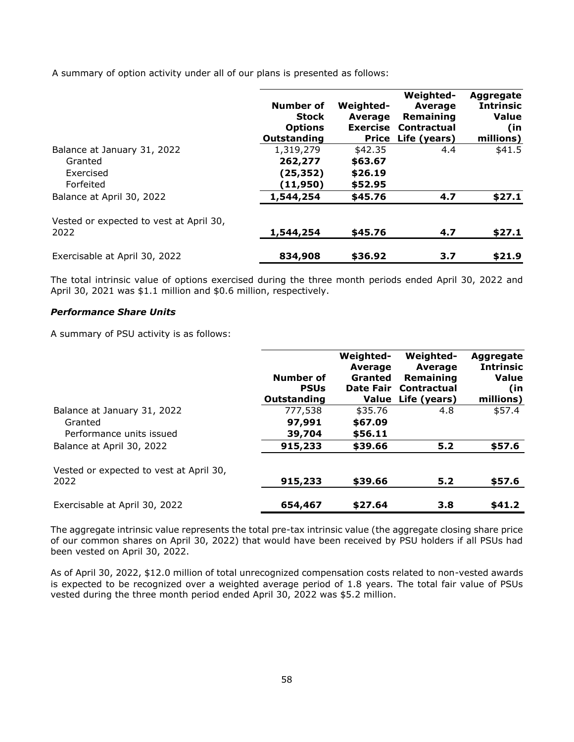A summary of option activity under all of our plans is presented as follows:

|                                                                  | Number of<br><b>Stock</b><br><b>Options</b><br>Outstanding | <b>Weighted-</b><br>Average<br><b>Exercise</b><br>Price | <b>Weighted-</b><br><b>Average</b><br>Remaining<br><b>Contractual</b><br>Life (years) | Aggregate<br><b>Intrinsic</b><br><b>Value</b><br>(in<br>millions) |
|------------------------------------------------------------------|------------------------------------------------------------|---------------------------------------------------------|---------------------------------------------------------------------------------------|-------------------------------------------------------------------|
| Balance at January 31, 2022<br>Granted<br>Exercised<br>Forfeited | 1,319,279<br>262,277<br>(25,352)<br>(11,950)               | \$42.35<br>\$63.67<br>\$26.19<br>\$52.95                | 4.4                                                                                   | \$41.5                                                            |
| Balance at April 30, 2022                                        | 1,544,254                                                  | \$45.76                                                 | 4.7                                                                                   | \$27.1                                                            |
| Vested or expected to vest at April 30,<br>2022                  | 1,544,254                                                  | \$45.76                                                 | 4.7                                                                                   | \$27.1                                                            |
| Exercisable at April 30, 2022                                    | 834,908                                                    | \$36.92                                                 | 3.7                                                                                   | \$21.9                                                            |

The total intrinsic value of options exercised during the three month periods ended April 30, 2022 and April 30, 2021 was \$1.1 million and \$0.6 million, respectively.

### *Performance Share Units*

A summary of PSU activity is as follows:

|                                                                    | Number of<br><b>PSUs</b><br>Outstanding | Weighted-<br><b>Average</b><br><b>Granted</b><br><b>Date Fair</b><br>Value | Weighted-<br>Average<br>Remaining<br>Contractual<br>Life (years) | Aggregate<br><b>Intrinsic</b><br><b>Value</b><br>(in<br>millions) |
|--------------------------------------------------------------------|-----------------------------------------|----------------------------------------------------------------------------|------------------------------------------------------------------|-------------------------------------------------------------------|
| Balance at January 31, 2022<br>Granted<br>Performance units issued | 777,538<br>97,991<br>39,704             | \$35.76<br>\$67.09<br>\$56.11                                              | 4.8                                                              | \$57.4                                                            |
| Balance at April 30, 2022                                          | 915,233                                 | \$39.66                                                                    | 5.2                                                              | \$57.6                                                            |
| Vested or expected to vest at April 30,<br>2022                    | 915,233                                 | \$39.66                                                                    | 5.2                                                              | \$57.6                                                            |
| Exercisable at April 30, 2022                                      | 654,467                                 | \$27.64                                                                    | 3.8                                                              | \$41.2                                                            |

The aggregate intrinsic value represents the total pre-tax intrinsic value (the aggregate closing share price of our common shares on April 30, 2022) that would have been received by PSU holders if all PSUs had been vested on April 30, 2022.

As of April 30, 2022, \$12.0 million of total unrecognized compensation costs related to non-vested awards is expected to be recognized over a weighted average period of 1.8 years. The total fair value of PSUs vested during the three month period ended April 30, 2022 was \$5.2 million.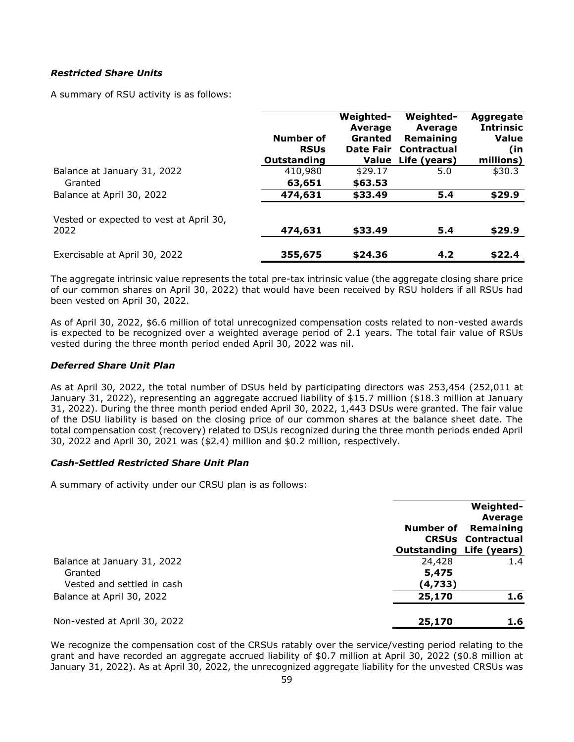### *Restricted Share Units*

A summary of RSU activity is as follows:

|                                                 |                            | Weighted-<br><b>Average</b> | Weighted-<br>Average              | Aggregate<br><b>Intrinsic</b> |
|-------------------------------------------------|----------------------------|-----------------------------|-----------------------------------|-------------------------------|
|                                                 | Number of                  | <b>Granted</b>              | Remaining                         | Value                         |
|                                                 | <b>RSUs</b><br>Outstanding | Date Fair                   | Contractual<br>Value Life (years) | (in<br>millions)              |
| Balance at January 31, 2022                     | 410,980                    | \$29.17                     | 5.0                               | \$30.3                        |
| Granted                                         | 63,651                     | \$63.53                     |                                   |                               |
| Balance at April 30, 2022                       | 474,631                    | \$33.49                     | 5.4                               | \$29.9                        |
| Vested or expected to vest at April 30,<br>2022 | 474,631                    | \$33.49                     | 5.4                               | \$29.9                        |
| Exercisable at April 30, 2022                   | 355,675                    | \$24.36                     | 4.2                               | \$22.4                        |

The aggregate intrinsic value represents the total pre-tax intrinsic value (the aggregate closing share price of our common shares on April 30, 2022) that would have been received by RSU holders if all RSUs had been vested on April 30, 2022.

As of April 30, 2022, \$6.6 million of total unrecognized compensation costs related to non-vested awards is expected to be recognized over a weighted average period of 2.1 years. The total fair value of RSUs vested during the three month period ended April 30, 2022 was nil.

### *Deferred Share Unit Plan*

As at April 30, 2022, the total number of DSUs held by participating directors was 253,454 (252,011 at January 31, 2022), representing an aggregate accrued liability of \$15.7 million (\$18.3 million at January 31, 2022). During the three month period ended April 30, 2022, 1,443 DSUs were granted. The fair value of the DSU liability is based on the closing price of our common shares at the balance sheet date. The total compensation cost (recovery) related to DSUs recognized during the three month periods ended April 30, 2022 and April 30, 2021 was (\$2.4) million and \$0.2 million, respectively.

### *Cash-Settled Restricted Share Unit Plan*

A summary of activity under our CRSU plan is as follows:

|                                        | Number of<br><b>Outstanding Life (years)</b> | <b>Weighted-</b><br>Average<br>Remaining<br><b>CRSUs Contractual</b> |
|----------------------------------------|----------------------------------------------|----------------------------------------------------------------------|
| Balance at January 31, 2022<br>Granted | 24,428<br>5,475                              | 1.4                                                                  |
| Vested and settled in cash             | (4,733)                                      |                                                                      |
| Balance at April 30, 2022              | 25,170                                       | 1.6                                                                  |
| Non-vested at April 30, 2022           | 25,170                                       | 1.6                                                                  |

We recognize the compensation cost of the CRSUs ratably over the service/vesting period relating to the grant and have recorded an aggregate accrued liability of \$0.7 million at April 30, 2022 (\$0.8 million at January 31, 2022). As at April 30, 2022, the unrecognized aggregate liability for the unvested CRSUs was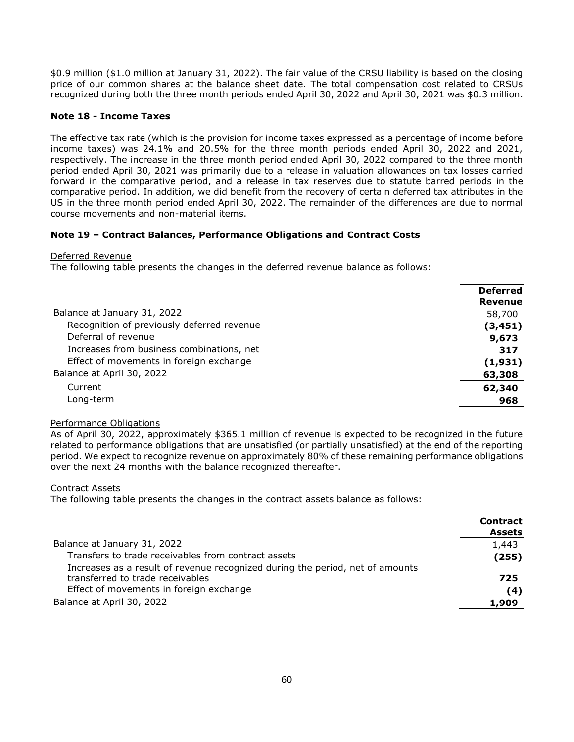\$0.9 million (\$1.0 million at January 31, 2022). The fair value of the CRSU liability is based on the closing price of our common shares at the balance sheet date. The total compensation cost related to CRSUs recognized during both the three month periods ended April 30, 2022 and April 30, 2021 was \$0.3 million.

### **Note 18 - Income Taxes**

The effective tax rate (which is the provision for income taxes expressed as a percentage of income before income taxes) was 24.1% and 20.5% for the three month periods ended April 30, 2022 and 2021, respectively. The increase in the three month period ended April 30, 2022 compared to the three month period ended April 30, 2021 was primarily due to a release in valuation allowances on tax losses carried forward in the comparative period, and a release in tax reserves due to statute barred periods in the comparative period. In addition, we did benefit from the recovery of certain deferred tax attributes in the US in the three month period ended April 30, 2022. The remainder of the differences are due to normal course movements and non-material items.

### **Note 19 – Contract Balances, Performance Obligations and Contract Costs**

Deferred Revenue

The following table presents the changes in the deferred revenue balance as follows:

|                                            | <b>Deferred</b><br><b>Revenue</b> |
|--------------------------------------------|-----------------------------------|
| Balance at January 31, 2022                | 58,700                            |
| Recognition of previously deferred revenue | (3, 451)                          |
| Deferral of revenue                        | 9,673                             |
| Increases from business combinations, net  | 317                               |
| Effect of movements in foreign exchange    | (1,931)                           |
| Balance at April 30, 2022                  | 63,308                            |
| Current                                    | 62,340                            |
| Long-term                                  | 968                               |

### Performance Obligations

As of April 30, 2022, approximately \$365.1 million of revenue is expected to be recognized in the future related to performance obligations that are unsatisfied (or partially unsatisfied) at the end of the reporting period. We expect to recognize revenue on approximately 80% of these remaining performance obligations over the next 24 months with the balance recognized thereafter.

Contract Assets

The following table presents the changes in the contract assets balance as follows:

|                                                                               | <b>Contract</b><br><b>Assets</b> |
|-------------------------------------------------------------------------------|----------------------------------|
| Balance at January 31, 2022                                                   | 1,443                            |
| Transfers to trade receivables from contract assets                           | (255)                            |
| Increases as a result of revenue recognized during the period, net of amounts |                                  |
| transferred to trade receivables                                              | 725                              |
| Effect of movements in foreign exchange                                       | (4)                              |
| Balance at April 30, 2022                                                     | 1,909                            |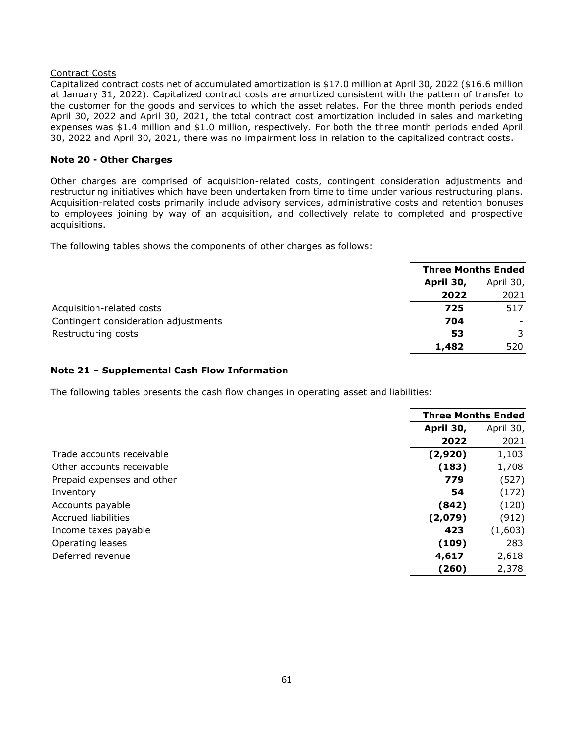### Contract Costs

Capitalized contract costs net of accumulated amortization is \$17.0 million at April 30, 2022 (\$16.6 million at January 31, 2022). Capitalized contract costs are amortized consistent with the pattern of transfer to the customer for the goods and services to which the asset relates. For the three month periods ended April 30, 2022 and April 30, 2021, the total contract cost amortization included in sales and marketing expenses was \$1.4 million and \$1.0 million, respectively. For both the three month periods ended April 30, 2022 and April 30, 2021, there was no impairment loss in relation to the capitalized contract costs.

### **Note 20 - Other Charges**

Other charges are comprised of acquisition-related costs, contingent consideration adjustments and restructuring initiatives which have been undertaken from time to time under various restructuring plans. Acquisition-related costs primarily include advisory services, administrative costs and retention bonuses to employees joining by way of an acquisition, and collectively relate to completed and prospective acquisitions.

The following tables shows the components of other charges as follows:

|                                      |           | <b>Three Months Ended</b> |  |
|--------------------------------------|-----------|---------------------------|--|
|                                      | April 30, | April 30,                 |  |
|                                      | 2022      | 2021                      |  |
| Acquisition-related costs            | 725       | 517                       |  |
| Contingent consideration adjustments | 704       |                           |  |
| Restructuring costs                  | 53        |                           |  |
|                                      | 1,482     | 520                       |  |
|                                      |           |                           |  |

### **Note 21 – Supplemental Cash Flow Information**

The following tables presents the cash flow changes in operating asset and liabilities:

|                            |           | <b>Three Months Ended</b> |  |
|----------------------------|-----------|---------------------------|--|
|                            | April 30, | April 30,                 |  |
|                            | 2022      | 2021                      |  |
| Trade accounts receivable  | (2,920)   | 1,103                     |  |
| Other accounts receivable  | (183)     | 1,708                     |  |
| Prepaid expenses and other | 779       | (527)                     |  |
| Inventory                  | 54        | (172)                     |  |
| Accounts payable           | (842)     | (120)                     |  |
| Accrued liabilities        | (2,079)   | (912)                     |  |
| Income taxes payable       | 423       | (1,603)                   |  |
| Operating leases           | (109)     | 283                       |  |
| Deferred revenue           | 4,617     | 2,618                     |  |
|                            | (260)     | 2,378                     |  |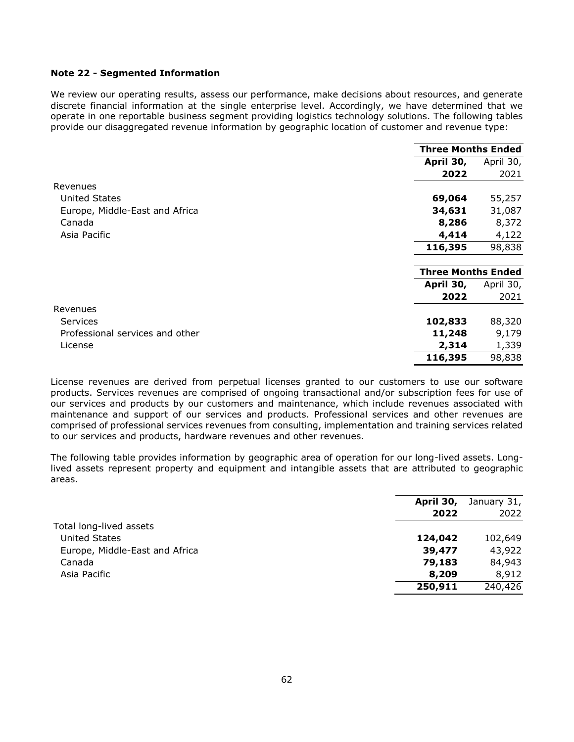### **Note 22 - Segmented Information**

We review our operating results, assess our performance, make decisions about resources, and generate discrete financial information at the single enterprise level. Accordingly, we have determined that we operate in one reportable business segment providing logistics technology solutions. The following tables provide our disaggregated revenue information by geographic location of customer and revenue type:

|                                 |                           | <b>Three Months Ended</b> |  |
|---------------------------------|---------------------------|---------------------------|--|
|                                 | April 30,                 | April 30,                 |  |
|                                 | 2022                      | 2021                      |  |
| Revenues                        |                           |                           |  |
| <b>United States</b>            | 69,064                    | 55,257                    |  |
| Europe, Middle-East and Africa  | 34,631                    | 31,087                    |  |
| Canada                          | 8,286                     | 8,372                     |  |
| Asia Pacific                    | 4,414                     | 4,122                     |  |
|                                 | 116,395                   | 98,838                    |  |
|                                 | <b>Three Months Ended</b> |                           |  |
|                                 | April 30,                 | April 30,                 |  |
|                                 | 2022                      | 2021                      |  |
| Revenues                        |                           |                           |  |
| <b>Services</b>                 | 102,833                   | 88,320                    |  |
| Professional services and other | 11,248                    | 9,179                     |  |
| License                         | 2,314                     | 1,339                     |  |
|                                 | 116,395                   | 98,838                    |  |

License revenues are derived from perpetual licenses granted to our customers to use our software products. Services revenues are comprised of ongoing transactional and/or subscription fees for use of our services and products by our customers and maintenance, which include revenues associated with maintenance and support of our services and products. Professional services and other revenues are comprised of professional services revenues from consulting, implementation and training services related to our services and products, hardware revenues and other revenues.

The following table provides information by geographic area of operation for our long-lived assets. Longlived assets represent property and equipment and intangible assets that are attributed to geographic areas.

|                                | April 30, | January 31, |
|--------------------------------|-----------|-------------|
|                                | 2022      | 2022        |
| Total long-lived assets        |           |             |
| <b>United States</b>           | 124,042   | 102,649     |
| Europe, Middle-East and Africa | 39,477    | 43,922      |
| Canada                         | 79,183    | 84,943      |
| Asia Pacific                   | 8,209     | 8,912       |
|                                | 250,911   | 240,426     |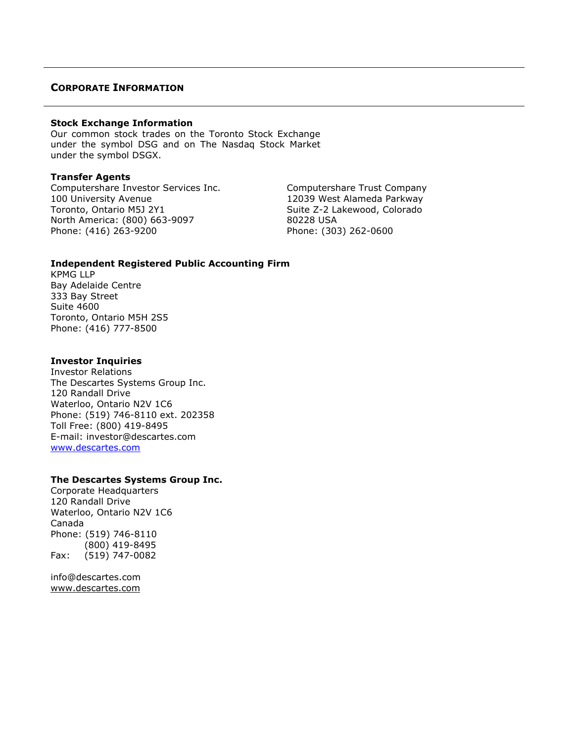# <span id="page-62-0"></span>**CORPORATE INFORMATION**

### **Stock Exchange Information**

Our common stock trades on the Toronto Stock Exchange under the symbol DSG and on The Nasdaq Stock Market under the symbol DSGX.

### **Transfer Agents**

Computershare Investor Services Inc. Computershare Trust Company 100 University Avenue 12039 West Alameda Parkway Toronto, Ontario M5J 2Y1 Suite Z-2 Lakewood, Colorado North America: (800) 663-9097 80228 USA Phone: (416) 263-9200 Phone: (303) 262-0600

### **Independent Registered Public Accounting Firm**

KPMG LLP Bay Adelaide Centre 333 Bay Street Suite 4600 Toronto, Ontario M5H 2S5 Phone: (416) 777-8500

### **Investor Inquiries**

Investor Relations The Descartes Systems Group Inc. 120 Randall Drive Waterloo, Ontario N2V 1C6 Phone: (519) 746-8110 ext. 202358 Toll Free: (800) 419-8495 E-mail: investor@descartes.com [www.descartes.com](http://www.descartes.com/)

### **The Descartes Systems Group Inc.**

Corporate Headquarters 120 Randall Drive Waterloo, Ontario N2V 1C6 Canada Phone: (519) 746-8110 (800) 419-8495 Fax: (519) 747-0082

info@descartes.com [www.descartes.com](http://www.descartes.com/)